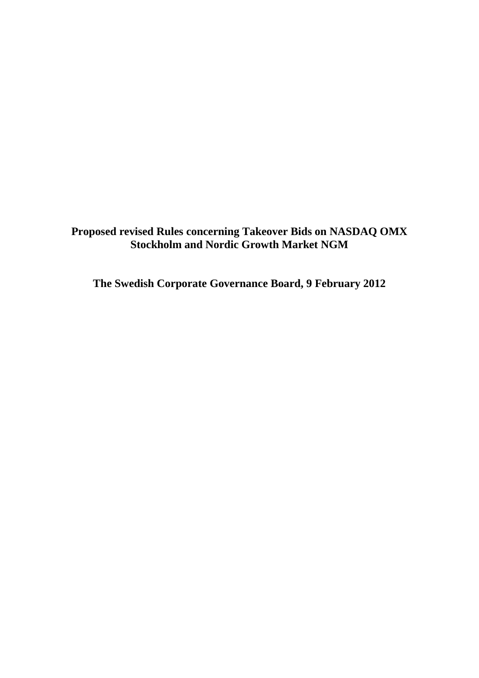**Proposed revised Rules concerning Takeover Bids on NASDAQ OMX Stockholm and Nordic Growth Market NGM**

**The Swedish Corporate Governance Board, 9 February 2012**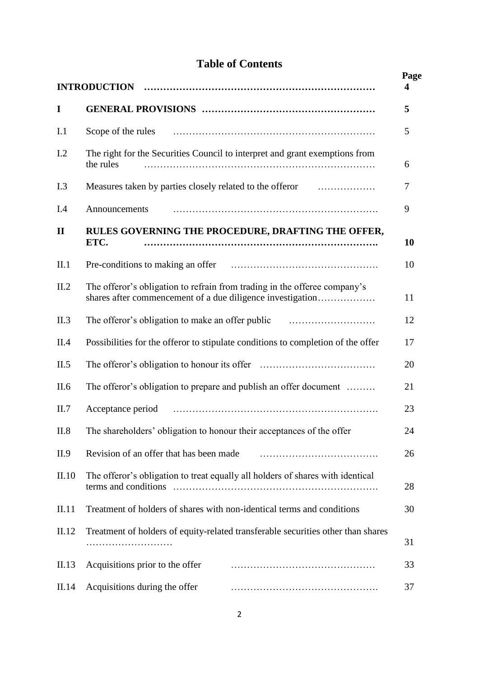# **Table of Contents**

| <b>INTRODUCTION</b> |                                                                                                                                                                                                                                     | Page<br>4 |
|---------------------|-------------------------------------------------------------------------------------------------------------------------------------------------------------------------------------------------------------------------------------|-----------|
| I                   |                                                                                                                                                                                                                                     | 5         |
| I.1                 | Scope of the rules                                                                                                                                                                                                                  | 5         |
| I.2                 | The right for the Securities Council to interpret and grant exemptions from<br>the rules                                                                                                                                            | 6         |
| I.3                 | Measures taken by parties closely related to the offeror                                                                                                                                                                            | 7         |
| I.4                 | Announcements                                                                                                                                                                                                                       | 9         |
| $\mathbf{I}$        | RULES GOVERNING THE PROCEDURE, DRAFTING THE OFFER,<br>ETC.                                                                                                                                                                          | 10        |
| II.1                | Pre-conditions to making an offer <i>maximum contained</i> and the material of the conditions of the material of the conditions of the conditions of the conditions of the conditions of the conditions of the conditions of the co | 10        |
| II.2                | The offeror's obligation to refrain from trading in the offeree company's<br>shares after commencement of a due diligence investigation                                                                                             | 11        |
| II.3                | The offeror's obligation to make an offer public <i>matter of the offeror's</i> obligation to make an offer public                                                                                                                  | 12        |
| II.4                | Possibilities for the offeror to stipulate conditions to completion of the offer                                                                                                                                                    | 17        |
| II.5                |                                                                                                                                                                                                                                     | 20        |
| II.6                | The offeror's obligation to prepare and publish an offer document                                                                                                                                                                   | 21        |
| II.7                | Acceptance period                                                                                                                                                                                                                   | 23        |
| II.8                | The shareholders' obligation to honour their acceptances of the offer                                                                                                                                                               | 24        |
| II.9                | Revision of an offer that has been made                                                                                                                                                                                             | 26        |
| II.10               | The offeror's obligation to treat equally all holders of shares with identical<br>terms and conditions                                                                                                                              | 28        |
| II.11               | Treatment of holders of shares with non-identical terms and conditions                                                                                                                                                              | 30        |
| II.12               | Treatment of holders of equity-related transferable securities other than shares                                                                                                                                                    | 31        |
| II.13               | Acquisitions prior to the offer                                                                                                                                                                                                     | 33        |
| II.14               | Acquisitions during the offer                                                                                                                                                                                                       | 37        |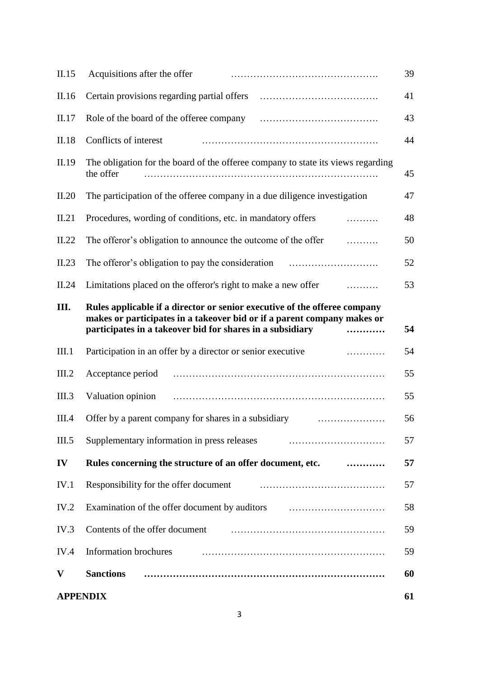|       | <b>APPENDIX</b>                                                                                                                                                                                                   | 61 |
|-------|-------------------------------------------------------------------------------------------------------------------------------------------------------------------------------------------------------------------|----|
| V     | <b>Sanctions</b>                                                                                                                                                                                                  | 60 |
| IV.4  | <b>Information brochures</b>                                                                                                                                                                                      | 59 |
| IV.3  | Contents of the offer document                                                                                                                                                                                    | 59 |
| IV.2  | Examination of the offer document by auditors                                                                                                                                                                     | 58 |
| IV.1  | Responsibility for the offer document                                                                                                                                                                             | 57 |
| IV    | Rules concerning the structure of an offer document, etc.<br>.                                                                                                                                                    | 57 |
| III.5 | Supplementary information in press releases                                                                                                                                                                       | 57 |
| III.4 | Offer by a parent company for shares in a subsidiary                                                                                                                                                              | 56 |
| III.3 | Valuation opinion                                                                                                                                                                                                 | 55 |
| III.2 | Acceptance period                                                                                                                                                                                                 | 55 |
| III.1 | Participation in an offer by a director or senior executive<br>.                                                                                                                                                  | 54 |
| III.  | Rules applicable if a director or senior executive of the offeree company<br>makes or participates in a takeover bid or if a parent company makes or<br>participates in a takeover bid for shares in a subsidiary | 54 |
| II.24 | Limitations placed on the offeror's right to make a new offer<br>.                                                                                                                                                | 53 |
| II.23 | The offeror's obligation to pay the consideration                                                                                                                                                                 | 52 |
| II.22 | The offeror's obligation to announce the outcome of the offer<br>.                                                                                                                                                | 50 |
| II.21 | Procedures, wording of conditions, etc. in mandatory offers<br>.                                                                                                                                                  | 48 |
| II.20 | The participation of the offeree company in a due diligence investigation                                                                                                                                         | 47 |
| II.19 | The obligation for the board of the offeree company to state its views regarding<br>the offer                                                                                                                     | 45 |
| II.18 | Conflicts of interest                                                                                                                                                                                             | 44 |
| II.17 | Role of the board of the offeree company                                                                                                                                                                          | 43 |
| II.16 | Certain provisions regarding partial offers                                                                                                                                                                       | 41 |
| II.15 | Acquisitions after the offer                                                                                                                                                                                      | 39 |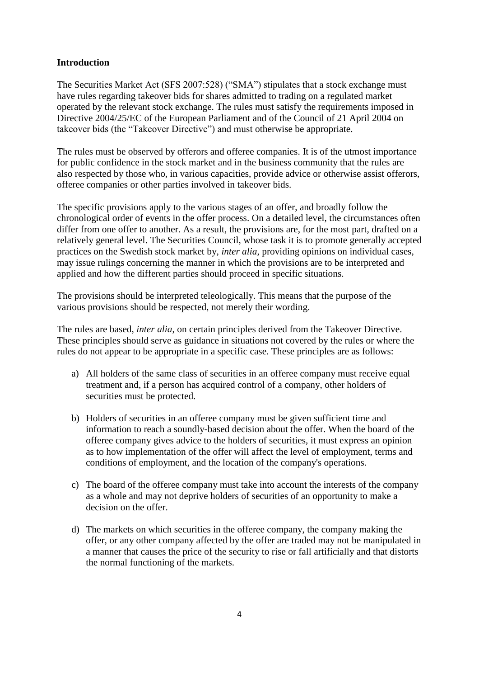# **Introduction**

The Securities Market Act (SFS 2007:528) ("SMA") stipulates that a stock exchange must have rules regarding takeover bids for shares admitted to trading on a regulated market operated by the relevant stock exchange. The rules must satisfy the requirements imposed in Directive 2004/25/EC of the European Parliament and of the Council of 21 April 2004 on takeover bids (the "Takeover Directive") and must otherwise be appropriate.

The rules must be observed by offerors and offeree companies. It is of the utmost importance for public confidence in the stock market and in the business community that the rules are also respected by those who, in various capacities, provide advice or otherwise assist offerors, offeree companies or other parties involved in takeover bids.

The specific provisions apply to the various stages of an offer, and broadly follow the chronological order of events in the offer process. On a detailed level, the circumstances often differ from one offer to another. As a result, the provisions are, for the most part, drafted on a relatively general level. The Securities Council, whose task it is to promote generally accepted practices on the Swedish stock market by, *inter alia*, providing opinions on individual cases, may issue rulings concerning the manner in which the provisions are to be interpreted and applied and how the different parties should proceed in specific situations.

The provisions should be interpreted teleologically. This means that the purpose of the various provisions should be respected, not merely their wording.

The rules are based, *inter alia*, on certain principles derived from the Takeover Directive. These principles should serve as guidance in situations not covered by the rules or where the rules do not appear to be appropriate in a specific case. These principles are as follows:

- a) All holders of the same class of securities in an offeree company must receive equal treatment and, if a person has acquired control of a company, other holders of securities must be protected.
- b) Holders of securities in an offeree company must be given sufficient time and information to reach a soundly-based decision about the offer. When the board of the offeree company gives advice to the holders of securities, it must express an opinion as to how implementation of the offer will affect the level of employment, terms and conditions of employment, and the location of the company's operations.
- c) The board of the offeree company must take into account the interests of the company as a whole and may not deprive holders of securities of an opportunity to make a decision on the offer.
- d) The markets on which securities in the offeree company, the company making the offer, or any other company affected by the offer are traded may not be manipulated in a manner that causes the price of the security to rise or fall artificially and that distorts the normal functioning of the markets.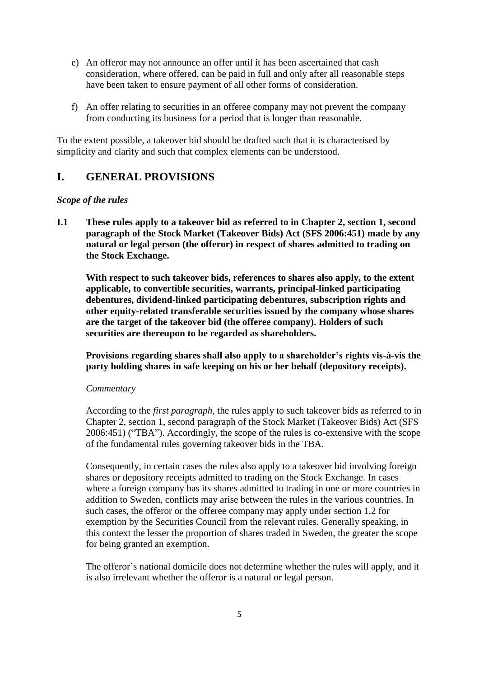- e) An offeror may not announce an offer until it has been ascertained that cash consideration, where offered, can be paid in full and only after all reasonable steps have been taken to ensure payment of all other forms of consideration.
- f) An offer relating to securities in an offeree company may not prevent the company from conducting its business for a period that is longer than reasonable.

To the extent possible, a takeover bid should be drafted such that it is characterised by simplicity and clarity and such that complex elements can be understood.

# **I. GENERAL PROVISIONS**

# *Scope of the rules*

**I.1 These rules apply to a takeover bid as referred to in Chapter 2, section 1, second paragraph of the Stock Market (Takeover Bids) Act (SFS 2006:451) made by any natural or legal person (the offeror) in respect of shares admitted to trading on the Stock Exchange.**

**With respect to such takeover bids, references to shares also apply, to the extent applicable, to convertible securities, warrants, principal-linked participating debentures, dividend-linked participating debentures, subscription rights and other equity-related transferable securities issued by the company whose shares are the target of the takeover bid (the offeree company). Holders of such securities are thereupon to be regarded as shareholders.**

**Provisions regarding shares shall also apply to a shareholder's rights vis-à-vis the party holding shares in safe keeping on his or her behalf (depository receipts).**

# *Commentary*

According to the *first paragraph*, the rules apply to such takeover bids as referred to in Chapter 2, section 1, second paragraph of the Stock Market (Takeover Bids) Act (SFS 2006:451) ("TBA"). Accordingly, the scope of the rules is co-extensive with the scope of the fundamental rules governing takeover bids in the TBA.

Consequently, in certain cases the rules also apply to a takeover bid involving foreign shares or depository receipts admitted to trading on the Stock Exchange. In cases where a foreign company has its shares admitted to trading in one or more countries in addition to Sweden, conflicts may arise between the rules in the various countries. In such cases, the offeror or the offeree company may apply under section 1.2 for exemption by the Securities Council from the relevant rules. Generally speaking, in this context the lesser the proportion of shares traded in Sweden, the greater the scope for being granted an exemption.

The offeror's national domicile does not determine whether the rules will apply, and it is also irrelevant whether the offeror is a natural or legal person.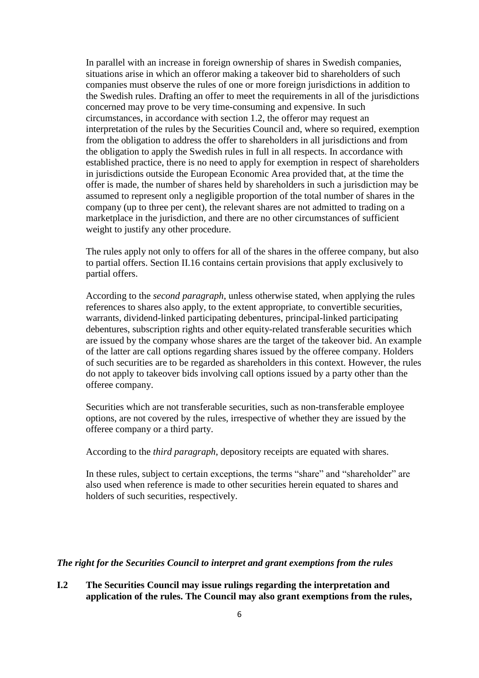In parallel with an increase in foreign ownership of shares in Swedish companies, situations arise in which an offeror making a takeover bid to shareholders of such companies must observe the rules of one or more foreign jurisdictions in addition to the Swedish rules. Drafting an offer to meet the requirements in all of the jurisdictions concerned may prove to be very time-consuming and expensive. In such circumstances, in accordance with section 1.2, the offeror may request an interpretation of the rules by the Securities Council and, where so required, exemption from the obligation to address the offer to shareholders in all jurisdictions and from the obligation to apply the Swedish rules in full in all respects. In accordance with established practice, there is no need to apply for exemption in respect of shareholders in jurisdictions outside the European Economic Area provided that, at the time the offer is made, the number of shares held by shareholders in such a jurisdiction may be assumed to represent only a negligible proportion of the total number of shares in the company (up to three per cent), the relevant shares are not admitted to trading on a marketplace in the jurisdiction, and there are no other circumstances of sufficient weight to justify any other procedure.

The rules apply not only to offers for all of the shares in the offeree company, but also to partial offers. Section II.16 contains certain provisions that apply exclusively to partial offers.

According to the *second paragraph*, unless otherwise stated, when applying the rules references to shares also apply, to the extent appropriate, to convertible securities, warrants, dividend-linked participating debentures, principal-linked participating debentures, subscription rights and other equity-related transferable securities which are issued by the company whose shares are the target of the takeover bid. An example of the latter are call options regarding shares issued by the offeree company. Holders of such securities are to be regarded as shareholders in this context. However, the rules do not apply to takeover bids involving call options issued by a party other than the offeree company.

Securities which are not transferable securities, such as non-transferable employee options, are not covered by the rules, irrespective of whether they are issued by the offeree company or a third party.

According to the *third paragraph*, depository receipts are equated with shares.

In these rules, subject to certain exceptions, the terms "share" and "shareholder" are also used when reference is made to other securities herein equated to shares and holders of such securities, respectively.

### *The right for the Securities Council to interpret and grant exemptions from the rules*

**I.2 The Securities Council may issue rulings regarding the interpretation and application of the rules. The Council may also grant exemptions from the rules,**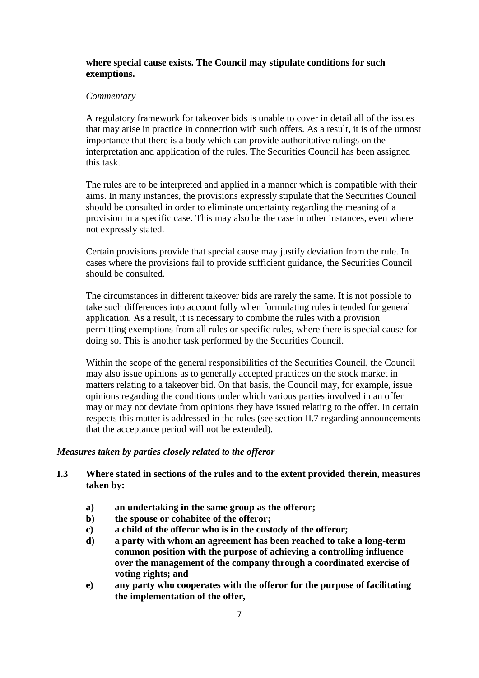# **where special cause exists. The Council may stipulate conditions for such exemptions.**

## *Commentary*

A regulatory framework for takeover bids is unable to cover in detail all of the issues that may arise in practice in connection with such offers. As a result, it is of the utmost importance that there is a body which can provide authoritative rulings on the interpretation and application of the rules. The Securities Council has been assigned this task.

The rules are to be interpreted and applied in a manner which is compatible with their aims. In many instances, the provisions expressly stipulate that the Securities Council should be consulted in order to eliminate uncertainty regarding the meaning of a provision in a specific case. This may also be the case in other instances, even where not expressly stated.

Certain provisions provide that special cause may justify deviation from the rule. In cases where the provisions fail to provide sufficient guidance, the Securities Council should be consulted.

The circumstances in different takeover bids are rarely the same. It is not possible to take such differences into account fully when formulating rules intended for general application. As a result, it is necessary to combine the rules with a provision permitting exemptions from all rules or specific rules, where there is special cause for doing so. This is another task performed by the Securities Council.

Within the scope of the general responsibilities of the Securities Council, the Council may also issue opinions as to generally accepted practices on the stock market in matters relating to a takeover bid. On that basis, the Council may, for example, issue opinions regarding the conditions under which various parties involved in an offer may or may not deviate from opinions they have issued relating to the offer. In certain respects this matter is addressed in the rules (see section II.7 regarding announcements that the acceptance period will not be extended).

### *Measures taken by parties closely related to the offeror*

# **I.3 Where stated in sections of the rules and to the extent provided therein, measures taken by:**

- **a) an undertaking in the same group as the offeror;**
- **b) the spouse or cohabitee of the offeror;**
- **c) a child of the offeror who is in the custody of the offeror;**
- **d) a party with whom an agreement has been reached to take a long-term common position with the purpose of achieving a controlling influence over the management of the company through a coordinated exercise of voting rights; and**
- **e) any party who cooperates with the offeror for the purpose of facilitating the implementation of the offer,**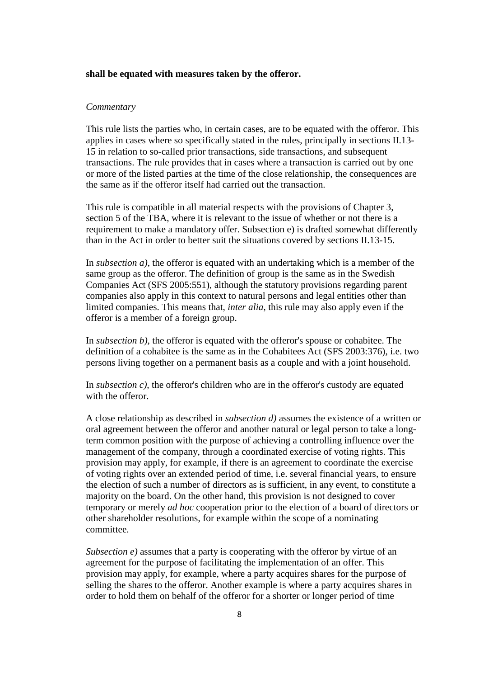### **shall be equated with measures taken by the offeror.**

#### *Commentary*

This rule lists the parties who, in certain cases, are to be equated with the offeror. This applies in cases where so specifically stated in the rules, principally in sections II.13- 15 in relation to so-called prior transactions, side transactions, and subsequent transactions. The rule provides that in cases where a transaction is carried out by one or more of the listed parties at the time of the close relationship, the consequences are the same as if the offeror itself had carried out the transaction.

This rule is compatible in all material respects with the provisions of Chapter 3, section 5 of the TBA, where it is relevant to the issue of whether or not there is a requirement to make a mandatory offer. Subsection e) is drafted somewhat differently than in the Act in order to better suit the situations covered by sections II.13-15.

In *subsection a)*, the offeror is equated with an undertaking which is a member of the same group as the offeror. The definition of group is the same as in the Swedish Companies Act (SFS 2005:551), although the statutory provisions regarding parent companies also apply in this context to natural persons and legal entities other than limited companies. This means that, *inter alia*, this rule may also apply even if the offeror is a member of a foreign group.

In *subsection b*), the offeror is equated with the offeror's spouse or cohabitee. The definition of a cohabitee is the same as in the Cohabitees Act (SFS 2003:376), i.e. two persons living together on a permanent basis as a couple and with a joint household.

In *subsection c)*, the offeror's children who are in the offeror's custody are equated with the offeror.

A close relationship as described in *subsection d)* assumes the existence of a written or oral agreement between the offeror and another natural or legal person to take a longterm common position with the purpose of achieving a controlling influence over the management of the company, through a coordinated exercise of voting rights. This provision may apply, for example, if there is an agreement to coordinate the exercise of voting rights over an extended period of time, i.e. several financial years, to ensure the election of such a number of directors as is sufficient, in any event, to constitute a majority on the board. On the other hand, this provision is not designed to cover temporary or merely *ad hoc* cooperation prior to the election of a board of directors or other shareholder resolutions, for example within the scope of a nominating committee.

*Subsection e)* assumes that a party is cooperating with the offeror by virtue of an agreement for the purpose of facilitating the implementation of an offer. This provision may apply, for example, where a party acquires shares for the purpose of selling the shares to the offeror. Another example is where a party acquires shares in order to hold them on behalf of the offeror for a shorter or longer period of time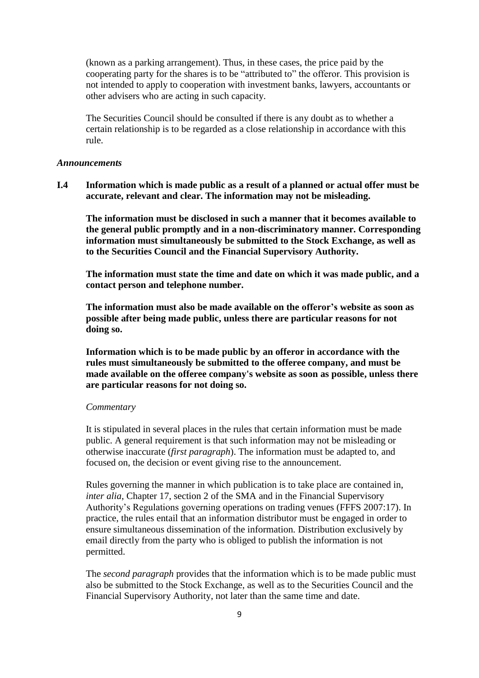(known as a parking arrangement). Thus, in these cases, the price paid by the cooperating party for the shares is to be "attributed to" the offeror. This provision is not intended to apply to cooperation with investment banks, lawyers, accountants or other advisers who are acting in such capacity.

The Securities Council should be consulted if there is any doubt as to whether a certain relationship is to be regarded as a close relationship in accordance with this rule.

#### *Announcements*

**I.4 Information which is made public as a result of a planned or actual offer must be accurate, relevant and clear. The information may not be misleading.**

**The information must be disclosed in such a manner that it becomes available to the general public promptly and in a non-discriminatory manner. Corresponding information must simultaneously be submitted to the Stock Exchange, as well as to the Securities Council and the Financial Supervisory Authority.**

**The information must state the time and date on which it was made public, and a contact person and telephone number.**

**The information must also be made available on the offeror's website as soon as possible after being made public, unless there are particular reasons for not doing so.**

**Information which is to be made public by an offeror in accordance with the rules must simultaneously be submitted to the offeree company, and must be made available on the offeree company's website as soon as possible, unless there are particular reasons for not doing so.**

#### *Commentary*

It is stipulated in several places in the rules that certain information must be made public. A general requirement is that such information may not be misleading or otherwise inaccurate (*first paragraph*). The information must be adapted to, and focused on, the decision or event giving rise to the announcement.

Rules governing the manner in which publication is to take place are contained in, *inter alia*, Chapter 17, section 2 of the SMA and in the Financial Supervisory Authority's Regulations governing operations on trading venues (FFFS 2007:17). In practice, the rules entail that an information distributor must be engaged in order to ensure simultaneous dissemination of the information. Distribution exclusively by email directly from the party who is obliged to publish the information is not permitted.

The *second paragraph* provides that the information which is to be made public must also be submitted to the Stock Exchange, as well as to the Securities Council and the Financial Supervisory Authority, not later than the same time and date.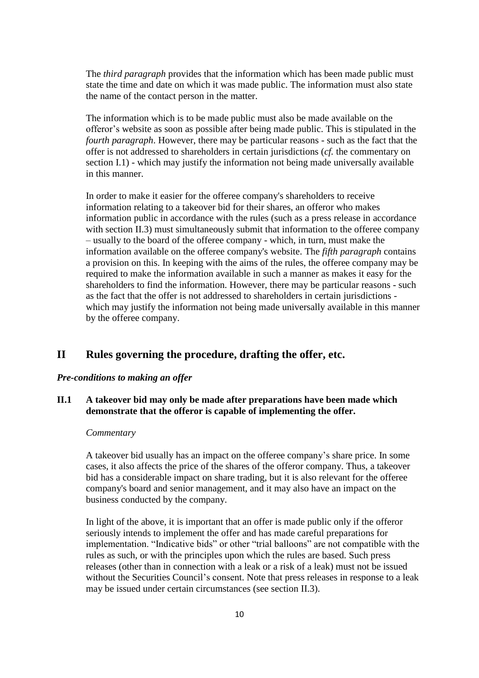The *third paragraph* provides that the information which has been made public must state the time and date on which it was made public. The information must also state the name of the contact person in the matter.

The information which is to be made public must also be made available on the offeror's website as soon as possible after being made public. This is stipulated in the *fourth paragraph*. However, there may be particular reasons - such as the fact that the offer is not addressed to shareholders in certain jurisdictions (*cf.* the commentary on section I.1) - which may justify the information not being made universally available in this manner.

In order to make it easier for the offeree company's shareholders to receive information relating to a takeover bid for their shares, an offeror who makes information public in accordance with the rules (such as a press release in accordance with section II.3) must simultaneously submit that information to the offeree company – usually to the board of the offeree company - which, in turn, must make the information available on the offeree company's website. The *fifth paragraph* contains a provision on this. In keeping with the aims of the rules, the offeree company may be required to make the information available in such a manner as makes it easy for the shareholders to find the information. However, there may be particular reasons - such as the fact that the offer is not addressed to shareholders in certain jurisdictions which may justify the information not being made universally available in this manner by the offeree company.

# **II Rules governing the procedure, drafting the offer, etc.**

### *Pre-conditions to making an offer*

# **II.1 A takeover bid may only be made after preparations have been made which demonstrate that the offeror is capable of implementing the offer.**

### *Commentary*

A takeover bid usually has an impact on the offeree company's share price. In some cases, it also affects the price of the shares of the offeror company. Thus, a takeover bid has a considerable impact on share trading, but it is also relevant for the offeree company's board and senior management, and it may also have an impact on the business conducted by the company.

In light of the above, it is important that an offer is made public only if the offeror seriously intends to implement the offer and has made careful preparations for implementation. "Indicative bids" or other "trial balloons" are not compatible with the rules as such, or with the principles upon which the rules are based. Such press releases (other than in connection with a leak or a risk of a leak) must not be issued without the Securities Council's consent. Note that press releases in response to a leak may be issued under certain circumstances (see section II.3).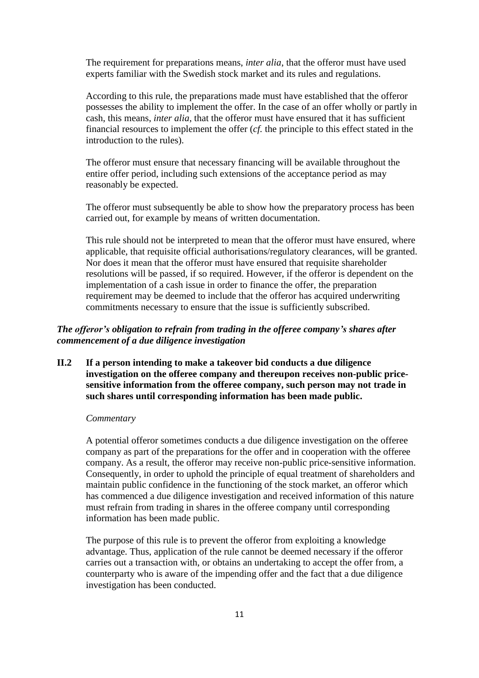The requirement for preparations means, *inter alia*, that the offeror must have used experts familiar with the Swedish stock market and its rules and regulations.

According to this rule, the preparations made must have established that the offeror possesses the ability to implement the offer. In the case of an offer wholly or partly in cash, this means, *inter alia*, that the offeror must have ensured that it has sufficient financial resources to implement the offer (*cf.* the principle to this effect stated in the introduction to the rules).

The offeror must ensure that necessary financing will be available throughout the entire offer period, including such extensions of the acceptance period as may reasonably be expected.

The offeror must subsequently be able to show how the preparatory process has been carried out, for example by means of written documentation.

This rule should not be interpreted to mean that the offeror must have ensured, where applicable, that requisite official authorisations/regulatory clearances, will be granted. Nor does it mean that the offeror must have ensured that requisite shareholder resolutions will be passed, if so required. However, if the offeror is dependent on the implementation of a cash issue in order to finance the offer, the preparation requirement may be deemed to include that the offeror has acquired underwriting commitments necessary to ensure that the issue is sufficiently subscribed.

# *The offeror's obligation to refrain from trading in the offeree company's shares after commencement of a due diligence investigation*

**II.2 If a person intending to make a takeover bid conducts a due diligence investigation on the offeree company and thereupon receives non-public pricesensitive information from the offeree company, such person may not trade in such shares until corresponding information has been made public.**

# *Commentary*

A potential offeror sometimes conducts a due diligence investigation on the offeree company as part of the preparations for the offer and in cooperation with the offeree company. As a result, the offeror may receive non-public price-sensitive information. Consequently, in order to uphold the principle of equal treatment of shareholders and maintain public confidence in the functioning of the stock market, an offeror which has commenced a due diligence investigation and received information of this nature must refrain from trading in shares in the offeree company until corresponding information has been made public.

The purpose of this rule is to prevent the offeror from exploiting a knowledge advantage. Thus, application of the rule cannot be deemed necessary if the offeror carries out a transaction with, or obtains an undertaking to accept the offer from, a counterparty who is aware of the impending offer and the fact that a due diligence investigation has been conducted.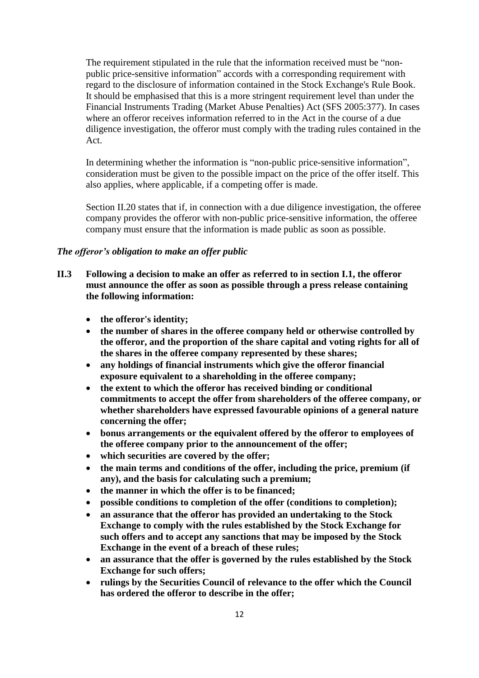The requirement stipulated in the rule that the information received must be "nonpublic price-sensitive information" accords with a corresponding requirement with regard to the disclosure of information contained in the Stock Exchange's Rule Book. It should be emphasised that this is a more stringent requirement level than under the Financial Instruments Trading (Market Abuse Penalties) Act (SFS 2005:377). In cases where an offeror receives information referred to in the Act in the course of a due diligence investigation, the offeror must comply with the trading rules contained in the Act.

In determining whether the information is "non-public price-sensitive information", consideration must be given to the possible impact on the price of the offer itself. This also applies, where applicable, if a competing offer is made.

Section II.20 states that if, in connection with a due diligence investigation, the offeree company provides the offeror with non-public price-sensitive information, the offeree company must ensure that the information is made public as soon as possible.

# *The offeror's obligation to make an offer public*

- **II.3 Following a decision to make an offer as referred to in section I.1, the offeror must announce the offer as soon as possible through a press release containing the following information:**
	- **the offeror's identity;**
	- **the number of shares in the offeree company held or otherwise controlled by the offeror, and the proportion of the share capital and voting rights for all of the shares in the offeree company represented by these shares;**
	- **any holdings of financial instruments which give the offeror financial exposure equivalent to a shareholding in the offeree company;**
	- **the extent to which the offeror has received binding or conditional commitments to accept the offer from shareholders of the offeree company, or whether shareholders have expressed favourable opinions of a general nature concerning the offer;**
	- **bonus arrangements or the equivalent offered by the offeror to employees of the offeree company prior to the announcement of the offer;**
	- **which securities are covered by the offer;**
	- **the main terms and conditions of the offer, including the price, premium (if any), and the basis for calculating such a premium;**
	- **the manner in which the offer is to be financed;**
	- **possible conditions to completion of the offer (conditions to completion);**
	- **an assurance that the offeror has provided an undertaking to the Stock Exchange to comply with the rules established by the Stock Exchange for such offers and to accept any sanctions that may be imposed by the Stock Exchange in the event of a breach of these rules;**
	- **an assurance that the offer is governed by the rules established by the Stock Exchange for such offers;**
	- **rulings by the Securities Council of relevance to the offer which the Council has ordered the offeror to describe in the offer;**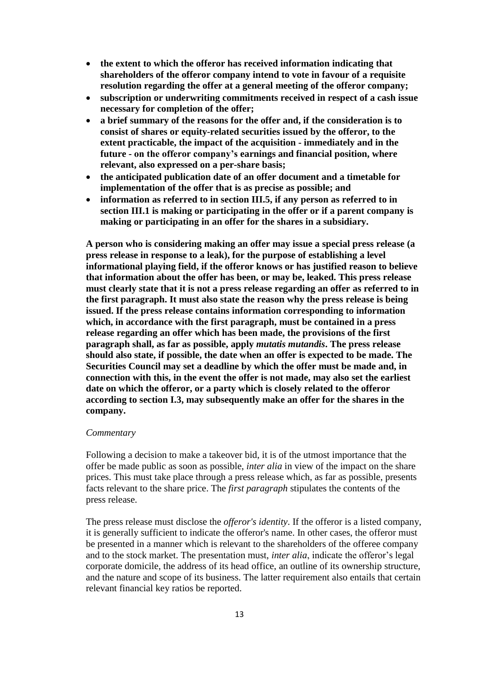- **the extent to which the offeror has received information indicating that shareholders of the offeror company intend to vote in favour of a requisite resolution regarding the offer at a general meeting of the offeror company;**
- **subscription or underwriting commitments received in respect of a cash issue necessary for completion of the offer;**
- **a brief summary of the reasons for the offer and, if the consideration is to consist of shares or equity-related securities issued by the offeror, to the extent practicable, the impact of the acquisition - immediately and in the future - on the offeror company's earnings and financial position, where relevant, also expressed on a per-share basis;**
- **the anticipated publication date of an offer document and a timetable for implementation of the offer that is as precise as possible; and**
- **information as referred to in section III.5, if any person as referred to in section III.1 is making or participating in the offer or if a parent company is making or participating in an offer for the shares in a subsidiary.**

**A person who is considering making an offer may issue a special press release (a press release in response to a leak), for the purpose of establishing a level informational playing field, if the offeror knows or has justified reason to believe that information about the offer has been, or may be, leaked. This press release must clearly state that it is not a press release regarding an offer as referred to in the first paragraph. It must also state the reason why the press release is being issued. If the press release contains information corresponding to information which, in accordance with the first paragraph, must be contained in a press release regarding an offer which has been made, the provisions of the first paragraph shall, as far as possible, apply** *mutatis mutandis***. The press release should also state, if possible, the date when an offer is expected to be made. The Securities Council may set a deadline by which the offer must be made and, in connection with this, in the event the offer is not made, may also set the earliest date on which the offeror, or a party which is closely related to the offeror according to section I.3, may subsequently make an offer for the shares in the company.**

#### *Commentary*

Following a decision to make a takeover bid, it is of the utmost importance that the offer be made public as soon as possible, *inter alia* in view of the impact on the share prices. This must take place through a press release which, as far as possible, presents facts relevant to the share price. The *first paragraph* stipulates the contents of the press release.

The press release must disclose the *offeror's identity*. If the offeror is a listed company, it is generally sufficient to indicate the offeror's name. In other cases, the offeror must be presented in a manner which is relevant to the shareholders of the offeree company and to the stock market. The presentation must, *inter alia*, indicate the offeror's legal corporate domicile, the address of its head office, an outline of its ownership structure, and the nature and scope of its business. The latter requirement also entails that certain relevant financial key ratios be reported.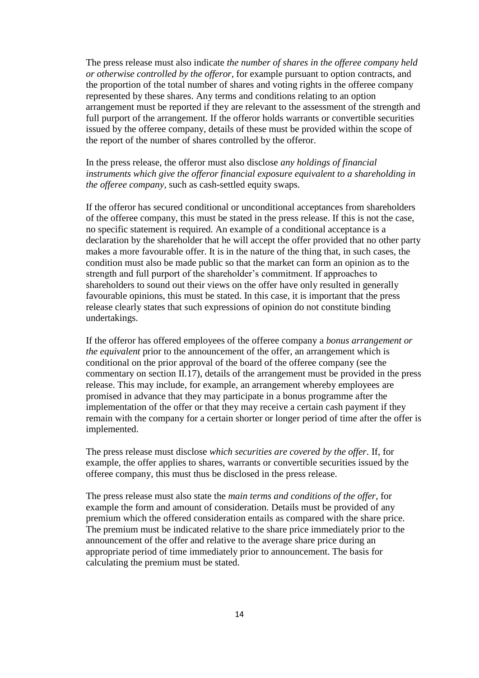The press release must also indicate *the number of shares in the offeree company held or otherwise controlled by the offeror*, for example pursuant to option contracts, and the proportion of the total number of shares and voting rights in the offeree company represented by these shares. Any terms and conditions relating to an option arrangement must be reported if they are relevant to the assessment of the strength and full purport of the arrangement. If the offeror holds warrants or convertible securities issued by the offeree company, details of these must be provided within the scope of the report of the number of shares controlled by the offeror.

In the press release, the offeror must also disclose *any holdings of financial instruments which give the offeror financial exposure equivalent to a shareholding in the offeree company,* such as cash-settled equity swaps.

If the offeror has secured conditional or unconditional acceptances from shareholders of the offeree company, this must be stated in the press release. If this is not the case, no specific statement is required. An example of a conditional acceptance is a declaration by the shareholder that he will accept the offer provided that no other party makes a more favourable offer. It is in the nature of the thing that, in such cases, the condition must also be made public so that the market can form an opinion as to the strength and full purport of the shareholder's commitment. If approaches to shareholders to sound out their views on the offer have only resulted in generally favourable opinions, this must be stated. In this case, it is important that the press release clearly states that such expressions of opinion do not constitute binding undertakings.

If the offeror has offered employees of the offeree company a *bonus arrangement or the equivalent* prior to the announcement of the offer, an arrangement which is conditional on the prior approval of the board of the offeree company (see the commentary on section II.17), details of the arrangement must be provided in the press release. This may include, for example, an arrangement whereby employees are promised in advance that they may participate in a bonus programme after the implementation of the offer or that they may receive a certain cash payment if they remain with the company for a certain shorter or longer period of time after the offer is implemented.

The press release must disclose *which securities are covered by the offer*. If, for example, the offer applies to shares, warrants or convertible securities issued by the offeree company, this must thus be disclosed in the press release.

The press release must also state the *main terms and conditions of the offer*, for example the form and amount of consideration. Details must be provided of any premium which the offered consideration entails as compared with the share price. The premium must be indicated relative to the share price immediately prior to the announcement of the offer and relative to the average share price during an appropriate period of time immediately prior to announcement. The basis for calculating the premium must be stated.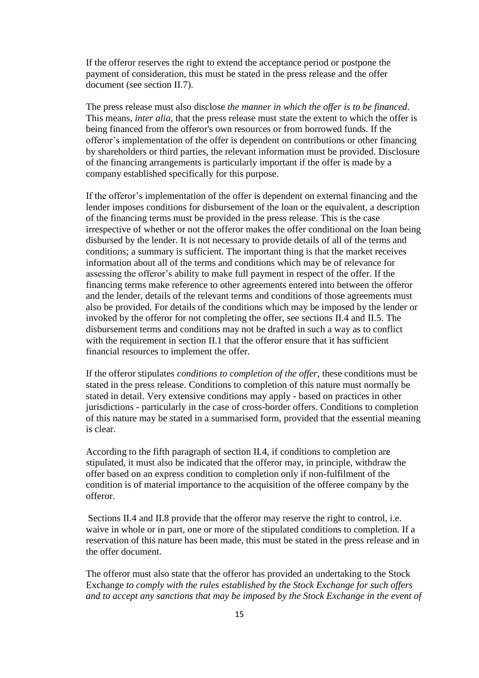If the offeror reserves the right to extend the acceptance period or postpone the payment of consideration, this must be stated in the press release and the offer document (see section II.7).

The press release must also disclose *the manner in which the offer is to be financed*. This means, *inter alia*, that the press release must state the extent to which the offer is being financed from the offeror's own resources or from borrowed funds. If the offeror's implementation of the offer is dependent on contributions or other financing by shareholders or third parties, the relevant information must be provided. Disclosure of the financing arrangements is particularly important if the offer is made by a company established specifically for this purpose.

If the offeror's implementation of the offer is dependent on external financing and the lender imposes conditions for disbursement of the loan or the equivalent, a description of the financing terms must be provided in the press release. This is the case irrespective of whether or not the offeror makes the offer conditional on the loan being disbursed by the lender. It is not necessary to provide details of all of the terms and conditions; a summary is sufficient. The important thing is that the market receives information about all of the terms and conditions which may be of relevance for assessing the offeror's ability to make full payment in respect of the offer. If the financing terms make reference to other agreements entered into between the offeror and the lender, details of the relevant terms and conditions of those agreements must also be provided. For details of the conditions which may be imposed by the lender or invoked by the offeror for not completing the offer, see sections II.4 and II.5. The disbursement terms and conditions may not be drafted in such a way as to conflict with the requirement in section II.1 that the offeror ensure that it has sufficient financial resources to implement the offer.

If the offeror stipulates *conditions to completion of the offer*, these conditions must be stated in the press release. Conditions to completion of this nature must normally be stated in detail. Very extensive conditions may apply - based on practices in other jurisdictions - particularly in the case of cross-border offers. Conditions to completion of this nature may be stated in a summarised form, provided that the essential meaning is clear.

According to the fifth paragraph of section II.4, if conditions to completion are stipulated, it must also be indicated that the offeror may, in principle, withdraw the offer based on an express condition to completion only if non-fulfilment of the condition is of material importance to the acquisition of the offeree company by the offeror.

Sections II.4 and II.8 provide that the offeror may reserve the right to control, i.e. waive in whole or in part, one or more of the stipulated conditions to completion. If a reservation of this nature has been made, this must be stated in the press release and in the offer document.

The offeror must also state that the offeror has provided an undertaking to the Stock Exchange *to comply with the rules established by the Stock Exchange for such offers and to accept any sanctions that may be imposed by the Stock Exchange in the event of*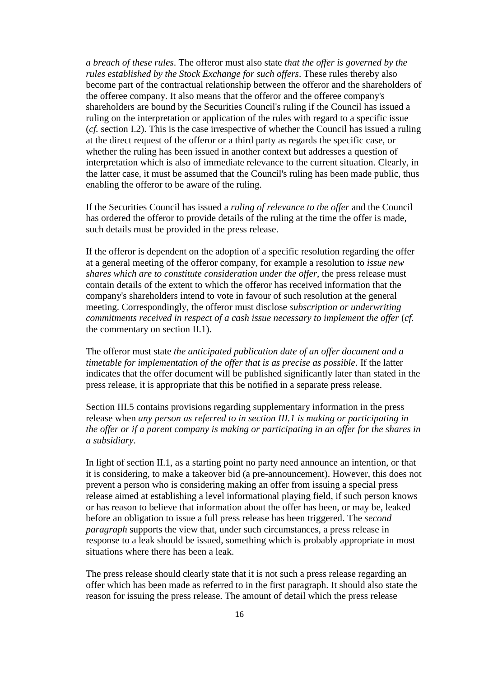*a breach of these rules*. The offeror must also state *that the offer is governed by the rules established by the Stock Exchange for such offers*. These rules thereby also become part of the contractual relationship between the offeror and the shareholders of the offeree company. It also means that the offeror and the offeree company's shareholders are bound by the Securities Council's ruling if the Council has issued a ruling on the interpretation or application of the rules with regard to a specific issue (*cf.* section I.2). This is the case irrespective of whether the Council has issued a ruling at the direct request of the offeror or a third party as regards the specific case, or whether the ruling has been issued in another context but addresses a question of interpretation which is also of immediate relevance to the current situation. Clearly, in the latter case, it must be assumed that the Council's ruling has been made public, thus enabling the offeror to be aware of the ruling.

If the Securities Council has issued a *ruling of relevance to the offer* and the Council has ordered the offeror to provide details of the ruling at the time the offer is made, such details must be provided in the press release.

If the offeror is dependent on the adoption of a specific resolution regarding the offer at a general meeting of the offeror company, for example a resolution to *issue new shares which are to constitute consideration under the offer*, the press release must contain details of the extent to which the offeror has received information that the company's shareholders intend to vote in favour of such resolution at the general meeting. Correspondingly, the offeror must disclose *subscription or underwriting commitments received in respect of a cash issue necessary to implement the offer* (*cf.* the commentary on section II.1).

The offeror must state *the anticipated publication date of an offer document and a timetable for implementation of the offer that is as precise as possible*. If the latter indicates that the offer document will be published significantly later than stated in the press release, it is appropriate that this be notified in a separate press release.

Section III.5 contains provisions regarding supplementary information in the press release when *any person as referred to in section III.1 is making or participating in the offer or if a parent company is making or participating in an offer for the shares in a subsidiary*.

In light of section II.1, as a starting point no party need announce an intention, or that it is considering, to make a takeover bid (a pre-announcement). However, this does not prevent a person who is considering making an offer from issuing a special press release aimed at establishing a level informational playing field, if such person knows or has reason to believe that information about the offer has been, or may be, leaked before an obligation to issue a full press release has been triggered. The *second paragraph* supports the view that, under such circumstances, a press release in response to a leak should be issued, something which is probably appropriate in most situations where there has been a leak.

The press release should clearly state that it is not such a press release regarding an offer which has been made as referred to in the first paragraph. It should also state the reason for issuing the press release. The amount of detail which the press release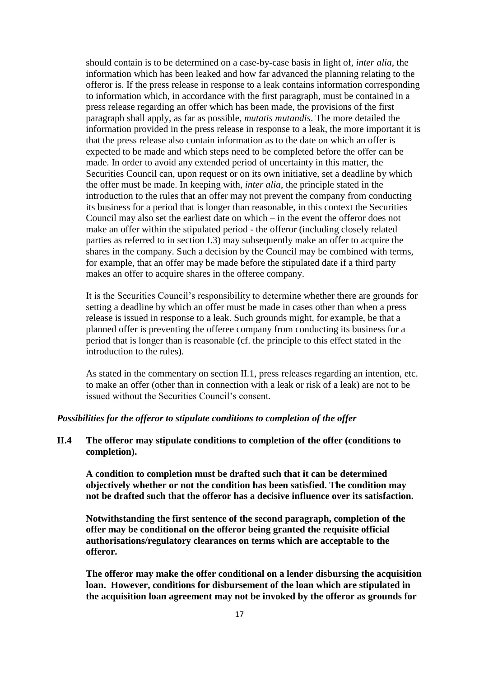should contain is to be determined on a case-by-case basis in light of, *inter alia*, the information which has been leaked and how far advanced the planning relating to the offeror is. If the press release in response to a leak contains information corresponding to information which, in accordance with the first paragraph, must be contained in a press release regarding an offer which has been made, the provisions of the first paragraph shall apply, as far as possible, *mutatis mutandis*. The more detailed the information provided in the press release in response to a leak, the more important it is that the press release also contain information as to the date on which an offer is expected to be made and which steps need to be completed before the offer can be made. In order to avoid any extended period of uncertainty in this matter, the Securities Council can, upon request or on its own initiative, set a deadline by which the offer must be made. In keeping with, *inter alia*, the principle stated in the introduction to the rules that an offer may not prevent the company from conducting its business for a period that is longer than reasonable, in this context the Securities Council may also set the earliest date on which – in the event the offeror does not make an offer within the stipulated period - the offeror (including closely related parties as referred to in section I.3) may subsequently make an offer to acquire the shares in the company. Such a decision by the Council may be combined with terms, for example, that an offer may be made before the stipulated date if a third party makes an offer to acquire shares in the offeree company.

It is the Securities Council's responsibility to determine whether there are grounds for setting a deadline by which an offer must be made in cases other than when a press release is issued in response to a leak. Such grounds might, for example, be that a planned offer is preventing the offeree company from conducting its business for a period that is longer than is reasonable (cf. the principle to this effect stated in the introduction to the rules).

As stated in the commentary on section II.1, press releases regarding an intention, etc. to make an offer (other than in connection with a leak or risk of a leak) are not to be issued without the Securities Council's consent.

### *Possibilities for the offeror to stipulate conditions to completion of the offer*

# **II.4 The offeror may stipulate conditions to completion of the offer (conditions to completion).**

**A condition to completion must be drafted such that it can be determined objectively whether or not the condition has been satisfied. The condition may not be drafted such that the offeror has a decisive influence over its satisfaction.**

**Notwithstanding the first sentence of the second paragraph, completion of the offer may be conditional on the offeror being granted the requisite official authorisations/regulatory clearances on terms which are acceptable to the offeror.**

**The offeror may make the offer conditional on a lender disbursing the acquisition loan. However, conditions for disbursement of the loan which are stipulated in the acquisition loan agreement may not be invoked by the offeror as grounds for**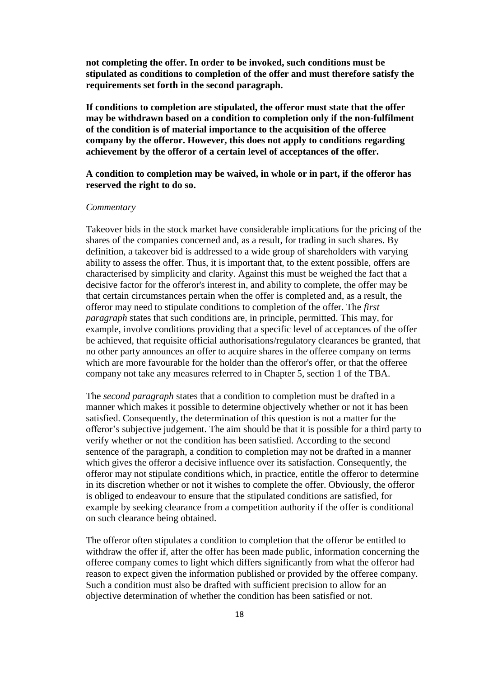**not completing the offer. In order to be invoked, such conditions must be stipulated as conditions to completion of the offer and must therefore satisfy the requirements set forth in the second paragraph.**

**If conditions to completion are stipulated, the offeror must state that the offer may be withdrawn based on a condition to completion only if the non-fulfilment of the condition is of material importance to the acquisition of the offeree company by the offeror. However, this does not apply to conditions regarding achievement by the offeror of a certain level of acceptances of the offer.**

# **A condition to completion may be waived, in whole or in part, if the offeror has reserved the right to do so.**

#### *Commentary*

Takeover bids in the stock market have considerable implications for the pricing of the shares of the companies concerned and, as a result, for trading in such shares. By definition, a takeover bid is addressed to a wide group of shareholders with varying ability to assess the offer. Thus, it is important that, to the extent possible, offers are characterised by simplicity and clarity. Against this must be weighed the fact that a decisive factor for the offeror's interest in, and ability to complete, the offer may be that certain circumstances pertain when the offer is completed and, as a result, the offeror may need to stipulate conditions to completion of the offer. The *first paragraph* states that such conditions are, in principle, permitted. This may, for example, involve conditions providing that a specific level of acceptances of the offer be achieved, that requisite official authorisations/regulatory clearances be granted, that no other party announces an offer to acquire shares in the offeree company on terms which are more favourable for the holder than the offeror's offer, or that the offeree company not take any measures referred to in Chapter 5, section 1 of the TBA.

The *second paragraph* states that a condition to completion must be drafted in a manner which makes it possible to determine objectively whether or not it has been satisfied. Consequently, the determination of this question is not a matter for the offeror's subjective judgement. The aim should be that it is possible for a third party to verify whether or not the condition has been satisfied. According to the second sentence of the paragraph, a condition to completion may not be drafted in a manner which gives the offeror a decisive influence over its satisfaction. Consequently, the offeror may not stipulate conditions which, in practice, entitle the offeror to determine in its discretion whether or not it wishes to complete the offer. Obviously, the offeror is obliged to endeavour to ensure that the stipulated conditions are satisfied, for example by seeking clearance from a competition authority if the offer is conditional on such clearance being obtained.

The offeror often stipulates a condition to completion that the offeror be entitled to withdraw the offer if, after the offer has been made public, information concerning the offeree company comes to light which differs significantly from what the offeror had reason to expect given the information published or provided by the offeree company. Such a condition must also be drafted with sufficient precision to allow for an objective determination of whether the condition has been satisfied or not.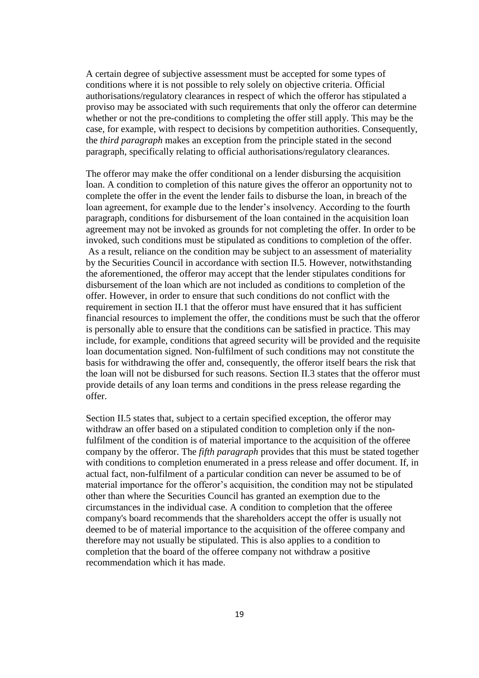A certain degree of subjective assessment must be accepted for some types of conditions where it is not possible to rely solely on objective criteria. Official authorisations/regulatory clearances in respect of which the offeror has stipulated a proviso may be associated with such requirements that only the offeror can determine whether or not the pre-conditions to completing the offer still apply. This may be the case, for example, with respect to decisions by competition authorities. Consequently, the *third paragraph* makes an exception from the principle stated in the second paragraph, specifically relating to official authorisations/regulatory clearances.

The offeror may make the offer conditional on a lender disbursing the acquisition loan. A condition to completion of this nature gives the offeror an opportunity not to complete the offer in the event the lender fails to disburse the loan, in breach of the loan agreement, for example due to the lender's insolvency. According to the fourth paragraph, conditions for disbursement of the loan contained in the acquisition loan agreement may not be invoked as grounds for not completing the offer. In order to be invoked, such conditions must be stipulated as conditions to completion of the offer. As a result, reliance on the condition may be subject to an assessment of materiality by the Securities Council in accordance with section II.5. However, notwithstanding the aforementioned, the offeror may accept that the lender stipulates conditions for disbursement of the loan which are not included as conditions to completion of the offer. However, in order to ensure that such conditions do not conflict with the requirement in section II.1 that the offeror must have ensured that it has sufficient financial resources to implement the offer, the conditions must be such that the offeror is personally able to ensure that the conditions can be satisfied in practice. This may include, for example, conditions that agreed security will be provided and the requisite loan documentation signed. Non-fulfilment of such conditions may not constitute the basis for withdrawing the offer and, consequently, the offeror itself bears the risk that the loan will not be disbursed for such reasons. Section II.3 states that the offeror must provide details of any loan terms and conditions in the press release regarding the offer.

Section II.5 states that, subject to a certain specified exception, the offeror may withdraw an offer based on a stipulated condition to completion only if the nonfulfilment of the condition is of material importance to the acquisition of the offeree company by the offeror. The *fifth paragraph* provides that this must be stated together with conditions to completion enumerated in a press release and offer document. If, in actual fact, non-fulfilment of a particular condition can never be assumed to be of material importance for the offeror's acquisition, the condition may not be stipulated other than where the Securities Council has granted an exemption due to the circumstances in the individual case. A condition to completion that the offeree company's board recommends that the shareholders accept the offer is usually not deemed to be of material importance to the acquisition of the offeree company and therefore may not usually be stipulated. This is also applies to a condition to completion that the board of the offeree company not withdraw a positive recommendation which it has made.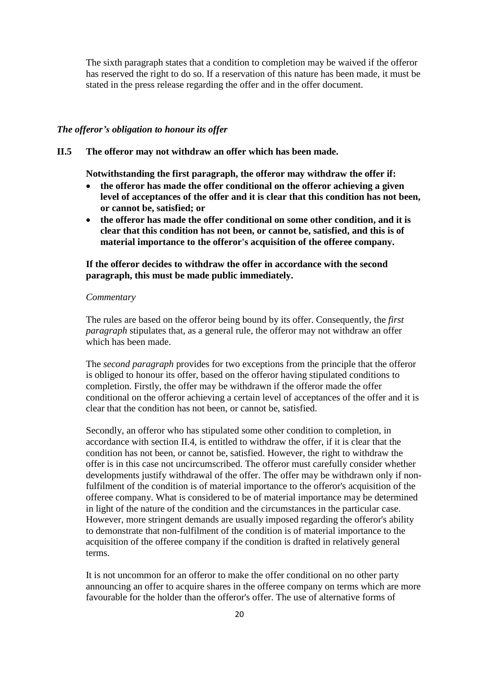The sixth paragraph states that a condition to completion may be waived if the offeror has reserved the right to do so. If a reservation of this nature has been made, it must be stated in the press release regarding the offer and in the offer document.

# *The offeror's obligation to honour its offer*

#### **II.5 The offeror may not withdraw an offer which has been made.**

**Notwithstanding the first paragraph, the offeror may withdraw the offer if:**

- **the offeror has made the offer conditional on the offeror achieving a given level of acceptances of the offer and it is clear that this condition has not been, or cannot be, satisfied; or**
- **the offeror has made the offer conditional on some other condition, and it is clear that this condition has not been, or cannot be, satisfied, and this is of material importance to the offeror's acquisition of the offeree company.**

# **If the offeror decides to withdraw the offer in accordance with the second paragraph, this must be made public immediately.**

## *Commentary*

The rules are based on the offeror being bound by its offer. Consequently, the *first paragraph* stipulates that, as a general rule, the offeror may not withdraw an offer which has been made.

The *second paragraph* provides for two exceptions from the principle that the offeror is obliged to honour its offer, based on the offeror having stipulated conditions to completion. Firstly, the offer may be withdrawn if the offeror made the offer conditional on the offeror achieving a certain level of acceptances of the offer and it is clear that the condition has not been, or cannot be, satisfied.

Secondly, an offeror who has stipulated some other condition to completion, in accordance with section II.4, is entitled to withdraw the offer, if it is clear that the condition has not been, or cannot be, satisfied. However, the right to withdraw the offer is in this case not uncircumscribed. The offeror must carefully consider whether developments justify withdrawal of the offer. The offer may be withdrawn only if nonfulfilment of the condition is of material importance to the offeror's acquisition of the offeree company. What is considered to be of material importance may be determined in light of the nature of the condition and the circumstances in the particular case. However, more stringent demands are usually imposed regarding the offeror's ability to demonstrate that non-fulfilment of the condition is of material importance to the acquisition of the offeree company if the condition is drafted in relatively general terms.

It is not uncommon for an offeror to make the offer conditional on no other party announcing an offer to acquire shares in the offeree company on terms which are more favourable for the holder than the offeror's offer. The use of alternative forms of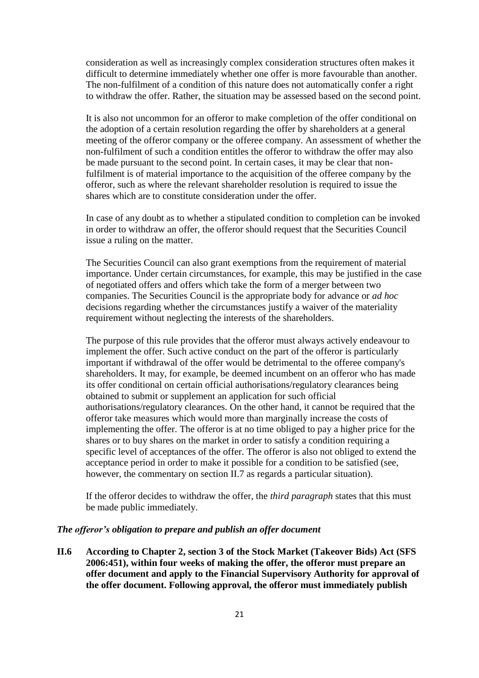consideration as well as increasingly complex consideration structures often makes it difficult to determine immediately whether one offer is more favourable than another. The non-fulfilment of a condition of this nature does not automatically confer a right to withdraw the offer. Rather, the situation may be assessed based on the second point.

It is also not uncommon for an offeror to make completion of the offer conditional on the adoption of a certain resolution regarding the offer by shareholders at a general meeting of the offeror company or the offeree company. An assessment of whether the non-fulfilment of such a condition entitles the offeror to withdraw the offer may also be made pursuant to the second point. In certain cases, it may be clear that nonfulfilment is of material importance to the acquisition of the offeree company by the offeror, such as where the relevant shareholder resolution is required to issue the shares which are to constitute consideration under the offer.

In case of any doubt as to whether a stipulated condition to completion can be invoked in order to withdraw an offer, the offeror should request that the Securities Council issue a ruling on the matter.

The Securities Council can also grant exemptions from the requirement of material importance. Under certain circumstances, for example, this may be justified in the case of negotiated offers and offers which take the form of a merger between two companies. The Securities Council is the appropriate body for advance or *ad hoc* decisions regarding whether the circumstances justify a waiver of the materiality requirement without neglecting the interests of the shareholders.

The purpose of this rule provides that the offeror must always actively endeavour to implement the offer. Such active conduct on the part of the offeror is particularly important if withdrawal of the offer would be detrimental to the offeree company's shareholders. It may, for example, be deemed incumbent on an offeror who has made its offer conditional on certain official authorisations/regulatory clearances being obtained to submit or supplement an application for such official authorisations/regulatory clearances. On the other hand, it cannot be required that the offeror take measures which would more than marginally increase the costs of implementing the offer. The offeror is at no time obliged to pay a higher price for the shares or to buy shares on the market in order to satisfy a condition requiring a specific level of acceptances of the offer. The offeror is also not obliged to extend the acceptance period in order to make it possible for a condition to be satisfied (see, however, the commentary on section II.7 as regards a particular situation).

If the offeror decides to withdraw the offer, the *third paragraph* states that this must be made public immediately.

### *The offeror's obligation to prepare and publish an offer document*

**II.6 According to Chapter 2, section 3 of the Stock Market (Takeover Bids) Act (SFS 2006:451), within four weeks of making the offer, the offeror must prepare an offer document and apply to the Financial Supervisory Authority for approval of the offer document. Following approval, the offeror must immediately publish**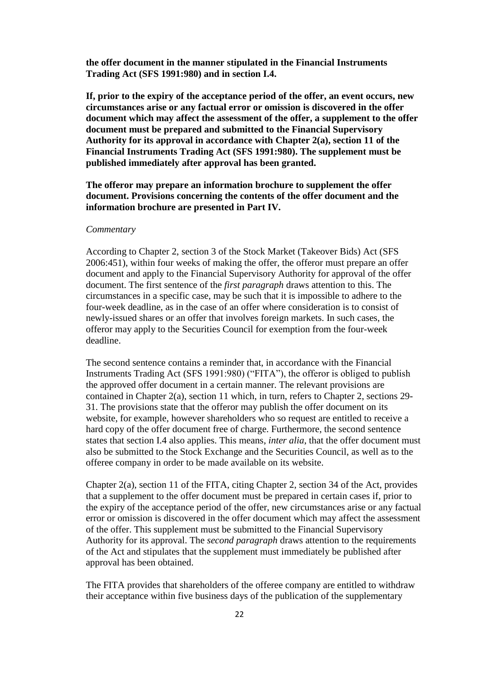**the offer document in the manner stipulated in the Financial Instruments Trading Act (SFS 1991:980) and in section I.4.**

**If, prior to the expiry of the acceptance period of the offer, an event occurs, new circumstances arise or any factual error or omission is discovered in the offer document which may affect the assessment of the offer, a supplement to the offer document must be prepared and submitted to the Financial Supervisory Authority for its approval in accordance with Chapter 2(a), section 11 of the Financial Instruments Trading Act (SFS 1991:980). The supplement must be published immediately after approval has been granted.**

**The offeror may prepare an information brochure to supplement the offer document. Provisions concerning the contents of the offer document and the information brochure are presented in Part IV.**

#### *Commentary*

According to Chapter 2, section 3 of the Stock Market (Takeover Bids) Act (SFS 2006:451), within four weeks of making the offer, the offeror must prepare an offer document and apply to the Financial Supervisory Authority for approval of the offer document. The first sentence of the *first paragraph* draws attention to this. The circumstances in a specific case, may be such that it is impossible to adhere to the four-week deadline, as in the case of an offer where consideration is to consist of newly-issued shares or an offer that involves foreign markets. In such cases, the offeror may apply to the Securities Council for exemption from the four-week deadline.

The second sentence contains a reminder that, in accordance with the Financial Instruments Trading Act (SFS 1991:980) ("FITA"), the offeror is obliged to publish the approved offer document in a certain manner. The relevant provisions are contained in Chapter 2(a), section 11 which, in turn, refers to Chapter 2, sections 29- 31. The provisions state that the offeror may publish the offer document on its website, for example, however shareholders who so request are entitled to receive a hard copy of the offer document free of charge. Furthermore, the second sentence states that section I.4 also applies. This means, *inter alia*, that the offer document must also be submitted to the Stock Exchange and the Securities Council, as well as to the offeree company in order to be made available on its website.

Chapter 2(a), section 11 of the FITA, citing Chapter 2, section 34 of the Act, provides that a supplement to the offer document must be prepared in certain cases if, prior to the expiry of the acceptance period of the offer, new circumstances arise or any factual error or omission is discovered in the offer document which may affect the assessment of the offer. This supplement must be submitted to the Financial Supervisory Authority for its approval. The *second paragraph* draws attention to the requirements of the Act and stipulates that the supplement must immediately be published after approval has been obtained.

The FITA provides that shareholders of the offeree company are entitled to withdraw their acceptance within five business days of the publication of the supplementary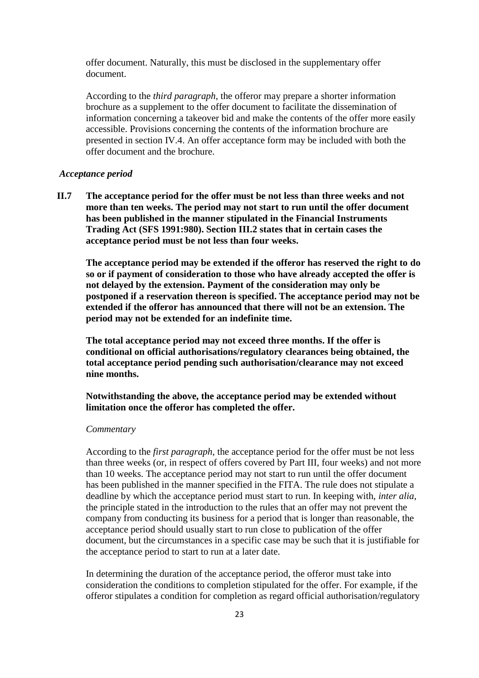offer document. Naturally, this must be disclosed in the supplementary offer document.

According to the *third paragraph*, the offeror may prepare a shorter information brochure as a supplement to the offer document to facilitate the dissemination of information concerning a takeover bid and make the contents of the offer more easily accessible. Provisions concerning the contents of the information brochure are presented in section IV.4. An offer acceptance form may be included with both the offer document and the brochure.

#### *Acceptance period*

**II.7 The acceptance period for the offer must be not less than three weeks and not more than ten weeks. The period may not start to run until the offer document has been published in the manner stipulated in the Financial Instruments Trading Act (SFS 1991:980). Section III.2 states that in certain cases the acceptance period must be not less than four weeks.**

**The acceptance period may be extended if the offeror has reserved the right to do so or if payment of consideration to those who have already accepted the offer is not delayed by the extension. Payment of the consideration may only be postponed if a reservation thereon is specified. The acceptance period may not be extended if the offeror has announced that there will not be an extension. The period may not be extended for an indefinite time.**

**The total acceptance period may not exceed three months. If the offer is conditional on official authorisations/regulatory clearances being obtained, the total acceptance period pending such authorisation/clearance may not exceed nine months.**

# **Notwithstanding the above, the acceptance period may be extended without limitation once the offeror has completed the offer.**

#### *Commentary*

According to the *first paragraph*, the acceptance period for the offer must be not less than three weeks (or, in respect of offers covered by Part III, four weeks) and not more than 10 weeks. The acceptance period may not start to run until the offer document has been published in the manner specified in the FITA. The rule does not stipulate a deadline by which the acceptance period must start to run. In keeping with, *inter alia*, the principle stated in the introduction to the rules that an offer may not prevent the company from conducting its business for a period that is longer than reasonable, the acceptance period should usually start to run close to publication of the offer document, but the circumstances in a specific case may be such that it is justifiable for the acceptance period to start to run at a later date.

In determining the duration of the acceptance period, the offeror must take into consideration the conditions to completion stipulated for the offer. For example, if the offeror stipulates a condition for completion as regard official authorisation/regulatory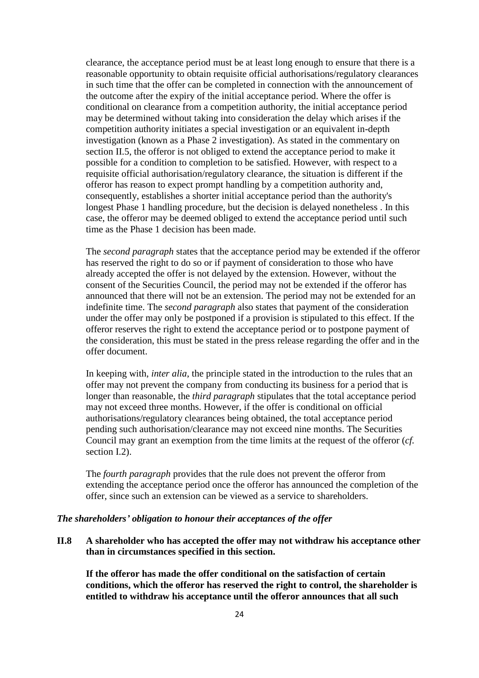clearance, the acceptance period must be at least long enough to ensure that there is a reasonable opportunity to obtain requisite official authorisations/regulatory clearances in such time that the offer can be completed in connection with the announcement of the outcome after the expiry of the initial acceptance period. Where the offer is conditional on clearance from a competition authority, the initial acceptance period may be determined without taking into consideration the delay which arises if the competition authority initiates a special investigation or an equivalent in-depth investigation (known as a Phase 2 investigation). As stated in the commentary on section II.5, the offeror is not obliged to extend the acceptance period to make it possible for a condition to completion to be satisfied. However, with respect to a requisite official authorisation/regulatory clearance, the situation is different if the offeror has reason to expect prompt handling by a competition authority and, consequently, establishes a shorter initial acceptance period than the authority's longest Phase 1 handling procedure, but the decision is delayed nonetheless . In this case, the offeror may be deemed obliged to extend the acceptance period until such time as the Phase 1 decision has been made.

The *second paragraph* states that the acceptance period may be extended if the offeror has reserved the right to do so or if payment of consideration to those who have already accepted the offer is not delayed by the extension. However, without the consent of the Securities Council, the period may not be extended if the offeror has announced that there will not be an extension. The period may not be extended for an indefinite time. The *second paragraph* also states that payment of the consideration under the offer may only be postponed if a provision is stipulated to this effect. If the offeror reserves the right to extend the acceptance period or to postpone payment of the consideration, this must be stated in the press release regarding the offer and in the offer document.

In keeping with, *inter alia*, the principle stated in the introduction to the rules that an offer may not prevent the company from conducting its business for a period that is longer than reasonable, the *third paragraph* stipulates that the total acceptance period may not exceed three months. However, if the offer is conditional on official authorisations/regulatory clearances being obtained, the total acceptance period pending such authorisation/clearance may not exceed nine months. The Securities Council may grant an exemption from the time limits at the request of the offeror (*cf.* section I.2).

The *fourth paragraph* provides that the rule does not prevent the offeror from extending the acceptance period once the offeror has announced the completion of the offer, since such an extension can be viewed as a service to shareholders.

# *The shareholders' obligation to honour their acceptances of the offer*

**II.8 A shareholder who has accepted the offer may not withdraw his acceptance other than in circumstances specified in this section.**

**If the offeror has made the offer conditional on the satisfaction of certain conditions, which the offeror has reserved the right to control, the shareholder is entitled to withdraw his acceptance until the offeror announces that all such**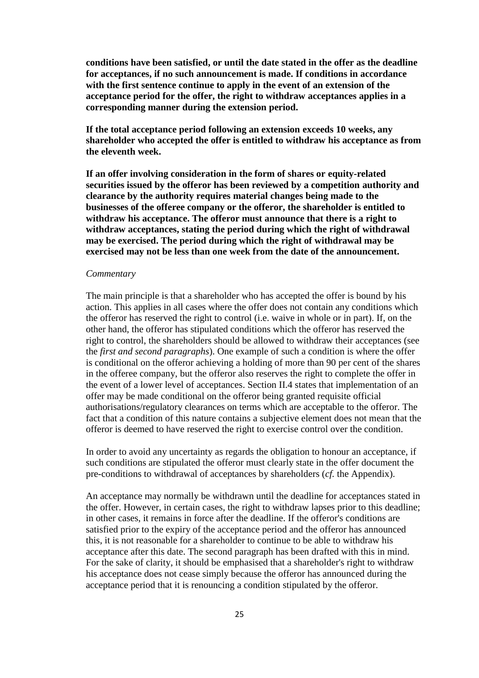**conditions have been satisfied, or until the date stated in the offer as the deadline for acceptances, if no such announcement is made. If conditions in accordance with the first sentence continue to apply in the event of an extension of the acceptance period for the offer, the right to withdraw acceptances applies in a corresponding manner during the extension period.**

**If the total acceptance period following an extension exceeds 10 weeks, any shareholder who accepted the offer is entitled to withdraw his acceptance as from the eleventh week.**

**If an offer involving consideration in the form of shares or equity-related securities issued by the offeror has been reviewed by a competition authority and clearance by the authority requires material changes being made to the businesses of the offeree company or the offeror, the shareholder is entitled to withdraw his acceptance. The offeror must announce that there is a right to withdraw acceptances, stating the period during which the right of withdrawal may be exercised. The period during which the right of withdrawal may be exercised may not be less than one week from the date of the announcement.**

#### *Commentary*

The main principle is that a shareholder who has accepted the offer is bound by his action. This applies in all cases where the offer does not contain any conditions which the offeror has reserved the right to control (i.e. waive in whole or in part). If, on the other hand, the offeror has stipulated conditions which the offeror has reserved the right to control, the shareholders should be allowed to withdraw their acceptances (see the *first and second paragraphs*). One example of such a condition is where the offer is conditional on the offeror achieving a holding of more than 90 per cent of the shares in the offeree company, but the offeror also reserves the right to complete the offer in the event of a lower level of acceptances. Section II.4 states that implementation of an offer may be made conditional on the offeror being granted requisite official authorisations/regulatory clearances on terms which are acceptable to the offeror. The fact that a condition of this nature contains a subjective element does not mean that the offeror is deemed to have reserved the right to exercise control over the condition.

In order to avoid any uncertainty as regards the obligation to honour an acceptance, if such conditions are stipulated the offeror must clearly state in the offer document the pre-conditions to withdrawal of acceptances by shareholders (*cf.* the Appendix).

An acceptance may normally be withdrawn until the deadline for acceptances stated in the offer. However, in certain cases, the right to withdraw lapses prior to this deadline; in other cases, it remains in force after the deadline. If the offeror's conditions are satisfied prior to the expiry of the acceptance period and the offeror has announced this, it is not reasonable for a shareholder to continue to be able to withdraw his acceptance after this date. The second paragraph has been drafted with this in mind. For the sake of clarity, it should be emphasised that a shareholder's right to withdraw his acceptance does not cease simply because the offeror has announced during the acceptance period that it is renouncing a condition stipulated by the offeror.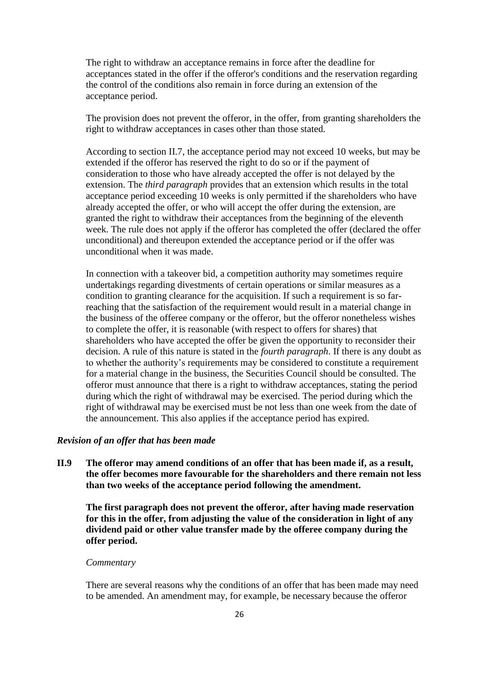The right to withdraw an acceptance remains in force after the deadline for acceptances stated in the offer if the offeror's conditions and the reservation regarding the control of the conditions also remain in force during an extension of the acceptance period.

The provision does not prevent the offeror, in the offer, from granting shareholders the right to withdraw acceptances in cases other than those stated.

According to section II.7, the acceptance period may not exceed 10 weeks, but may be extended if the offeror has reserved the right to do so or if the payment of consideration to those who have already accepted the offer is not delayed by the extension. The *third paragraph* provides that an extension which results in the total acceptance period exceeding 10 weeks is only permitted if the shareholders who have already accepted the offer, or who will accept the offer during the extension, are granted the right to withdraw their acceptances from the beginning of the eleventh week. The rule does not apply if the offeror has completed the offer (declared the offer unconditional) and thereupon extended the acceptance period or if the offer was unconditional when it was made.

In connection with a takeover bid, a competition authority may sometimes require undertakings regarding divestments of certain operations or similar measures as a condition to granting clearance for the acquisition. If such a requirement is so farreaching that the satisfaction of the requirement would result in a material change in the business of the offeree company or the offeror, but the offeror nonetheless wishes to complete the offer, it is reasonable (with respect to offers for shares) that shareholders who have accepted the offer be given the opportunity to reconsider their decision. A rule of this nature is stated in the *fourth paragraph*. If there is any doubt as to whether the authority's requirements may be considered to constitute a requirement for a material change in the business, the Securities Council should be consulted. The offeror must announce that there is a right to withdraw acceptances, stating the period during which the right of withdrawal may be exercised. The period during which the right of withdrawal may be exercised must be not less than one week from the date of the announcement. This also applies if the acceptance period has expired.

## *Revision of an offer that has been made*

**II.9 The offeror may amend conditions of an offer that has been made if, as a result, the offer becomes more favourable for the shareholders and there remain not less than two weeks of the acceptance period following the amendment.**

**The first paragraph does not prevent the offeror, after having made reservation for this in the offer, from adjusting the value of the consideration in light of any dividend paid or other value transfer made by the offeree company during the offer period.**

# *Commentary*

There are several reasons why the conditions of an offer that has been made may need to be amended. An amendment may, for example, be necessary because the offeror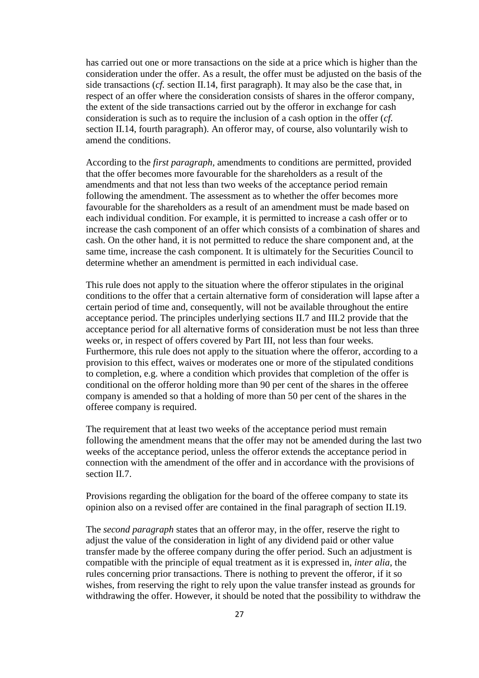has carried out one or more transactions on the side at a price which is higher than the consideration under the offer. As a result, the offer must be adjusted on the basis of the side transactions (*cf.* section II.14, first paragraph). It may also be the case that, in respect of an offer where the consideration consists of shares in the offeror company, the extent of the side transactions carried out by the offeror in exchange for cash consideration is such as to require the inclusion of a cash option in the offer (*cf.* section II.14, fourth paragraph). An offeror may, of course, also voluntarily wish to amend the conditions.

According to the *first paragraph,* amendments to conditions are permitted, provided that the offer becomes more favourable for the shareholders as a result of the amendments and that not less than two weeks of the acceptance period remain following the amendment. The assessment as to whether the offer becomes more favourable for the shareholders as a result of an amendment must be made based on each individual condition. For example, it is permitted to increase a cash offer or to increase the cash component of an offer which consists of a combination of shares and cash. On the other hand, it is not permitted to reduce the share component and, at the same time, increase the cash component. It is ultimately for the Securities Council to determine whether an amendment is permitted in each individual case.

This rule does not apply to the situation where the offeror stipulates in the original conditions to the offer that a certain alternative form of consideration will lapse after a certain period of time and, consequently, will not be available throughout the entire acceptance period. The principles underlying sections II.7 and III.2 provide that the acceptance period for all alternative forms of consideration must be not less than three weeks or, in respect of offers covered by Part III, not less than four weeks. Furthermore, this rule does not apply to the situation where the offeror, according to a provision to this effect, waives or moderates one or more of the stipulated conditions to completion, e.g. where a condition which provides that completion of the offer is conditional on the offeror holding more than 90 per cent of the shares in the offeree company is amended so that a holding of more than 50 per cent of the shares in the offeree company is required.

The requirement that at least two weeks of the acceptance period must remain following the amendment means that the offer may not be amended during the last two weeks of the acceptance period, unless the offeror extends the acceptance period in connection with the amendment of the offer and in accordance with the provisions of section II.7.

Provisions regarding the obligation for the board of the offeree company to state its opinion also on a revised offer are contained in the final paragraph of section II.19.

The *second paragraph* states that an offeror may, in the offer, reserve the right to adjust the value of the consideration in light of any dividend paid or other value transfer made by the offeree company during the offer period. Such an adjustment is compatible with the principle of equal treatment as it is expressed in, *inter alia*, the rules concerning prior transactions. There is nothing to prevent the offeror, if it so wishes, from reserving the right to rely upon the value transfer instead as grounds for withdrawing the offer. However, it should be noted that the possibility to withdraw the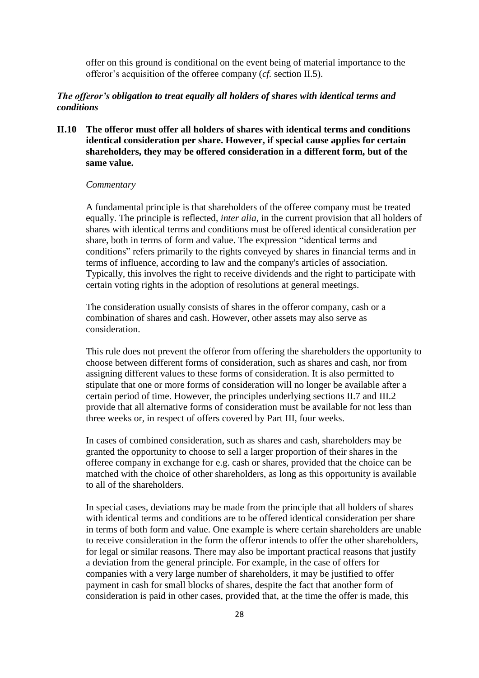offer on this ground is conditional on the event being of material importance to the offeror's acquisition of the offeree company (*cf.* section II.5).

# *The offeror's obligation to treat equally all holders of shares with identical terms and conditions*

# **II.10 The offeror must offer all holders of shares with identical terms and conditions identical consideration per share. However, if special cause applies for certain shareholders, they may be offered consideration in a different form, but of the same value.**

### *Commentary*

A fundamental principle is that shareholders of the offeree company must be treated equally. The principle is reflected, *inter alia*, in the current provision that all holders of shares with identical terms and conditions must be offered identical consideration per share, both in terms of form and value. The expression "identical terms and conditions" refers primarily to the rights conveyed by shares in financial terms and in terms of influence, according to law and the company's articles of association. Typically, this involves the right to receive dividends and the right to participate with certain voting rights in the adoption of resolutions at general meetings.

The consideration usually consists of shares in the offeror company, cash or a combination of shares and cash. However, other assets may also serve as consideration.

This rule does not prevent the offeror from offering the shareholders the opportunity to choose between different forms of consideration, such as shares and cash, nor from assigning different values to these forms of consideration. It is also permitted to stipulate that one or more forms of consideration will no longer be available after a certain period of time. However, the principles underlying sections II.7 and III.2 provide that all alternative forms of consideration must be available for not less than three weeks or, in respect of offers covered by Part III, four weeks.

In cases of combined consideration, such as shares and cash, shareholders may be granted the opportunity to choose to sell a larger proportion of their shares in the offeree company in exchange for e.g. cash or shares, provided that the choice can be matched with the choice of other shareholders, as long as this opportunity is available to all of the shareholders.

In special cases, deviations may be made from the principle that all holders of shares with identical terms and conditions are to be offered identical consideration per share in terms of both form and value. One example is where certain shareholders are unable to receive consideration in the form the offeror intends to offer the other shareholders, for legal or similar reasons. There may also be important practical reasons that justify a deviation from the general principle. For example, in the case of offers for companies with a very large number of shareholders, it may be justified to offer payment in cash for small blocks of shares, despite the fact that another form of consideration is paid in other cases, provided that, at the time the offer is made, this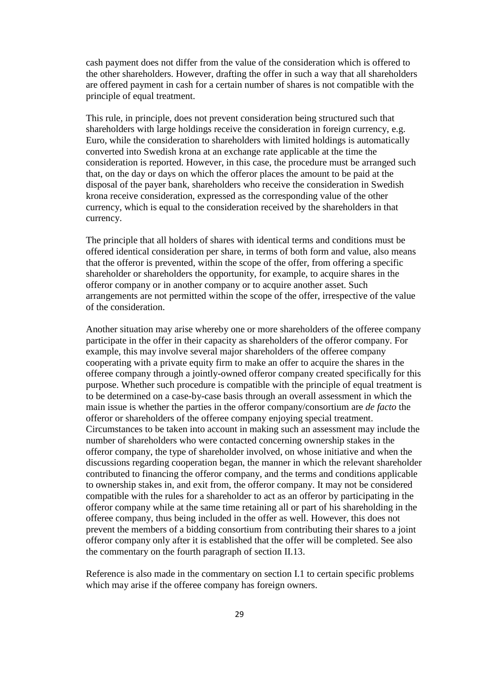cash payment does not differ from the value of the consideration which is offered to the other shareholders. However, drafting the offer in such a way that all shareholders are offered payment in cash for a certain number of shares is not compatible with the principle of equal treatment.

This rule, in principle, does not prevent consideration being structured such that shareholders with large holdings receive the consideration in foreign currency, e.g. Euro, while the consideration to shareholders with limited holdings is automatically converted into Swedish krona at an exchange rate applicable at the time the consideration is reported. However, in this case, the procedure must be arranged such that, on the day or days on which the offeror places the amount to be paid at the disposal of the payer bank, shareholders who receive the consideration in Swedish krona receive consideration, expressed as the corresponding value of the other currency, which is equal to the consideration received by the shareholders in that currency.

The principle that all holders of shares with identical terms and conditions must be offered identical consideration per share, in terms of both form and value, also means that the offeror is prevented, within the scope of the offer, from offering a specific shareholder or shareholders the opportunity, for example, to acquire shares in the offeror company or in another company or to acquire another asset. Such arrangements are not permitted within the scope of the offer, irrespective of the value of the consideration.

Another situation may arise whereby one or more shareholders of the offeree company participate in the offer in their capacity as shareholders of the offeror company. For example, this may involve several major shareholders of the offeree company cooperating with a private equity firm to make an offer to acquire the shares in the offeree company through a jointly-owned offeror company created specifically for this purpose. Whether such procedure is compatible with the principle of equal treatment is to be determined on a case-by-case basis through an overall assessment in which the main issue is whether the parties in the offeror company/consortium are *de facto* the offeror or shareholders of the offeree company enjoying special treatment. Circumstances to be taken into account in making such an assessment may include the number of shareholders who were contacted concerning ownership stakes in the offeror company, the type of shareholder involved, on whose initiative and when the discussions regarding cooperation began, the manner in which the relevant shareholder contributed to financing the offeror company, and the terms and conditions applicable to ownership stakes in, and exit from, the offeror company. It may not be considered compatible with the rules for a shareholder to act as an offeror by participating in the offeror company while at the same time retaining all or part of his shareholding in the offeree company, thus being included in the offer as well. However, this does not prevent the members of a bidding consortium from contributing their shares to a joint offeror company only after it is established that the offer will be completed. See also the commentary on the fourth paragraph of section II.13.

Reference is also made in the commentary on section I.1 to certain specific problems which may arise if the offeree company has foreign owners.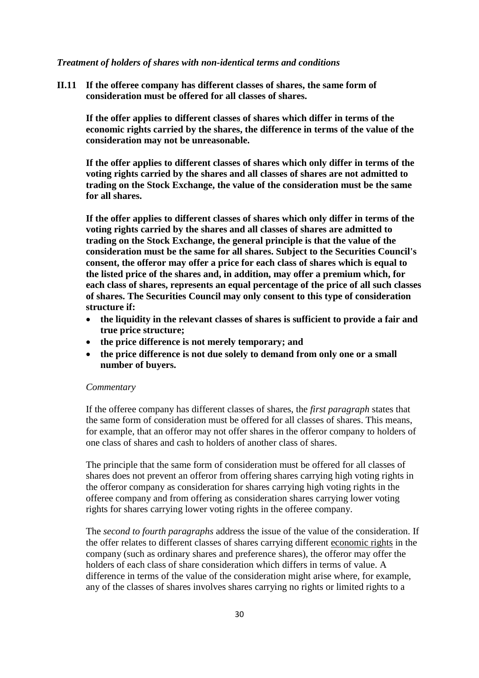#### *Treatment of holders of shares with non-identical terms and conditions*

**II.11 If the offeree company has different classes of shares, the same form of consideration must be offered for all classes of shares.**

**If the offer applies to different classes of shares which differ in terms of the economic rights carried by the shares, the difference in terms of the value of the consideration may not be unreasonable.**

**If the offer applies to different classes of shares which only differ in terms of the voting rights carried by the shares and all classes of shares are not admitted to trading on the Stock Exchange, the value of the consideration must be the same for all shares.**

**If the offer applies to different classes of shares which only differ in terms of the voting rights carried by the shares and all classes of shares are admitted to trading on the Stock Exchange, the general principle is that the value of the consideration must be the same for all shares. Subject to the Securities Council's consent, the offeror may offer a price for each class of shares which is equal to the listed price of the shares and, in addition, may offer a premium which, for each class of shares, represents an equal percentage of the price of all such classes of shares. The Securities Council may only consent to this type of consideration structure if:**

- **the liquidity in the relevant classes of shares is sufficient to provide a fair and true price structure;**
- **the price difference is not merely temporary; and**
- **the price difference is not due solely to demand from only one or a small number of buyers.**

### *Commentary*

If the offeree company has different classes of shares, the *first paragraph* states that the same form of consideration must be offered for all classes of shares. This means, for example, that an offeror may not offer shares in the offeror company to holders of one class of shares and cash to holders of another class of shares.

The principle that the same form of consideration must be offered for all classes of shares does not prevent an offeror from offering shares carrying high voting rights in the offeror company as consideration for shares carrying high voting rights in the offeree company and from offering as consideration shares carrying lower voting rights for shares carrying lower voting rights in the offeree company.

The *second to fourth paragraphs* address the issue of the value of the consideration. If the offer relates to different classes of shares carrying different economic rights in the company (such as ordinary shares and preference shares), the offeror may offer the holders of each class of share consideration which differs in terms of value. A difference in terms of the value of the consideration might arise where, for example, any of the classes of shares involves shares carrying no rights or limited rights to a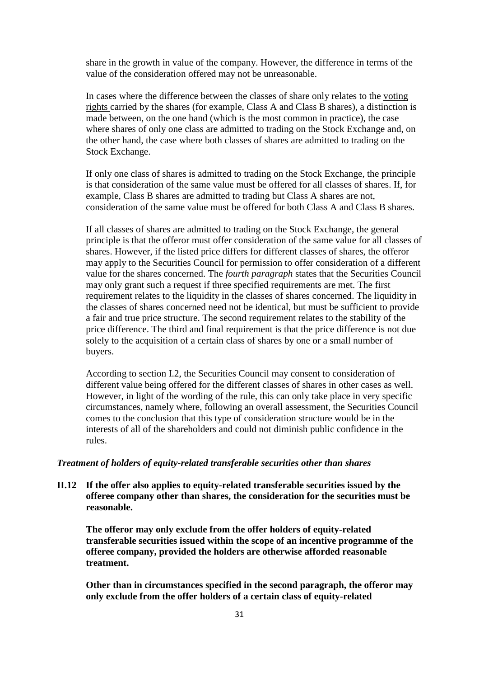share in the growth in value of the company. However, the difference in terms of the value of the consideration offered may not be unreasonable.

In cases where the difference between the classes of share only relates to the voting rights carried by the shares (for example, Class A and Class B shares), a distinction is made between, on the one hand (which is the most common in practice), the case where shares of only one class are admitted to trading on the Stock Exchange and, on the other hand, the case where both classes of shares are admitted to trading on the Stock Exchange.

If only one class of shares is admitted to trading on the Stock Exchange, the principle is that consideration of the same value must be offered for all classes of shares. If, for example, Class B shares are admitted to trading but Class A shares are not, consideration of the same value must be offered for both Class A and Class B shares.

If all classes of shares are admitted to trading on the Stock Exchange, the general principle is that the offeror must offer consideration of the same value for all classes of shares. However, if the listed price differs for different classes of shares, the offeror may apply to the Securities Council for permission to offer consideration of a different value for the shares concerned. The *fourth paragraph* states that the Securities Council may only grant such a request if three specified requirements are met. The first requirement relates to the liquidity in the classes of shares concerned. The liquidity in the classes of shares concerned need not be identical, but must be sufficient to provide a fair and true price structure. The second requirement relates to the stability of the price difference. The third and final requirement is that the price difference is not due solely to the acquisition of a certain class of shares by one or a small number of buyers.

According to section I.2, the Securities Council may consent to consideration of different value being offered for the different classes of shares in other cases as well. However, in light of the wording of the rule, this can only take place in very specific circumstances, namely where, following an overall assessment, the Securities Council comes to the conclusion that this type of consideration structure would be in the interests of all of the shareholders and could not diminish public confidence in the rules.

### *Treatment of holders of equity-related transferable securities other than shares*

**II.12 If the offer also applies to equity-related transferable securities issued by the offeree company other than shares, the consideration for the securities must be reasonable.**

**The offeror may only exclude from the offer holders of equity-related transferable securities issued within the scope of an incentive programme of the offeree company, provided the holders are otherwise afforded reasonable treatment.**

**Other than in circumstances specified in the second paragraph, the offeror may only exclude from the offer holders of a certain class of equity-related**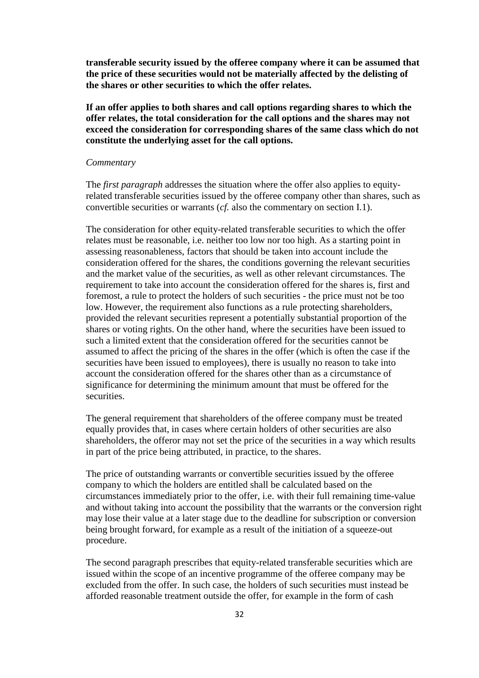**transferable security issued by the offeree company where it can be assumed that the price of these securities would not be materially affected by the delisting of the shares or other securities to which the offer relates.**

**If an offer applies to both shares and call options regarding shares to which the offer relates, the total consideration for the call options and the shares may not exceed the consideration for corresponding shares of the same class which do not constitute the underlying asset for the call options.**

### *Commentary*

The *first paragraph* addresses the situation where the offer also applies to equityrelated transferable securities issued by the offeree company other than shares, such as convertible securities or warrants (*cf.* also the commentary on section I.1).

The consideration for other equity-related transferable securities to which the offer relates must be reasonable, i.e. neither too low nor too high. As a starting point in assessing reasonableness, factors that should be taken into account include the consideration offered for the shares, the conditions governing the relevant securities and the market value of the securities, as well as other relevant circumstances. The requirement to take into account the consideration offered for the shares is, first and foremost, a rule to protect the holders of such securities - the price must not be too low. However, the requirement also functions as a rule protecting shareholders, provided the relevant securities represent a potentially substantial proportion of the shares or voting rights. On the other hand, where the securities have been issued to such a limited extent that the consideration offered for the securities cannot be assumed to affect the pricing of the shares in the offer (which is often the case if the securities have been issued to employees), there is usually no reason to take into account the consideration offered for the shares other than as a circumstance of significance for determining the minimum amount that must be offered for the securities.

The general requirement that shareholders of the offeree company must be treated equally provides that, in cases where certain holders of other securities are also shareholders, the offeror may not set the price of the securities in a way which results in part of the price being attributed, in practice, to the shares.

The price of outstanding warrants or convertible securities issued by the offeree company to which the holders are entitled shall be calculated based on the circumstances immediately prior to the offer, i.e. with their full remaining time-value and without taking into account the possibility that the warrants or the conversion right may lose their value at a later stage due to the deadline for subscription or conversion being brought forward, for example as a result of the initiation of a squeeze-out procedure.

The second paragraph prescribes that equity-related transferable securities which are issued within the scope of an incentive programme of the offeree company may be excluded from the offer. In such case, the holders of such securities must instead be afforded reasonable treatment outside the offer, for example in the form of cash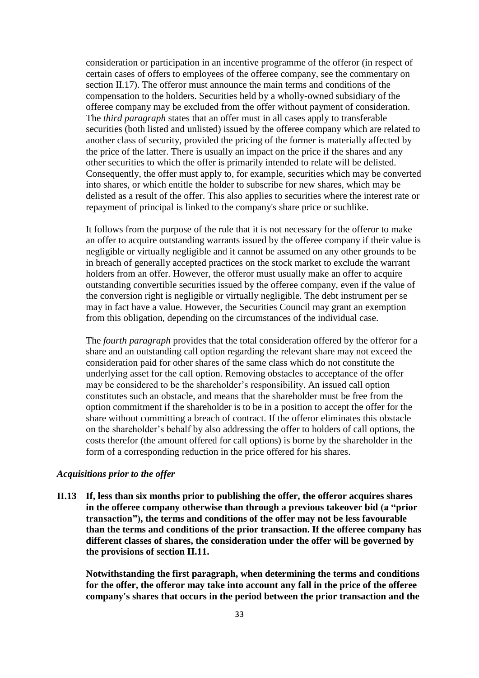consideration or participation in an incentive programme of the offeror (in respect of certain cases of offers to employees of the offeree company, see the commentary on section II.17). The offeror must announce the main terms and conditions of the compensation to the holders. Securities held by a wholly-owned subsidiary of the offeree company may be excluded from the offer without payment of consideration. The *third paragraph* states that an offer must in all cases apply to transferable securities (both listed and unlisted) issued by the offeree company which are related to another class of security, provided the pricing of the former is materially affected by the price of the latter. There is usually an impact on the price if the shares and any other securities to which the offer is primarily intended to relate will be delisted. Consequently, the offer must apply to, for example, securities which may be converted into shares, or which entitle the holder to subscribe for new shares, which may be delisted as a result of the offer. This also applies to securities where the interest rate or repayment of principal is linked to the company's share price or suchlike.

It follows from the purpose of the rule that it is not necessary for the offeror to make an offer to acquire outstanding warrants issued by the offeree company if their value is negligible or virtually negligible and it cannot be assumed on any other grounds to be in breach of generally accepted practices on the stock market to exclude the warrant holders from an offer. However, the offeror must usually make an offer to acquire outstanding convertible securities issued by the offeree company, even if the value of the conversion right is negligible or virtually negligible. The debt instrument per se may in fact have a value. However, the Securities Council may grant an exemption from this obligation, depending on the circumstances of the individual case.

The *fourth paragraph* provides that the total consideration offered by the offeror for a share and an outstanding call option regarding the relevant share may not exceed the consideration paid for other shares of the same class which do not constitute the underlying asset for the call option. Removing obstacles to acceptance of the offer may be considered to be the shareholder's responsibility. An issued call option constitutes such an obstacle, and means that the shareholder must be free from the option commitment if the shareholder is to be in a position to accept the offer for the share without committing a breach of contract. If the offeror eliminates this obstacle on the shareholder's behalf by also addressing the offer to holders of call options, the costs therefor (the amount offered for call options) is borne by the shareholder in the form of a corresponding reduction in the price offered for his shares.

### *Acquisitions prior to the offer*

**II.13 If, less than six months prior to publishing the offer, the offeror acquires shares in the offeree company otherwise than through a previous takeover bid (a "prior transaction"), the terms and conditions of the offer may not be less favourable than the terms and conditions of the prior transaction. If the offeree company has different classes of shares, the consideration under the offer will be governed by the provisions of section II.11.**

**Notwithstanding the first paragraph, when determining the terms and conditions for the offer, the offeror may take into account any fall in the price of the offeree company's shares that occurs in the period between the prior transaction and the**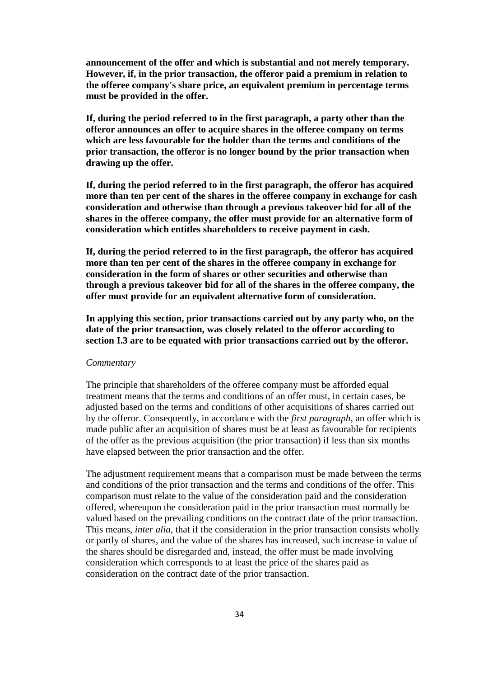**announcement of the offer and which is substantial and not merely temporary. However, if, in the prior transaction, the offeror paid a premium in relation to the offeree company's share price, an equivalent premium in percentage terms must be provided in the offer.**

**If, during the period referred to in the first paragraph, a party other than the offeror announces an offer to acquire shares in the offeree company on terms which are less favourable for the holder than the terms and conditions of the prior transaction, the offeror is no longer bound by the prior transaction when drawing up the offer.**

**If, during the period referred to in the first paragraph, the offeror has acquired more than ten per cent of the shares in the offeree company in exchange for cash consideration and otherwise than through a previous takeover bid for all of the shares in the offeree company, the offer must provide for an alternative form of consideration which entitles shareholders to receive payment in cash.**

**If, during the period referred to in the first paragraph, the offeror has acquired more than ten per cent of the shares in the offeree company in exchange for consideration in the form of shares or other securities and otherwise than through a previous takeover bid for all of the shares in the offeree company, the offer must provide for an equivalent alternative form of consideration.**

**In applying this section, prior transactions carried out by any party who, on the date of the prior transaction, was closely related to the offeror according to section I.3 are to be equated with prior transactions carried out by the offeror.**

#### *Commentary*

The principle that shareholders of the offeree company must be afforded equal treatment means that the terms and conditions of an offer must, in certain cases, be adjusted based on the terms and conditions of other acquisitions of shares carried out by the offeror. Consequently, in accordance with the *first paragraph*, an offer which is made public after an acquisition of shares must be at least as favourable for recipients of the offer as the previous acquisition (the prior transaction) if less than six months have elapsed between the prior transaction and the offer.

The adjustment requirement means that a comparison must be made between the terms and conditions of the prior transaction and the terms and conditions of the offer. This comparison must relate to the value of the consideration paid and the consideration offered, whereupon the consideration paid in the prior transaction must normally be valued based on the prevailing conditions on the contract date of the prior transaction. This means, *inter alia*, that if the consideration in the prior transaction consists wholly or partly of shares, and the value of the shares has increased, such increase in value of the shares should be disregarded and, instead, the offer must be made involving consideration which corresponds to at least the price of the shares paid as consideration on the contract date of the prior transaction.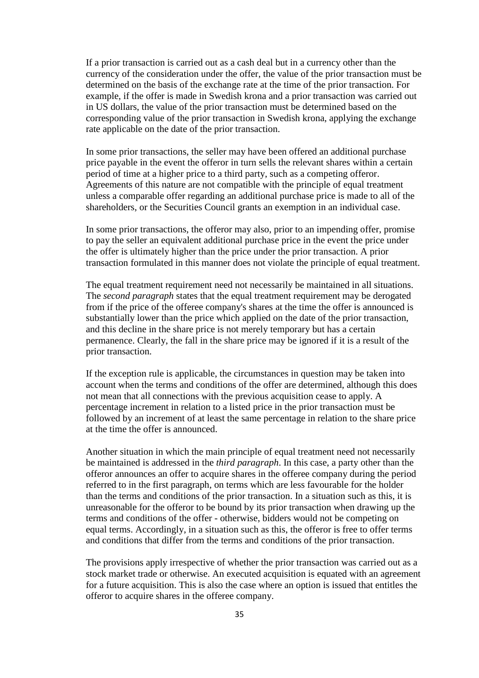If a prior transaction is carried out as a cash deal but in a currency other than the currency of the consideration under the offer, the value of the prior transaction must be determined on the basis of the exchange rate at the time of the prior transaction. For example, if the offer is made in Swedish krona and a prior transaction was carried out in US dollars, the value of the prior transaction must be determined based on the corresponding value of the prior transaction in Swedish krona, applying the exchange rate applicable on the date of the prior transaction.

In some prior transactions, the seller may have been offered an additional purchase price payable in the event the offeror in turn sells the relevant shares within a certain period of time at a higher price to a third party, such as a competing offeror. Agreements of this nature are not compatible with the principle of equal treatment unless a comparable offer regarding an additional purchase price is made to all of the shareholders, or the Securities Council grants an exemption in an individual case.

In some prior transactions, the offeror may also, prior to an impending offer, promise to pay the seller an equivalent additional purchase price in the event the price under the offer is ultimately higher than the price under the prior transaction. A prior transaction formulated in this manner does not violate the principle of equal treatment.

The equal treatment requirement need not necessarily be maintained in all situations. The *second paragraph* states that the equal treatment requirement may be derogated from if the price of the offeree company's shares at the time the offer is announced is substantially lower than the price which applied on the date of the prior transaction, and this decline in the share price is not merely temporary but has a certain permanence. Clearly, the fall in the share price may be ignored if it is a result of the prior transaction.

If the exception rule is applicable, the circumstances in question may be taken into account when the terms and conditions of the offer are determined, although this does not mean that all connections with the previous acquisition cease to apply. A percentage increment in relation to a listed price in the prior transaction must be followed by an increment of at least the same percentage in relation to the share price at the time the offer is announced.

Another situation in which the main principle of equal treatment need not necessarily be maintained is addressed in the *third paragraph*. In this case, a party other than the offeror announces an offer to acquire shares in the offeree company during the period referred to in the first paragraph, on terms which are less favourable for the holder than the terms and conditions of the prior transaction. In a situation such as this, it is unreasonable for the offeror to be bound by its prior transaction when drawing up the terms and conditions of the offer - otherwise, bidders would not be competing on equal terms. Accordingly, in a situation such as this, the offeror is free to offer terms and conditions that differ from the terms and conditions of the prior transaction.

The provisions apply irrespective of whether the prior transaction was carried out as a stock market trade or otherwise. An executed acquisition is equated with an agreement for a future acquisition. This is also the case where an option is issued that entitles the offeror to acquire shares in the offeree company.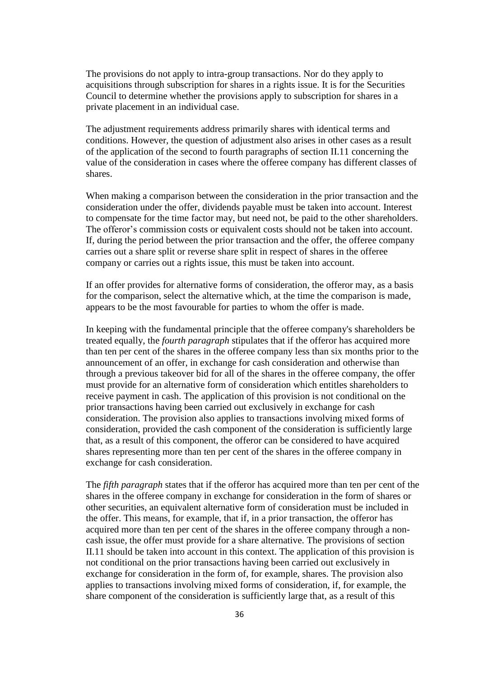The provisions do not apply to intra-group transactions. Nor do they apply to acquisitions through subscription for shares in a rights issue. It is for the Securities Council to determine whether the provisions apply to subscription for shares in a private placement in an individual case.

The adjustment requirements address primarily shares with identical terms and conditions. However, the question of adjustment also arises in other cases as a result of the application of the second to fourth paragraphs of section II.11 concerning the value of the consideration in cases where the offeree company has different classes of shares.

When making a comparison between the consideration in the prior transaction and the consideration under the offer, dividends payable must be taken into account. Interest to compensate for the time factor may, but need not, be paid to the other shareholders. The offeror's commission costs or equivalent costs should not be taken into account. If, during the period between the prior transaction and the offer, the offeree company carries out a share split or reverse share split in respect of shares in the offeree company or carries out a rights issue, this must be taken into account.

If an offer provides for alternative forms of consideration, the offeror may, as a basis for the comparison, select the alternative which, at the time the comparison is made, appears to be the most favourable for parties to whom the offer is made.

In keeping with the fundamental principle that the offeree company's shareholders be treated equally, the *fourth paragraph* stipulates that if the offeror has acquired more than ten per cent of the shares in the offeree company less than six months prior to the announcement of an offer, in exchange for cash consideration and otherwise than through a previous takeover bid for all of the shares in the offeree company, the offer must provide for an alternative form of consideration which entitles shareholders to receive payment in cash. The application of this provision is not conditional on the prior transactions having been carried out exclusively in exchange for cash consideration. The provision also applies to transactions involving mixed forms of consideration, provided the cash component of the consideration is sufficiently large that, as a result of this component, the offeror can be considered to have acquired shares representing more than ten per cent of the shares in the offeree company in exchange for cash consideration.

The *fifth paragraph* states that if the offeror has acquired more than ten per cent of the shares in the offeree company in exchange for consideration in the form of shares or other securities, an equivalent alternative form of consideration must be included in the offer. This means, for example, that if, in a prior transaction, the offeror has acquired more than ten per cent of the shares in the offeree company through a noncash issue, the offer must provide for a share alternative. The provisions of section II.11 should be taken into account in this context. The application of this provision is not conditional on the prior transactions having been carried out exclusively in exchange for consideration in the form of, for example, shares. The provision also applies to transactions involving mixed forms of consideration, if, for example, the share component of the consideration is sufficiently large that, as a result of this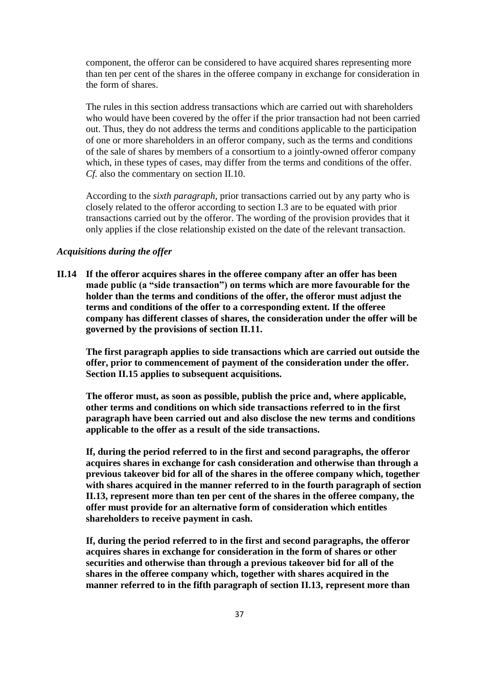component, the offeror can be considered to have acquired shares representing more than ten per cent of the shares in the offeree company in exchange for consideration in the form of shares.

The rules in this section address transactions which are carried out with shareholders who would have been covered by the offer if the prior transaction had not been carried out. Thus, they do not address the terms and conditions applicable to the participation of one or more shareholders in an offeror company, such as the terms and conditions of the sale of shares by members of a consortium to a jointly-owned offeror company which, in these types of cases, may differ from the terms and conditions of the offer. *Cf.* also the commentary on section II.10.

According to the *sixth paragraph*, prior transactions carried out by any party who is closely related to the offeror according to section I.3 are to be equated with prior transactions carried out by the offeror. The wording of the provision provides that it only applies if the close relationship existed on the date of the relevant transaction.

# *Acquisitions during the offer*

**II.14 If the offeror acquires shares in the offeree company after an offer has been made public (a "side transaction") on terms which are more favourable for the holder than the terms and conditions of the offer, the offeror must adjust the terms and conditions of the offer to a corresponding extent. If the offeree company has different classes of shares, the consideration under the offer will be governed by the provisions of section II.11.**

**The first paragraph applies to side transactions which are carried out outside the offer, prior to commencement of payment of the consideration under the offer. Section II.15 applies to subsequent acquisitions.**

**The offeror must, as soon as possible, publish the price and, where applicable, other terms and conditions on which side transactions referred to in the first paragraph have been carried out and also disclose the new terms and conditions applicable to the offer as a result of the side transactions.**

**If, during the period referred to in the first and second paragraphs, the offeror acquires shares in exchange for cash consideration and otherwise than through a previous takeover bid for all of the shares in the offeree company which, together with shares acquired in the manner referred to in the fourth paragraph of section II.13, represent more than ten per cent of the shares in the offeree company, the offer must provide for an alternative form of consideration which entitles shareholders to receive payment in cash.**

**If, during the period referred to in the first and second paragraphs, the offeror acquires shares in exchange for consideration in the form of shares or other securities and otherwise than through a previous takeover bid for all of the shares in the offeree company which, together with shares acquired in the manner referred to in the fifth paragraph of section II.13, represent more than**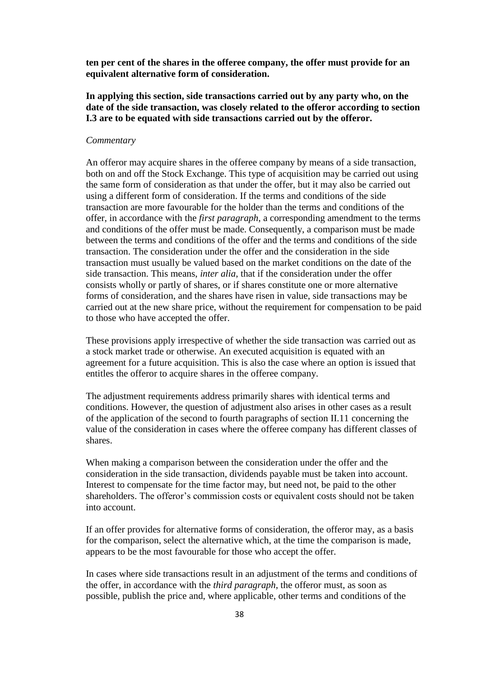**ten per cent of the shares in the offeree company, the offer must provide for an equivalent alternative form of consideration.**

**In applying this section, side transactions carried out by any party who, on the date of the side transaction, was closely related to the offeror according to section I.3 are to be equated with side transactions carried out by the offeror.**

### *Commentary*

An offeror may acquire shares in the offeree company by means of a side transaction, both on and off the Stock Exchange. This type of acquisition may be carried out using the same form of consideration as that under the offer, but it may also be carried out using a different form of consideration. If the terms and conditions of the side transaction are more favourable for the holder than the terms and conditions of the offer, in accordance with the *first paragraph*, a corresponding amendment to the terms and conditions of the offer must be made. Consequently, a comparison must be made between the terms and conditions of the offer and the terms and conditions of the side transaction. The consideration under the offer and the consideration in the side transaction must usually be valued based on the market conditions on the date of the side transaction. This means, *inter alia*, that if the consideration under the offer consists wholly or partly of shares, or if shares constitute one or more alternative forms of consideration, and the shares have risen in value, side transactions may be carried out at the new share price, without the requirement for compensation to be paid to those who have accepted the offer.

These provisions apply irrespective of whether the side transaction was carried out as a stock market trade or otherwise. An executed acquisition is equated with an agreement for a future acquisition. This is also the case where an option is issued that entitles the offeror to acquire shares in the offeree company.

The adjustment requirements address primarily shares with identical terms and conditions. However, the question of adjustment also arises in other cases as a result of the application of the second to fourth paragraphs of section II.11 concerning the value of the consideration in cases where the offeree company has different classes of shares.

When making a comparison between the consideration under the offer and the consideration in the side transaction, dividends payable must be taken into account. Interest to compensate for the time factor may, but need not, be paid to the other shareholders. The offeror's commission costs or equivalent costs should not be taken into account.

If an offer provides for alternative forms of consideration, the offeror may, as a basis for the comparison, select the alternative which, at the time the comparison is made, appears to be the most favourable for those who accept the offer.

In cases where side transactions result in an adjustment of the terms and conditions of the offer, in accordance with the *third paragraph*, the offeror must, as soon as possible, publish the price and, where applicable, other terms and conditions of the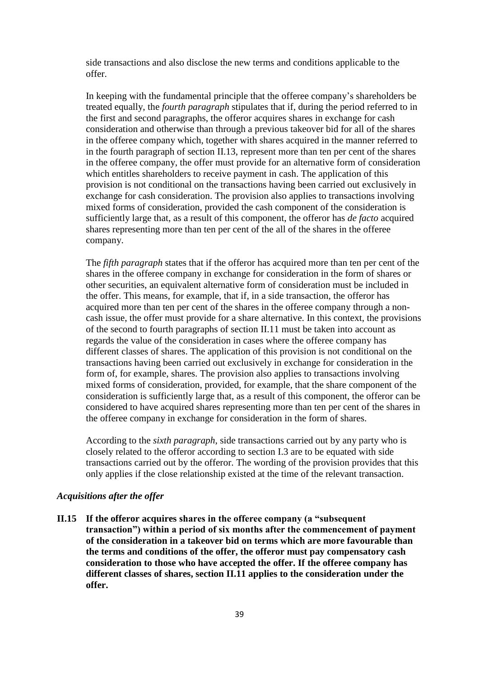side transactions and also disclose the new terms and conditions applicable to the offer.

In keeping with the fundamental principle that the offeree company's shareholders be treated equally, the *fourth paragraph* stipulates that if, during the period referred to in the first and second paragraphs, the offeror acquires shares in exchange for cash consideration and otherwise than through a previous takeover bid for all of the shares in the offeree company which, together with shares acquired in the manner referred to in the fourth paragraph of section II.13, represent more than ten per cent of the shares in the offeree company, the offer must provide for an alternative form of consideration which entitles shareholders to receive payment in cash. The application of this provision is not conditional on the transactions having been carried out exclusively in exchange for cash consideration. The provision also applies to transactions involving mixed forms of consideration, provided the cash component of the consideration is sufficiently large that, as a result of this component, the offeror has *de facto* acquired shares representing more than ten per cent of the all of the shares in the offeree company.

The *fifth paragraph* states that if the offeror has acquired more than ten per cent of the shares in the offeree company in exchange for consideration in the form of shares or other securities, an equivalent alternative form of consideration must be included in the offer. This means, for example, that if, in a side transaction, the offeror has acquired more than ten per cent of the shares in the offeree company through a noncash issue, the offer must provide for a share alternative. In this context, the provisions of the second to fourth paragraphs of section II.11 must be taken into account as regards the value of the consideration in cases where the offeree company has different classes of shares. The application of this provision is not conditional on the transactions having been carried out exclusively in exchange for consideration in the form of, for example, shares. The provision also applies to transactions involving mixed forms of consideration, provided, for example, that the share component of the consideration is sufficiently large that, as a result of this component, the offeror can be considered to have acquired shares representing more than ten per cent of the shares in the offeree company in exchange for consideration in the form of shares.

According to the *sixth paragraph*, side transactions carried out by any party who is closely related to the offeror according to section I.3 are to be equated with side transactions carried out by the offeror. The wording of the provision provides that this only applies if the close relationship existed at the time of the relevant transaction.

# *Acquisitions after the offer*

**II.15 If the offeror acquires shares in the offeree company (a "subsequent transaction") within a period of six months after the commencement of payment of the consideration in a takeover bid on terms which are more favourable than the terms and conditions of the offer, the offeror must pay compensatory cash consideration to those who have accepted the offer. If the offeree company has different classes of shares, section II.11 applies to the consideration under the offer.**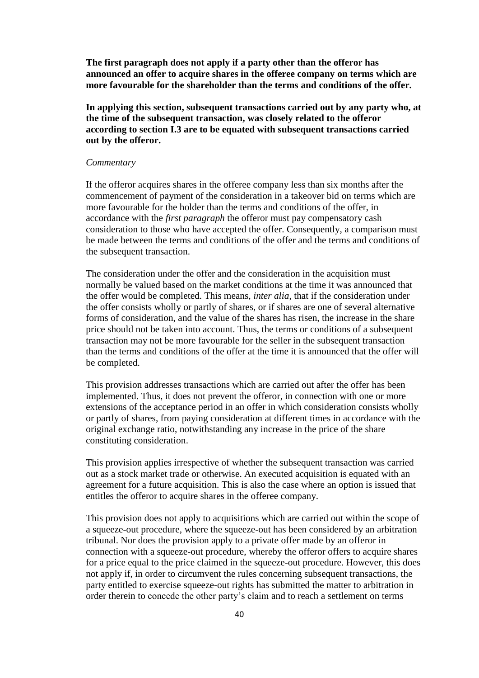**The first paragraph does not apply if a party other than the offeror has announced an offer to acquire shares in the offeree company on terms which are more favourable for the shareholder than the terms and conditions of the offer.**

**In applying this section, subsequent transactions carried out by any party who, at the time of the subsequent transaction, was closely related to the offeror according to section I.3 are to be equated with subsequent transactions carried out by the offeror.**

### *Commentary*

If the offeror acquires shares in the offeree company less than six months after the commencement of payment of the consideration in a takeover bid on terms which are more favourable for the holder than the terms and conditions of the offer, in accordance with the *first paragraph* the offeror must pay compensatory cash consideration to those who have accepted the offer. Consequently, a comparison must be made between the terms and conditions of the offer and the terms and conditions of the subsequent transaction.

The consideration under the offer and the consideration in the acquisition must normally be valued based on the market conditions at the time it was announced that the offer would be completed. This means, *inter alia*, that if the consideration under the offer consists wholly or partly of shares, or if shares are one of several alternative forms of consideration, and the value of the shares has risen, the increase in the share price should not be taken into account. Thus, the terms or conditions of a subsequent transaction may not be more favourable for the seller in the subsequent transaction than the terms and conditions of the offer at the time it is announced that the offer will be completed.

This provision addresses transactions which are carried out after the offer has been implemented. Thus, it does not prevent the offeror, in connection with one or more extensions of the acceptance period in an offer in which consideration consists wholly or partly of shares, from paying consideration at different times in accordance with the original exchange ratio, notwithstanding any increase in the price of the share constituting consideration.

This provision applies irrespective of whether the subsequent transaction was carried out as a stock market trade or otherwise. An executed acquisition is equated with an agreement for a future acquisition. This is also the case where an option is issued that entitles the offeror to acquire shares in the offeree company.

This provision does not apply to acquisitions which are carried out within the scope of a squeeze-out procedure, where the squeeze-out has been considered by an arbitration tribunal. Nor does the provision apply to a private offer made by an offeror in connection with a squeeze-out procedure, whereby the offeror offers to acquire shares for a price equal to the price claimed in the squeeze-out procedure. However, this does not apply if, in order to circumvent the rules concerning subsequent transactions, the party entitled to exercise squeeze-out rights has submitted the matter to arbitration in order therein to concede the other party's claim and to reach a settlement on terms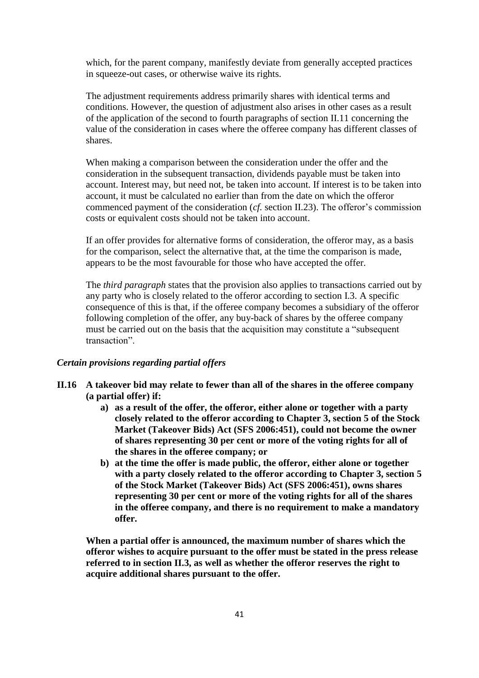which, for the parent company, manifestly deviate from generally accepted practices in squeeze-out cases, or otherwise waive its rights.

The adjustment requirements address primarily shares with identical terms and conditions. However, the question of adjustment also arises in other cases as a result of the application of the second to fourth paragraphs of section II.11 concerning the value of the consideration in cases where the offeree company has different classes of shares.

When making a comparison between the consideration under the offer and the consideration in the subsequent transaction, dividends payable must be taken into account. Interest may, but need not, be taken into account. If interest is to be taken into account, it must be calculated no earlier than from the date on which the offeror commenced payment of the consideration (*cf.* section II.23). The offeror's commission costs or equivalent costs should not be taken into account.

If an offer provides for alternative forms of consideration, the offeror may, as a basis for the comparison, select the alternative that, at the time the comparison is made, appears to be the most favourable for those who have accepted the offer.

The *third paragraph* states that the provision also applies to transactions carried out by any party who is closely related to the offeror according to section I.3. A specific consequence of this is that, if the offeree company becomes a subsidiary of the offeror following completion of the offer, any buy-back of shares by the offeree company must be carried out on the basis that the acquisition may constitute a "subsequent transaction".

### *Certain provisions regarding partial offers*

- **II.16 A takeover bid may relate to fewer than all of the shares in the offeree company (a partial offer) if:**
	- **a) as a result of the offer, the offeror, either alone or together with a party closely related to the offeror according to Chapter 3, section 5 of the Stock Market (Takeover Bids) Act (SFS 2006:451), could not become the owner of shares representing 30 per cent or more of the voting rights for all of the shares in the offeree company; or**
	- **b) at the time the offer is made public, the offeror, either alone or together with a party closely related to the offeror according to Chapter 3, section 5 of the Stock Market (Takeover Bids) Act (SFS 2006:451), owns shares representing 30 per cent or more of the voting rights for all of the shares in the offeree company, and there is no requirement to make a mandatory offer.**

**When a partial offer is announced, the maximum number of shares which the offeror wishes to acquire pursuant to the offer must be stated in the press release referred to in section II.3, as well as whether the offeror reserves the right to acquire additional shares pursuant to the offer.**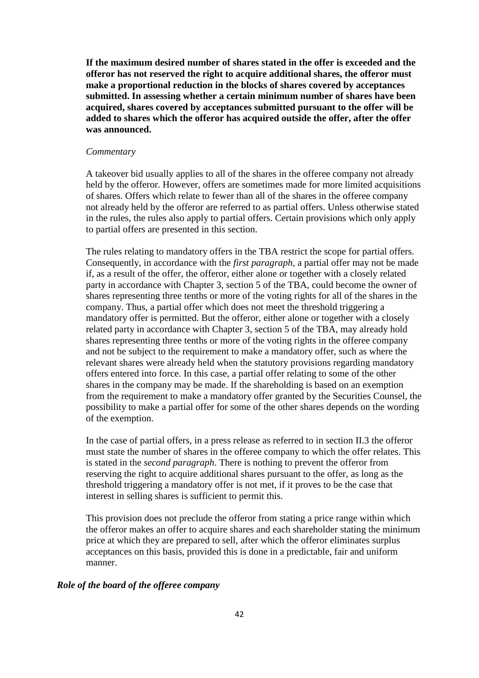**If the maximum desired number of shares stated in the offer is exceeded and the offeror has not reserved the right to acquire additional shares, the offeror must make a proportional reduction in the blocks of shares covered by acceptances submitted. In assessing whether a certain minimum number of shares have been acquired, shares covered by acceptances submitted pursuant to the offer will be added to shares which the offeror has acquired outside the offer, after the offer was announced.**

#### *Commentary*

A takeover bid usually applies to all of the shares in the offeree company not already held by the offeror. However, offers are sometimes made for more limited acquisitions of shares. Offers which relate to fewer than all of the shares in the offeree company not already held by the offeror are referred to as partial offers. Unless otherwise stated in the rules, the rules also apply to partial offers. Certain provisions which only apply to partial offers are presented in this section.

The rules relating to mandatory offers in the TBA restrict the scope for partial offers. Consequently, in accordance with the *first paragraph*, a partial offer may not be made if, as a result of the offer, the offeror, either alone or together with a closely related party in accordance with Chapter 3, section 5 of the TBA, could become the owner of shares representing three tenths or more of the voting rights for all of the shares in the company. Thus, a partial offer which does not meet the threshold triggering a mandatory offer is permitted. But the offeror, either alone or together with a closely related party in accordance with Chapter 3, section 5 of the TBA, may already hold shares representing three tenths or more of the voting rights in the offeree company and not be subject to the requirement to make a mandatory offer, such as where the relevant shares were already held when the statutory provisions regarding mandatory offers entered into force. In this case, a partial offer relating to some of the other shares in the company may be made. If the shareholding is based on an exemption from the requirement to make a mandatory offer granted by the Securities Counsel, the possibility to make a partial offer for some of the other shares depends on the wording of the exemption.

In the case of partial offers, in a press release as referred to in section II.3 the offeror must state the number of shares in the offeree company to which the offer relates. This is stated in the *second paragraph*. There is nothing to prevent the offeror from reserving the right to acquire additional shares pursuant to the offer, as long as the threshold triggering a mandatory offer is not met, if it proves to be the case that interest in selling shares is sufficient to permit this.

This provision does not preclude the offeror from stating a price range within which the offeror makes an offer to acquire shares and each shareholder stating the minimum price at which they are prepared to sell, after which the offeror eliminates surplus acceptances on this basis, provided this is done in a predictable, fair and uniform manner.

### *Role of the board of the offeree company*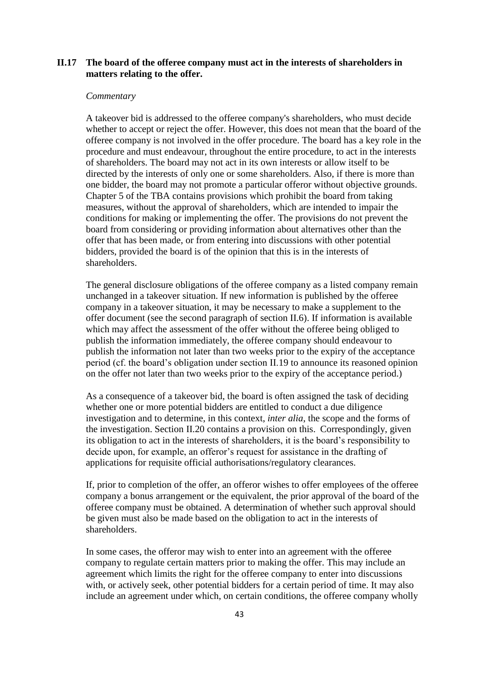# **II.17 The board of the offeree company must act in the interests of shareholders in matters relating to the offer.**

### *Commentary*

A takeover bid is addressed to the offeree company's shareholders, who must decide whether to accept or reject the offer. However, this does not mean that the board of the offeree company is not involved in the offer procedure. The board has a key role in the procedure and must endeavour, throughout the entire procedure, to act in the interests of shareholders. The board may not act in its own interests or allow itself to be directed by the interests of only one or some shareholders. Also, if there is more than one bidder, the board may not promote a particular offeror without objective grounds. Chapter 5 of the TBA contains provisions which prohibit the board from taking measures, without the approval of shareholders, which are intended to impair the conditions for making or implementing the offer. The provisions do not prevent the board from considering or providing information about alternatives other than the offer that has been made, or from entering into discussions with other potential bidders, provided the board is of the opinion that this is in the interests of shareholders.

The general disclosure obligations of the offeree company as a listed company remain unchanged in a takeover situation. If new information is published by the offeree company in a takeover situation, it may be necessary to make a supplement to the offer document (see the second paragraph of section II.6). If information is available which may affect the assessment of the offer without the offeree being obliged to publish the information immediately, the offeree company should endeavour to publish the information not later than two weeks prior to the expiry of the acceptance period (cf. the board's obligation under section II.19 to announce its reasoned opinion on the offer not later than two weeks prior to the expiry of the acceptance period.)

As a consequence of a takeover bid, the board is often assigned the task of deciding whether one or more potential bidders are entitled to conduct a due diligence investigation and to determine, in this context, *inter alia*, the scope and the forms of the investigation. Section II.20 contains a provision on this. Correspondingly, given its obligation to act in the interests of shareholders, it is the board's responsibility to decide upon, for example, an offeror's request for assistance in the drafting of applications for requisite official authorisations/regulatory clearances.

If, prior to completion of the offer, an offeror wishes to offer employees of the offeree company a bonus arrangement or the equivalent, the prior approval of the board of the offeree company must be obtained. A determination of whether such approval should be given must also be made based on the obligation to act in the interests of shareholders.

In some cases, the offeror may wish to enter into an agreement with the offeree company to regulate certain matters prior to making the offer. This may include an agreement which limits the right for the offeree company to enter into discussions with, or actively seek, other potential bidders for a certain period of time. It may also include an agreement under which, on certain conditions, the offeree company wholly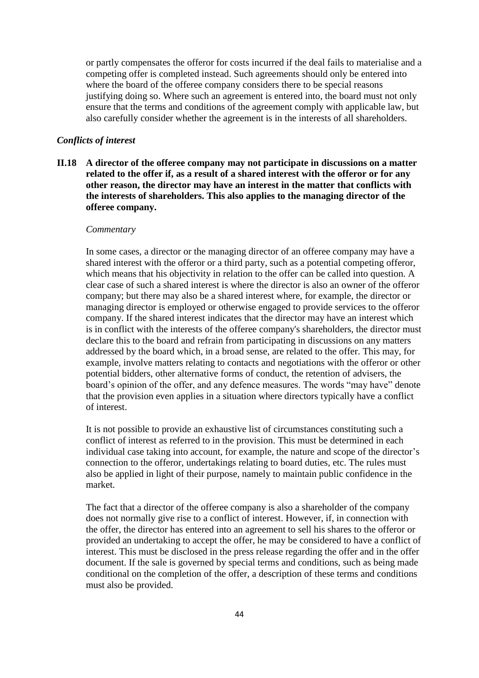or partly compensates the offeror for costs incurred if the deal fails to materialise and a competing offer is completed instead. Such agreements should only be entered into where the board of the offeree company considers there to be special reasons justifying doing so. Where such an agreement is entered into, the board must not only ensure that the terms and conditions of the agreement comply with applicable law, but also carefully consider whether the agreement is in the interests of all shareholders.

### *Conflicts of interest*

**II.18 A director of the offeree company may not participate in discussions on a matter related to the offer if, as a result of a shared interest with the offeror or for any other reason, the director may have an interest in the matter that conflicts with the interests of shareholders. This also applies to the managing director of the offeree company.**

### *Commentary*

In some cases, a director or the managing director of an offeree company may have a shared interest with the offeror or a third party, such as a potential competing offeror, which means that his objectivity in relation to the offer can be called into question. A clear case of such a shared interest is where the director is also an owner of the offeror company; but there may also be a shared interest where, for example, the director or managing director is employed or otherwise engaged to provide services to the offeror company. If the shared interest indicates that the director may have an interest which is in conflict with the interests of the offeree company's shareholders, the director must declare this to the board and refrain from participating in discussions on any matters addressed by the board which, in a broad sense, are related to the offer. This may, for example, involve matters relating to contacts and negotiations with the offeror or other potential bidders, other alternative forms of conduct, the retention of advisers, the board's opinion of the offer, and any defence measures. The words "may have" denote that the provision even applies in a situation where directors typically have a conflict of interest.

It is not possible to provide an exhaustive list of circumstances constituting such a conflict of interest as referred to in the provision. This must be determined in each individual case taking into account, for example, the nature and scope of the director's connection to the offeror, undertakings relating to board duties, etc. The rules must also be applied in light of their purpose, namely to maintain public confidence in the market.

The fact that a director of the offeree company is also a shareholder of the company does not normally give rise to a conflict of interest. However, if, in connection with the offer, the director has entered into an agreement to sell his shares to the offeror or provided an undertaking to accept the offer, he may be considered to have a conflict of interest. This must be disclosed in the press release regarding the offer and in the offer document. If the sale is governed by special terms and conditions, such as being made conditional on the completion of the offer, a description of these terms and conditions must also be provided.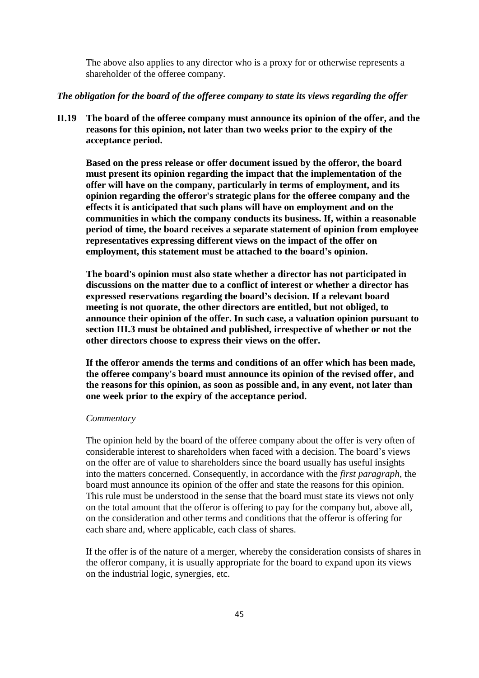The above also applies to any director who is a proxy for or otherwise represents a shareholder of the offeree company.

### *The obligation for the board of the offeree company to state its views regarding the offer*

**II.19 The board of the offeree company must announce its opinion of the offer, and the reasons for this opinion, not later than two weeks prior to the expiry of the acceptance period.**

**Based on the press release or offer document issued by the offeror, the board must present its opinion regarding the impact that the implementation of the offer will have on the company, particularly in terms of employment, and its opinion regarding the offeror's strategic plans for the offeree company and the effects it is anticipated that such plans will have on employment and on the communities in which the company conducts its business. If, within a reasonable period of time, the board receives a separate statement of opinion from employee representatives expressing different views on the impact of the offer on employment, this statement must be attached to the board's opinion.**

**The board's opinion must also state whether a director has not participated in discussions on the matter due to a conflict of interest or whether a director has expressed reservations regarding the board's decision. If a relevant board meeting is not quorate, the other directors are entitled, but not obliged, to announce their opinion of the offer. In such case, a valuation opinion pursuant to section III.3 must be obtained and published, irrespective of whether or not the other directors choose to express their views on the offer.**

**If the offeror amends the terms and conditions of an offer which has been made, the offeree company's board must announce its opinion of the revised offer, and the reasons for this opinion, as soon as possible and, in any event, not later than one week prior to the expiry of the acceptance period.**

### *Commentary*

The opinion held by the board of the offeree company about the offer is very often of considerable interest to shareholders when faced with a decision. The board's views on the offer are of value to shareholders since the board usually has useful insights into the matters concerned. Consequently, in accordance with the *first paragraph*, the board must announce its opinion of the offer and state the reasons for this opinion. This rule must be understood in the sense that the board must state its views not only on the total amount that the offeror is offering to pay for the company but, above all, on the consideration and other terms and conditions that the offeror is offering for each share and, where applicable, each class of shares.

If the offer is of the nature of a merger, whereby the consideration consists of shares in the offeror company, it is usually appropriate for the board to expand upon its views on the industrial logic, synergies, etc.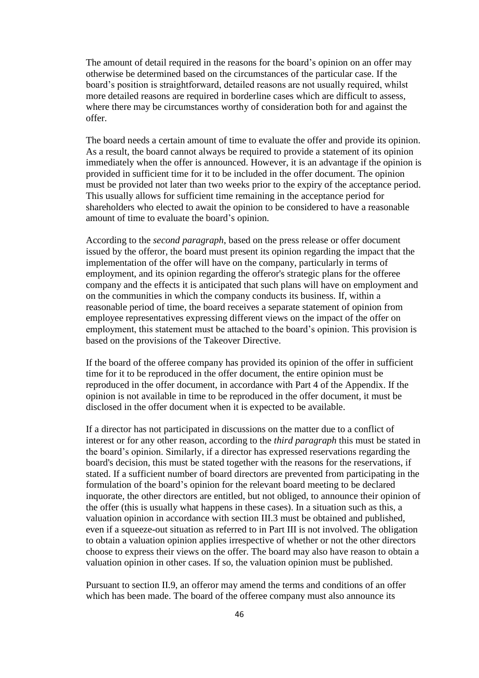The amount of detail required in the reasons for the board's opinion on an offer may otherwise be determined based on the circumstances of the particular case. If the board's position is straightforward, detailed reasons are not usually required, whilst more detailed reasons are required in borderline cases which are difficult to assess, where there may be circumstances worthy of consideration both for and against the offer.

The board needs a certain amount of time to evaluate the offer and provide its opinion. As a result, the board cannot always be required to provide a statement of its opinion immediately when the offer is announced. However, it is an advantage if the opinion is provided in sufficient time for it to be included in the offer document. The opinion must be provided not later than two weeks prior to the expiry of the acceptance period. This usually allows for sufficient time remaining in the acceptance period for shareholders who elected to await the opinion to be considered to have a reasonable amount of time to evaluate the board's opinion.

According to the *second paragraph*, based on the press release or offer document issued by the offeror, the board must present its opinion regarding the impact that the implementation of the offer will have on the company, particularly in terms of employment, and its opinion regarding the offeror's strategic plans for the offeree company and the effects it is anticipated that such plans will have on employment and on the communities in which the company conducts its business. If, within a reasonable period of time, the board receives a separate statement of opinion from employee representatives expressing different views on the impact of the offer on employment, this statement must be attached to the board's opinion. This provision is based on the provisions of the Takeover Directive.

If the board of the offeree company has provided its opinion of the offer in sufficient time for it to be reproduced in the offer document, the entire opinion must be reproduced in the offer document, in accordance with Part 4 of the Appendix. If the opinion is not available in time to be reproduced in the offer document, it must be disclosed in the offer document when it is expected to be available.

If a director has not participated in discussions on the matter due to a conflict of interest or for any other reason, according to the *third paragraph* this must be stated in the board's opinion. Similarly, if a director has expressed reservations regarding the board's decision, this must be stated together with the reasons for the reservations, if stated. If a sufficient number of board directors are prevented from participating in the formulation of the board's opinion for the relevant board meeting to be declared inquorate, the other directors are entitled, but not obliged, to announce their opinion of the offer (this is usually what happens in these cases). In a situation such as this, a valuation opinion in accordance with section III.3 must be obtained and published, even if a squeeze-out situation as referred to in Part III is not involved. The obligation to obtain a valuation opinion applies irrespective of whether or not the other directors choose to express their views on the offer. The board may also have reason to obtain a valuation opinion in other cases. If so, the valuation opinion must be published.

Pursuant to section II.9, an offeror may amend the terms and conditions of an offer which has been made. The board of the offeree company must also announce its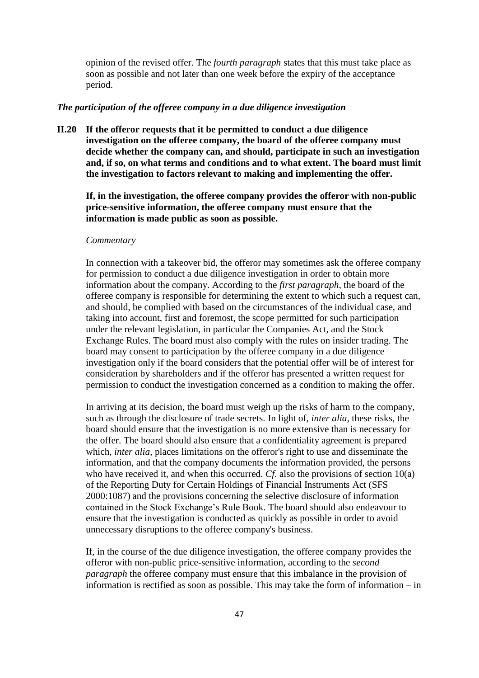opinion of the revised offer. The *fourth paragraph* states that this must take place as soon as possible and not later than one week before the expiry of the acceptance period.

### *The participation of the offeree company in a due diligence investigation*

**II.20 If the offeror requests that it be permitted to conduct a due diligence investigation on the offeree company, the board of the offeree company must decide whether the company can, and should, participate in such an investigation and, if so, on what terms and conditions and to what extent. The board must limit the investigation to factors relevant to making and implementing the offer.**

**If, in the investigation, the offeree company provides the offeror with non-public price-sensitive information, the offeree company must ensure that the information is made public as soon as possible.**

#### *Commentary*

In connection with a takeover bid, the offeror may sometimes ask the offeree company for permission to conduct a due diligence investigation in order to obtain more information about the company. According to the *first paragraph*, the board of the offeree company is responsible for determining the extent to which such a request can, and should, be complied with based on the circumstances of the individual case, and taking into account, first and foremost, the scope permitted for such participation under the relevant legislation, in particular the Companies Act, and the Stock Exchange Rules. The board must also comply with the rules on insider trading. The board may consent to participation by the offeree company in a due diligence investigation only if the board considers that the potential offer will be of interest for consideration by shareholders and if the offeror has presented a written request for permission to conduct the investigation concerned as a condition to making the offer.

In arriving at its decision, the board must weigh up the risks of harm to the company, such as through the disclosure of trade secrets. In light of, *inter alia*, these risks, the board should ensure that the investigation is no more extensive than is necessary for the offer. The board should also ensure that a confidentiality agreement is prepared which, *inter alia*, places limitations on the offeror's right to use and disseminate the information, and that the company documents the information provided, the persons who have received it, and when this occurred. *Cf.* also the provisions of section 10(a) of the Reporting Duty for Certain Holdings of Financial Instruments Act (SFS 2000:1087) and the provisions concerning the selective disclosure of information contained in the Stock Exchange's Rule Book. The board should also endeavour to ensure that the investigation is conducted as quickly as possible in order to avoid unnecessary disruptions to the offeree company's business.

If, in the course of the due diligence investigation, the offeree company provides the offeror with non-public price-sensitive information, according to the *second paragraph* the offeree company must ensure that this imbalance in the provision of information is rectified as soon as possible. This may take the form of information – in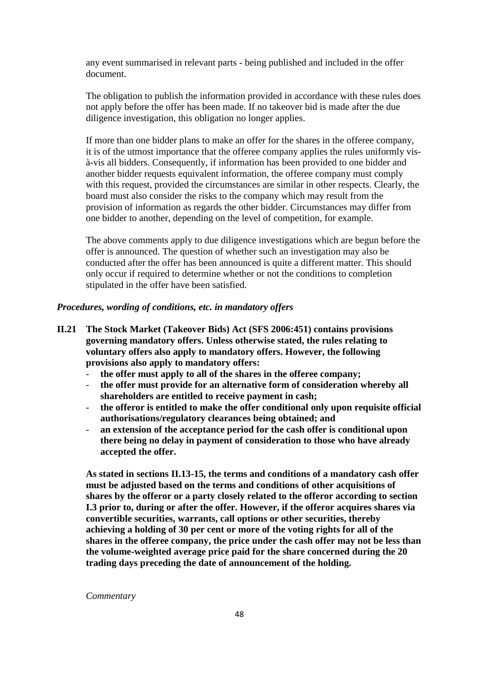any event summarised in relevant parts - being published and included in the offer document.

The obligation to publish the information provided in accordance with these rules does not apply before the offer has been made. If no takeover bid is made after the due diligence investigation, this obligation no longer applies.

If more than one bidder plans to make an offer for the shares in the offeree company, it is of the utmost importance that the offeree company applies the rules uniformly visà-vis all bidders. Consequently, if information has been provided to one bidder and another bidder requests equivalent information, the offeree company must comply with this request, provided the circumstances are similar in other respects. Clearly, the board must also consider the risks to the company which may result from the provision of information as regards the other bidder. Circumstances may differ from one bidder to another, depending on the level of competition, for example.

The above comments apply to due diligence investigations which are begun before the offer is announced. The question of whether such an investigation may also be conducted after the offer has been announced is quite a different matter. This should only occur if required to determine whether or not the conditions to completion stipulated in the offer have been satisfied.

## *Procedures, wording of conditions, etc. in mandatory offers*

- **II.21 The Stock Market (Takeover Bids) Act (SFS 2006:451) contains provisions governing mandatory offers. Unless otherwise stated, the rules relating to voluntary offers also apply to mandatory offers. However, the following provisions also apply to mandatory offers:**
	- **the offer must apply to all of the shares in the offeree company;**
	- **the offer must provide for an alternative form of consideration whereby all shareholders are entitled to receive payment in cash;**
	- **the offeror is entitled to make the offer conditional only upon requisite official authorisations/regulatory clearances being obtained; and**
	- **an extension of the acceptance period for the cash offer is conditional upon there being no delay in payment of consideration to those who have already accepted the offer.**

**As stated in sections II.13-15, the terms and conditions of a mandatory cash offer must be adjusted based on the terms and conditions of other acquisitions of shares by the offeror or a party closely related to the offeror according to section I.3 prior to, during or after the offer. However, if the offeror acquires shares via convertible securities, warrants, call options or other securities, thereby achieving a holding of 30 per cent or more of the voting rights for all of the shares in the offeree company, the price under the cash offer may not be less than the volume-weighted average price paid for the share concerned during the 20 trading days preceding the date of announcement of the holding.**

*Commentary*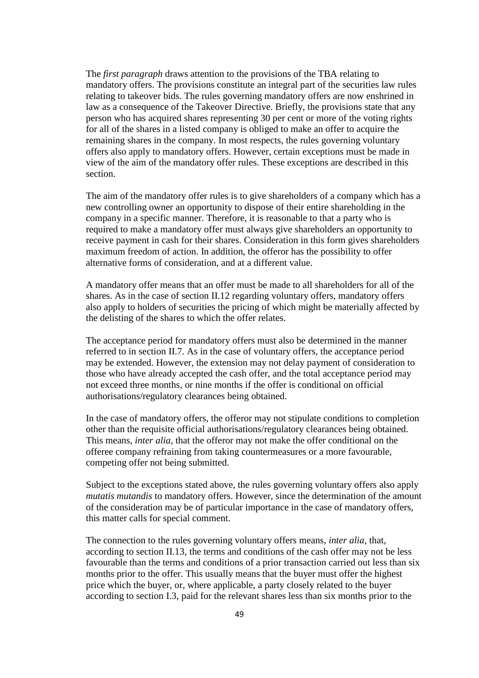The *first paragraph* draws attention to the provisions of the TBA relating to mandatory offers. The provisions constitute an integral part of the securities law rules relating to takeover bids. The rules governing mandatory offers are now enshrined in law as a consequence of the Takeover Directive. Briefly, the provisions state that any person who has acquired shares representing 30 per cent or more of the voting rights for all of the shares in a listed company is obliged to make an offer to acquire the remaining shares in the company. In most respects, the rules governing voluntary offers also apply to mandatory offers. However, certain exceptions must be made in view of the aim of the mandatory offer rules. These exceptions are described in this section.

The aim of the mandatory offer rules is to give shareholders of a company which has a new controlling owner an opportunity to dispose of their entire shareholding in the company in a specific manner. Therefore, it is reasonable to that a party who is required to make a mandatory offer must always give shareholders an opportunity to receive payment in cash for their shares. Consideration in this form gives shareholders maximum freedom of action. In addition, the offeror has the possibility to offer alternative forms of consideration, and at a different value.

A mandatory offer means that an offer must be made to all shareholders for all of the shares. As in the case of section II.12 regarding voluntary offers, mandatory offers also apply to holders of securities the pricing of which might be materially affected by the delisting of the shares to which the offer relates.

The acceptance period for mandatory offers must also be determined in the manner referred to in section II.7. As in the case of voluntary offers, the acceptance period may be extended. However, the extension may not delay payment of consideration to those who have already accepted the cash offer, and the total acceptance period may not exceed three months, or nine months if the offer is conditional on official authorisations/regulatory clearances being obtained.

In the case of mandatory offers, the offeror may not stipulate conditions to completion other than the requisite official authorisations/regulatory clearances being obtained. This means, *inter alia*, that the offeror may not make the offer conditional on the offeree company refraining from taking countermeasures or a more favourable, competing offer not being submitted.

Subject to the exceptions stated above, the rules governing voluntary offers also apply *mutatis mutandis* to mandatory offers. However, since the determination of the amount of the consideration may be of particular importance in the case of mandatory offers, this matter calls for special comment.

The connection to the rules governing voluntary offers means, *inter alia*, that, according to section II.13, the terms and conditions of the cash offer may not be less favourable than the terms and conditions of a prior transaction carried out less than six months prior to the offer. This usually means that the buyer must offer the highest price which the buyer, or, where applicable, a party closely related to the buyer according to section I.3, paid for the relevant shares less than six months prior to the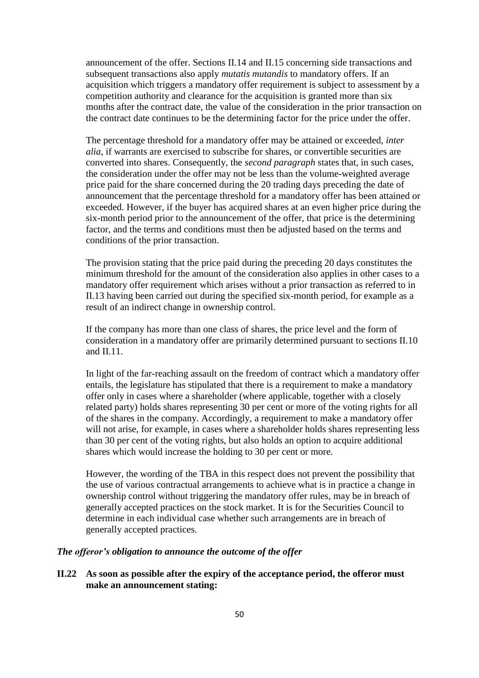announcement of the offer. Sections II.14 and II.15 concerning side transactions and subsequent transactions also apply *mutatis mutandis* to mandatory offers. If an acquisition which triggers a mandatory offer requirement is subject to assessment by a competition authority and clearance for the acquisition is granted more than six months after the contract date, the value of the consideration in the prior transaction on the contract date continues to be the determining factor for the price under the offer.

The percentage threshold for a mandatory offer may be attained or exceeded, *inter alia*, if warrants are exercised to subscribe for shares, or convertible securities are converted into shares. Consequently, the *second paragraph* states that, in such cases, the consideration under the offer may not be less than the volume-weighted average price paid for the share concerned during the 20 trading days preceding the date of announcement that the percentage threshold for a mandatory offer has been attained or exceeded. However, if the buyer has acquired shares at an even higher price during the six-month period prior to the announcement of the offer, that price is the determining factor, and the terms and conditions must then be adjusted based on the terms and conditions of the prior transaction.

The provision stating that the price paid during the preceding 20 days constitutes the minimum threshold for the amount of the consideration also applies in other cases to a mandatory offer requirement which arises without a prior transaction as referred to in II.13 having been carried out during the specified six-month period, for example as a result of an indirect change in ownership control.

If the company has more than one class of shares, the price level and the form of consideration in a mandatory offer are primarily determined pursuant to sections II.10 and II.11.

In light of the far-reaching assault on the freedom of contract which a mandatory offer entails, the legislature has stipulated that there is a requirement to make a mandatory offer only in cases where a shareholder (where applicable, together with a closely related party) holds shares representing 30 per cent or more of the voting rights for all of the shares in the company. Accordingly, a requirement to make a mandatory offer will not arise, for example, in cases where a shareholder holds shares representing less than 30 per cent of the voting rights, but also holds an option to acquire additional shares which would increase the holding to 30 per cent or more.

However, the wording of the TBA in this respect does not prevent the possibility that the use of various contractual arrangements to achieve what is in practice a change in ownership control without triggering the mandatory offer rules, may be in breach of generally accepted practices on the stock market. It is for the Securities Council to determine in each individual case whether such arrangements are in breach of generally accepted practices.

# *The offeror's obligation to announce the outcome of the offer*

# **II.22 As soon as possible after the expiry of the acceptance period, the offeror must make an announcement stating:**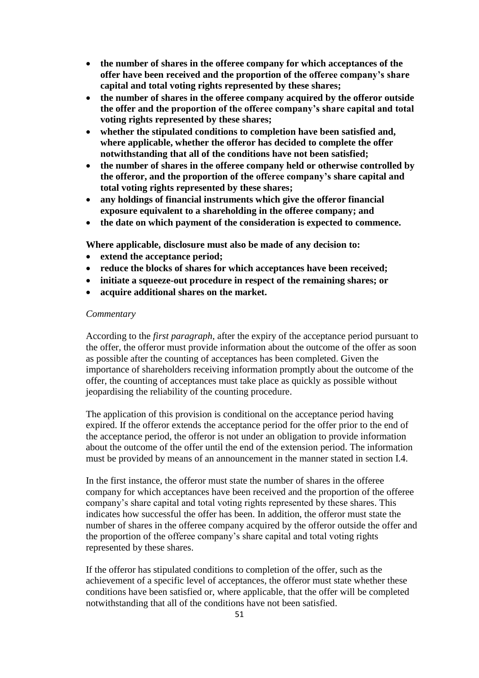- **the number of shares in the offeree company for which acceptances of the offer have been received and the proportion of the offeree company's share capital and total voting rights represented by these shares;**
- **the number of shares in the offeree company acquired by the offeror outside the offer and the proportion of the offeree company's share capital and total voting rights represented by these shares;**
- **whether the stipulated conditions to completion have been satisfied and, where applicable, whether the offeror has decided to complete the offer notwithstanding that all of the conditions have not been satisfied;**
- **the number of shares in the offeree company held or otherwise controlled by the offeror, and the proportion of the offeree company's share capital and total voting rights represented by these shares;**
- **any holdings of financial instruments which give the offeror financial exposure equivalent to a shareholding in the offeree company; and**
- **the date on which payment of the consideration is expected to commence.**

**Where applicable, disclosure must also be made of any decision to:**

- **extend the acceptance period;**
- **reduce the blocks of shares for which acceptances have been received;**
- **initiate a squeeze-out procedure in respect of the remaining shares; or**
- **acquire additional shares on the market.**

### *Commentary*

According to the *first paragraph*, after the expiry of the acceptance period pursuant to the offer, the offeror must provide information about the outcome of the offer as soon as possible after the counting of acceptances has been completed. Given the importance of shareholders receiving information promptly about the outcome of the offer, the counting of acceptances must take place as quickly as possible without jeopardising the reliability of the counting procedure.

The application of this provision is conditional on the acceptance period having expired. If the offeror extends the acceptance period for the offer prior to the end of the acceptance period, the offeror is not under an obligation to provide information about the outcome of the offer until the end of the extension period. The information must be provided by means of an announcement in the manner stated in section I.4.

In the first instance, the offeror must state the number of shares in the offeree company for which acceptances have been received and the proportion of the offeree company's share capital and total voting rights represented by these shares. This indicates how successful the offer has been. In addition, the offeror must state the number of shares in the offeree company acquired by the offeror outside the offer and the proportion of the offeree company's share capital and total voting rights represented by these shares.

If the offeror has stipulated conditions to completion of the offer, such as the achievement of a specific level of acceptances, the offeror must state whether these conditions have been satisfied or, where applicable, that the offer will be completed notwithstanding that all of the conditions have not been satisfied.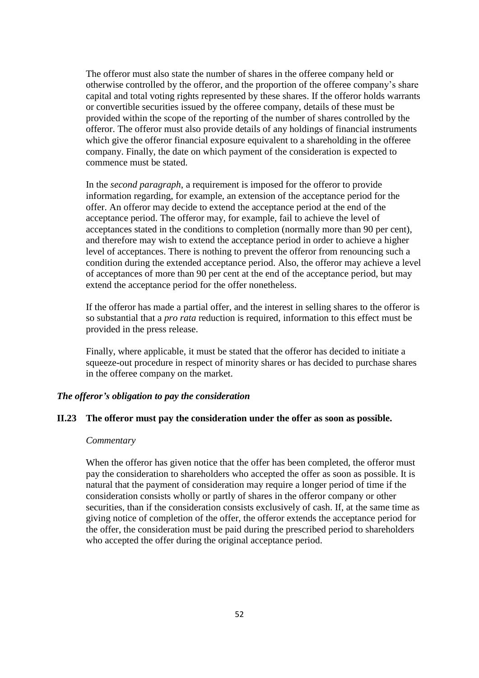The offeror must also state the number of shares in the offeree company held or otherwise controlled by the offeror, and the proportion of the offeree company's share capital and total voting rights represented by these shares. If the offeror holds warrants or convertible securities issued by the offeree company, details of these must be provided within the scope of the reporting of the number of shares controlled by the offeror. The offeror must also provide details of any holdings of financial instruments which give the offeror financial exposure equivalent to a shareholding in the offeree company. Finally, the date on which payment of the consideration is expected to commence must be stated.

In the *second paragraph*, a requirement is imposed for the offeror to provide information regarding, for example, an extension of the acceptance period for the offer. An offeror may decide to extend the acceptance period at the end of the acceptance period. The offeror may, for example, fail to achieve the level of acceptances stated in the conditions to completion (normally more than 90 per cent), and therefore may wish to extend the acceptance period in order to achieve a higher level of acceptances. There is nothing to prevent the offeror from renouncing such a condition during the extended acceptance period. Also, the offeror may achieve a level of acceptances of more than 90 per cent at the end of the acceptance period, but may extend the acceptance period for the offer nonetheless.

If the offeror has made a partial offer, and the interest in selling shares to the offeror is so substantial that a *pro rata* reduction is required, information to this effect must be provided in the press release.

Finally, where applicable, it must be stated that the offeror has decided to initiate a squeeze-out procedure in respect of minority shares or has decided to purchase shares in the offeree company on the market.

#### *The offeror's obligation to pay the consideration*

#### **II.23 The offeror must pay the consideration under the offer as soon as possible.**

#### *Commentary*

When the offeror has given notice that the offer has been completed, the offeror must pay the consideration to shareholders who accepted the offer as soon as possible. It is natural that the payment of consideration may require a longer period of time if the consideration consists wholly or partly of shares in the offeror company or other securities, than if the consideration consists exclusively of cash. If, at the same time as giving notice of completion of the offer, the offeror extends the acceptance period for the offer, the consideration must be paid during the prescribed period to shareholders who accepted the offer during the original acceptance period.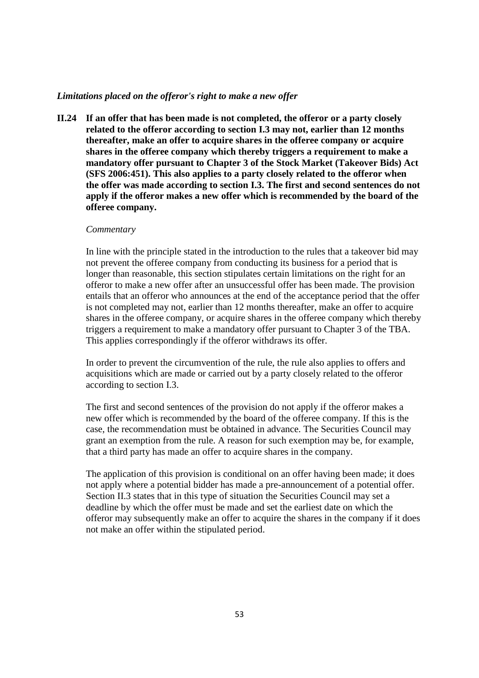## *Limitations placed on the offeror's right to make a new offer*

**II.24 If an offer that has been made is not completed, the offeror or a party closely related to the offeror according to section I.3 may not, earlier than 12 months thereafter, make an offer to acquire shares in the offeree company or acquire shares in the offeree company which thereby triggers a requirement to make a mandatory offer pursuant to Chapter 3 of the Stock Market (Takeover Bids) Act (SFS 2006:451). This also applies to a party closely related to the offeror when the offer was made according to section I.3. The first and second sentences do not apply if the offeror makes a new offer which is recommended by the board of the offeree company.**

#### *Commentary*

In line with the principle stated in the introduction to the rules that a takeover bid may not prevent the offeree company from conducting its business for a period that is longer than reasonable, this section stipulates certain limitations on the right for an offeror to make a new offer after an unsuccessful offer has been made. The provision entails that an offeror who announces at the end of the acceptance period that the offer is not completed may not, earlier than 12 months thereafter, make an offer to acquire shares in the offeree company, or acquire shares in the offeree company which thereby triggers a requirement to make a mandatory offer pursuant to Chapter 3 of the TBA. This applies correspondingly if the offeror withdraws its offer.

In order to prevent the circumvention of the rule, the rule also applies to offers and acquisitions which are made or carried out by a party closely related to the offeror according to section I.3.

The first and second sentences of the provision do not apply if the offeror makes a new offer which is recommended by the board of the offeree company. If this is the case, the recommendation must be obtained in advance. The Securities Council may grant an exemption from the rule. A reason for such exemption may be, for example, that a third party has made an offer to acquire shares in the company.

The application of this provision is conditional on an offer having been made; it does not apply where a potential bidder has made a pre-announcement of a potential offer. Section II.3 states that in this type of situation the Securities Council may set a deadline by which the offer must be made and set the earliest date on which the offeror may subsequently make an offer to acquire the shares in the company if it does not make an offer within the stipulated period.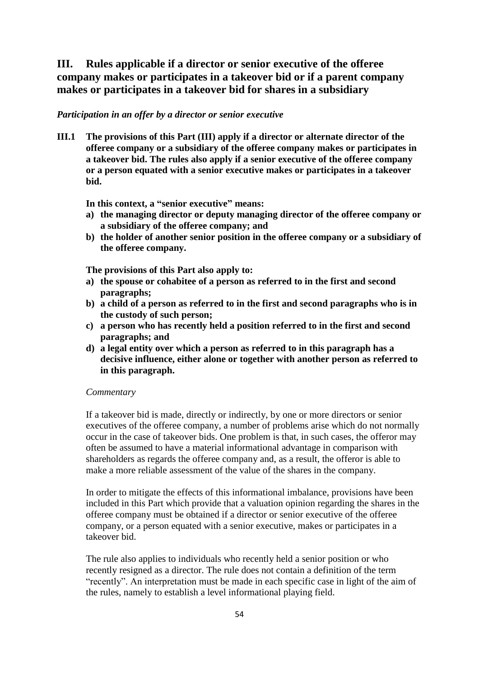# **III. Rules applicable if a director or senior executive of the offeree company makes or participates in a takeover bid or if a parent company makes or participates in a takeover bid for shares in a subsidiary**

### *Participation in an offer by a director or senior executive*

**III.1 The provisions of this Part (III) apply if a director or alternate director of the offeree company or a subsidiary of the offeree company makes or participates in a takeover bid. The rules also apply if a senior executive of the offeree company or a person equated with a senior executive makes or participates in a takeover bid.**

### **In this context, a "senior executive" means:**

- **a) the managing director or deputy managing director of the offeree company or a subsidiary of the offeree company; and**
- **b) the holder of another senior position in the offeree company or a subsidiary of the offeree company.**

**The provisions of this Part also apply to:**

- **a) the spouse or cohabitee of a person as referred to in the first and second paragraphs;**
- **b) a child of a person as referred to in the first and second paragraphs who is in the custody of such person;**
- **c) a person who has recently held a position referred to in the first and second paragraphs; and**
- **d) a legal entity over which a person as referred to in this paragraph has a decisive influence, either alone or together with another person as referred to in this paragraph.**

### *Commentary*

If a takeover bid is made, directly or indirectly, by one or more directors or senior executives of the offeree company, a number of problems arise which do not normally occur in the case of takeover bids. One problem is that, in such cases, the offeror may often be assumed to have a material informational advantage in comparison with shareholders as regards the offeree company and, as a result, the offeror is able to make a more reliable assessment of the value of the shares in the company.

In order to mitigate the effects of this informational imbalance, provisions have been included in this Part which provide that a valuation opinion regarding the shares in the offeree company must be obtained if a director or senior executive of the offeree company, or a person equated with a senior executive, makes or participates in a takeover bid.

The rule also applies to individuals who recently held a senior position or who recently resigned as a director. The rule does not contain a definition of the term "recently". An interpretation must be made in each specific case in light of the aim of the rules, namely to establish a level informational playing field.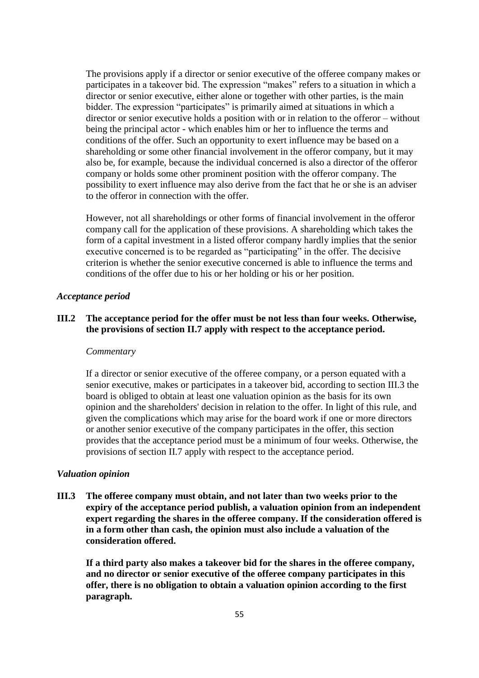The provisions apply if a director or senior executive of the offeree company makes or participates in a takeover bid. The expression "makes" refers to a situation in which a director or senior executive, either alone or together with other parties, is the main bidder. The expression "participates" is primarily aimed at situations in which a director or senior executive holds a position with or in relation to the offeror – without being the principal actor - which enables him or her to influence the terms and conditions of the offer. Such an opportunity to exert influence may be based on a shareholding or some other financial involvement in the offeror company, but it may also be, for example, because the individual concerned is also a director of the offeror company or holds some other prominent position with the offeror company. The possibility to exert influence may also derive from the fact that he or she is an adviser to the offeror in connection with the offer.

However, not all shareholdings or other forms of financial involvement in the offeror company call for the application of these provisions. A shareholding which takes the form of a capital investment in a listed offeror company hardly implies that the senior executive concerned is to be regarded as "participating" in the offer. The decisive criterion is whether the senior executive concerned is able to influence the terms and conditions of the offer due to his or her holding or his or her position.

### *Acceptance period*

# **III.2 The acceptance period for the offer must be not less than four weeks. Otherwise, the provisions of section II.7 apply with respect to the acceptance period.**

#### *Commentary*

If a director or senior executive of the offeree company, or a person equated with a senior executive, makes or participates in a takeover bid, according to section III.3 the board is obliged to obtain at least one valuation opinion as the basis for its own opinion and the shareholders' decision in relation to the offer. In light of this rule, and given the complications which may arise for the board work if one or more directors or another senior executive of the company participates in the offer, this section provides that the acceptance period must be a minimum of four weeks. Otherwise, the provisions of section II.7 apply with respect to the acceptance period.

#### *Valuation opinion*

**III.3 The offeree company must obtain, and not later than two weeks prior to the expiry of the acceptance period publish, a valuation opinion from an independent expert regarding the shares in the offeree company. If the consideration offered is in a form other than cash, the opinion must also include a valuation of the consideration offered.**

**If a third party also makes a takeover bid for the shares in the offeree company, and no director or senior executive of the offeree company participates in this offer, there is no obligation to obtain a valuation opinion according to the first paragraph.**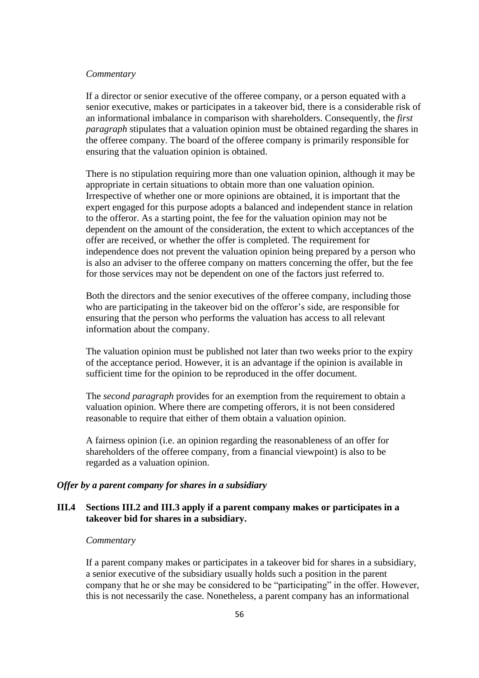#### *Commentary*

If a director or senior executive of the offeree company, or a person equated with a senior executive, makes or participates in a takeover bid, there is a considerable risk of an informational imbalance in comparison with shareholders. Consequently, the *first paragraph* stipulates that a valuation opinion must be obtained regarding the shares in the offeree company. The board of the offeree company is primarily responsible for ensuring that the valuation opinion is obtained.

There is no stipulation requiring more than one valuation opinion, although it may be appropriate in certain situations to obtain more than one valuation opinion. Irrespective of whether one or more opinions are obtained, it is important that the expert engaged for this purpose adopts a balanced and independent stance in relation to the offeror. As a starting point, the fee for the valuation opinion may not be dependent on the amount of the consideration, the extent to which acceptances of the offer are received, or whether the offer is completed. The requirement for independence does not prevent the valuation opinion being prepared by a person who is also an adviser to the offeree company on matters concerning the offer, but the fee for those services may not be dependent on one of the factors just referred to.

Both the directors and the senior executives of the offeree company, including those who are participating in the takeover bid on the offeror's side, are responsible for ensuring that the person who performs the valuation has access to all relevant information about the company.

The valuation opinion must be published not later than two weeks prior to the expiry of the acceptance period. However, it is an advantage if the opinion is available in sufficient time for the opinion to be reproduced in the offer document.

The *second paragraph* provides for an exemption from the requirement to obtain a valuation opinion. Where there are competing offerors, it is not been considered reasonable to require that either of them obtain a valuation opinion.

A fairness opinion (i.e. an opinion regarding the reasonableness of an offer for shareholders of the offeree company, from a financial viewpoint) is also to be regarded as a valuation opinion.

### *Offer by a parent company for shares in a subsidiary*

# **III.4 Sections III.2 and III.3 apply if a parent company makes or participates in a takeover bid for shares in a subsidiary.**

#### *Commentary*

If a parent company makes or participates in a takeover bid for shares in a subsidiary, a senior executive of the subsidiary usually holds such a position in the parent company that he or she may be considered to be "participating" in the offer. However, this is not necessarily the case. Nonetheless, a parent company has an informational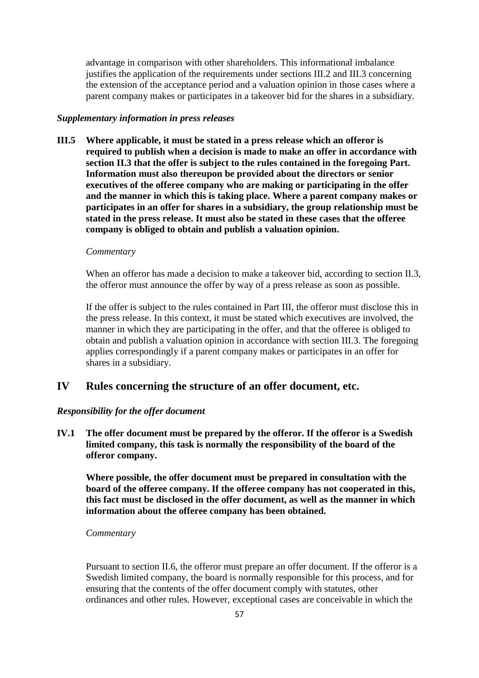advantage in comparison with other shareholders. This informational imbalance justifies the application of the requirements under sections III.2 and III.3 concerning the extension of the acceptance period and a valuation opinion in those cases where a parent company makes or participates in a takeover bid for the shares in a subsidiary.

### *Supplementary information in press releases*

**III.5 Where applicable, it must be stated in a press release which an offeror is required to publish when a decision is made to make an offer in accordance with section II.3 that the offer is subject to the rules contained in the foregoing Part. Information must also thereupon be provided about the directors or senior executives of the offeree company who are making or participating in the offer and the manner in which this is taking place. Where a parent company makes or participates in an offer for shares in a subsidiary, the group relationship must be stated in the press release. It must also be stated in these cases that the offeree company is obliged to obtain and publish a valuation opinion.**

### *Commentary*

When an offeror has made a decision to make a takeover bid, according to section II.3, the offeror must announce the offer by way of a press release as soon as possible.

If the offer is subject to the rules contained in Part III, the offeror must disclose this in the press release. In this context, it must be stated which executives are involved, the manner in which they are participating in the offer, and that the offeree is obliged to obtain and publish a valuation opinion in accordance with section III.3. The foregoing applies correspondingly if a parent company makes or participates in an offer for shares in a subsidiary.

# **IV Rules concerning the structure of an offer document, etc.**

#### *Responsibility for the offer document*

**IV.1 The offer document must be prepared by the offeror. If the offeror is a Swedish limited company, this task is normally the responsibility of the board of the offeror company.**

**Where possible, the offer document must be prepared in consultation with the board of the offeree company. If the offeree company has not cooperated in this, this fact must be disclosed in the offer document, as well as the manner in which information about the offeree company has been obtained.**

# *Commentary*

Pursuant to section II.6, the offeror must prepare an offer document. If the offeror is a Swedish limited company, the board is normally responsible for this process, and for ensuring that the contents of the offer document comply with statutes, other ordinances and other rules. However, exceptional cases are conceivable in which the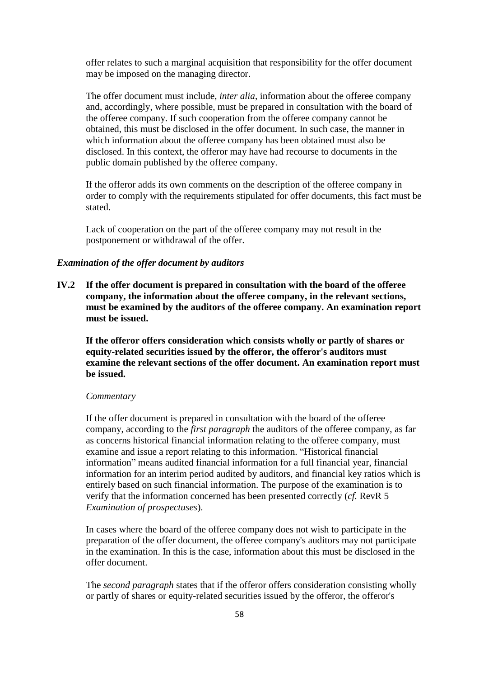offer relates to such a marginal acquisition that responsibility for the offer document may be imposed on the managing director.

The offer document must include, *inter alia*, information about the offeree company and, accordingly, where possible, must be prepared in consultation with the board of the offeree company. If such cooperation from the offeree company cannot be obtained, this must be disclosed in the offer document. In such case, the manner in which information about the offeree company has been obtained must also be disclosed. In this context, the offeror may have had recourse to documents in the public domain published by the offeree company.

If the offeror adds its own comments on the description of the offeree company in order to comply with the requirements stipulated for offer documents, this fact must be stated.

Lack of cooperation on the part of the offeree company may not result in the postponement or withdrawal of the offer.

### *Examination of the offer document by auditors*

**IV.2 If the offer document is prepared in consultation with the board of the offeree company, the information about the offeree company, in the relevant sections, must be examined by the auditors of the offeree company. An examination report must be issued.**

**If the offeror offers consideration which consists wholly or partly of shares or equity-related securities issued by the offeror, the offeror's auditors must examine the relevant sections of the offer document. An examination report must be issued.**

### *Commentary*

If the offer document is prepared in consultation with the board of the offeree company, according to the *first paragraph* the auditors of the offeree company, as far as concerns historical financial information relating to the offeree company, must examine and issue a report relating to this information. "Historical financial information" means audited financial information for a full financial year, financial information for an interim period audited by auditors, and financial key ratios which is entirely based on such financial information. The purpose of the examination is to verify that the information concerned has been presented correctly (*cf.* RevR 5 *Examination of prospectuses*).

In cases where the board of the offeree company does not wish to participate in the preparation of the offer document, the offeree company's auditors may not participate in the examination. In this is the case, information about this must be disclosed in the offer document.

The *second paragraph* states that if the offeror offers consideration consisting wholly or partly of shares or equity-related securities issued by the offeror, the offeror's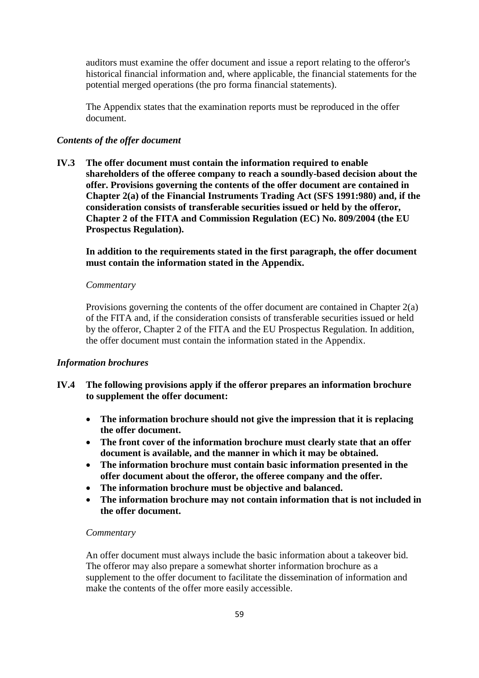auditors must examine the offer document and issue a report relating to the offeror's historical financial information and, where applicable, the financial statements for the potential merged operations (the pro forma financial statements).

The Appendix states that the examination reports must be reproduced in the offer document.

# *Contents of the offer document*

**IV.3 The offer document must contain the information required to enable shareholders of the offeree company to reach a soundly-based decision about the offer. Provisions governing the contents of the offer document are contained in Chapter 2(a) of the Financial Instruments Trading Act (SFS 1991:980) and, if the consideration consists of transferable securities issued or held by the offeror, Chapter 2 of the FITA and Commission Regulation (EC) No. 809/2004 (the EU Prospectus Regulation).**

**In addition to the requirements stated in the first paragraph, the offer document must contain the information stated in the Appendix.**

#### *Commentary*

Provisions governing the contents of the offer document are contained in Chapter 2(a) of the FITA and, if the consideration consists of transferable securities issued or held by the offeror, Chapter 2 of the FITA and the EU Prospectus Regulation. In addition, the offer document must contain the information stated in the Appendix.

### *Information brochures*

- **IV.4 The following provisions apply if the offeror prepares an information brochure to supplement the offer document:**
	- **The information brochure should not give the impression that it is replacing the offer document.**
	- **The front cover of the information brochure must clearly state that an offer document is available, and the manner in which it may be obtained.**
	- **The information brochure must contain basic information presented in the offer document about the offeror, the offeree company and the offer.**
	- **The information brochure must be objective and balanced.**
	- **The information brochure may not contain information that is not included in the offer document.**

#### *Commentary*

An offer document must always include the basic information about a takeover bid. The offeror may also prepare a somewhat shorter information brochure as a supplement to the offer document to facilitate the dissemination of information and make the contents of the offer more easily accessible.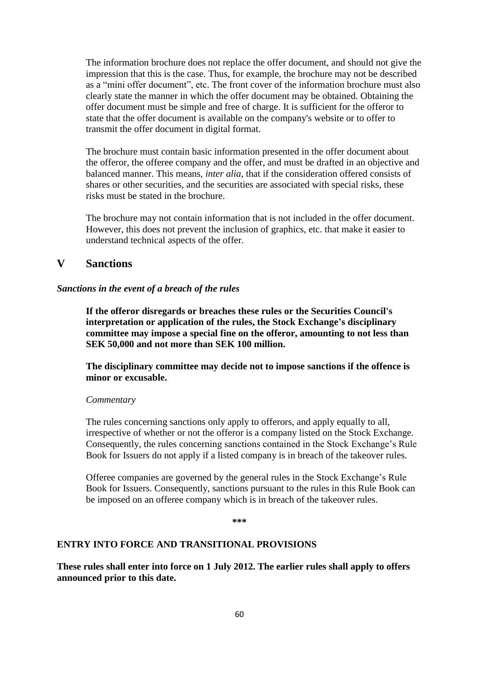The information brochure does not replace the offer document, and should not give the impression that this is the case. Thus, for example, the brochure may not be described as a "mini offer document", etc. The front cover of the information brochure must also clearly state the manner in which the offer document may be obtained. Obtaining the offer document must be simple and free of charge. It is sufficient for the offeror to state that the offer document is available on the company's website or to offer to transmit the offer document in digital format.

The brochure must contain basic information presented in the offer document about the offeror, the offeree company and the offer, and must be drafted in an objective and balanced manner. This means, *inter alia*, that if the consideration offered consists of shares or other securities, and the securities are associated with special risks, these risks must be stated in the brochure.

The brochure may not contain information that is not included in the offer document. However, this does not prevent the inclusion of graphics, etc. that make it easier to understand technical aspects of the offer.

# **V Sanctions**

### *Sanctions in the event of a breach of the rules*

**If the offeror disregards or breaches these rules or the Securities Council's interpretation or application of the rules, the Stock Exchange's disciplinary committee may impose a special fine on the offeror, amounting to not less than SEK 50,000 and not more than SEK 100 million.**

**The disciplinary committee may decide not to impose sanctions if the offence is minor or excusable.**

#### *Commentary*

The rules concerning sanctions only apply to offerors, and apply equally to all, irrespective of whether or not the offeror is a company listed on the Stock Exchange. Consequently, the rules concerning sanctions contained in the Stock Exchange's Rule Book for Issuers do not apply if a listed company is in breach of the takeover rules.

Offeree companies are governed by the general rules in the Stock Exchange's Rule Book for Issuers. Consequently, sanctions pursuant to the rules in this Rule Book can be imposed on an offeree company which is in breach of the takeover rules.

**\*\*\***

# **ENTRY INTO FORCE AND TRANSITIONAL PROVISIONS**

**These rules shall enter into force on 1 July 2012. The earlier rules shall apply to offers announced prior to this date.**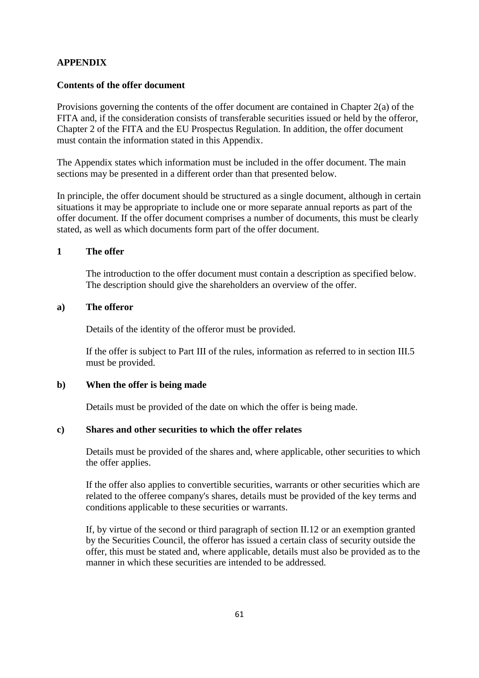# **APPENDIX**

# **Contents of the offer document**

Provisions governing the contents of the offer document are contained in Chapter 2(a) of the FITA and, if the consideration consists of transferable securities issued or held by the offeror. Chapter 2 of the FITA and the EU Prospectus Regulation. In addition, the offer document must contain the information stated in this Appendix.

The Appendix states which information must be included in the offer document. The main sections may be presented in a different order than that presented below.

In principle, the offer document should be structured as a single document, although in certain situations it may be appropriate to include one or more separate annual reports as part of the offer document. If the offer document comprises a number of documents, this must be clearly stated, as well as which documents form part of the offer document.

# **1 The offer**

The introduction to the offer document must contain a description as specified below. The description should give the shareholders an overview of the offer.

### **a) The offeror**

Details of the identity of the offeror must be provided.

If the offer is subject to Part III of the rules, information as referred to in section III.5 must be provided.

# **b) When the offer is being made**

Details must be provided of the date on which the offer is being made.

### **c) Shares and other securities to which the offer relates**

Details must be provided of the shares and, where applicable, other securities to which the offer applies.

If the offer also applies to convertible securities, warrants or other securities which are related to the offeree company's shares, details must be provided of the key terms and conditions applicable to these securities or warrants.

If, by virtue of the second or third paragraph of section II.12 or an exemption granted by the Securities Council, the offeror has issued a certain class of security outside the offer, this must be stated and, where applicable, details must also be provided as to the manner in which these securities are intended to be addressed.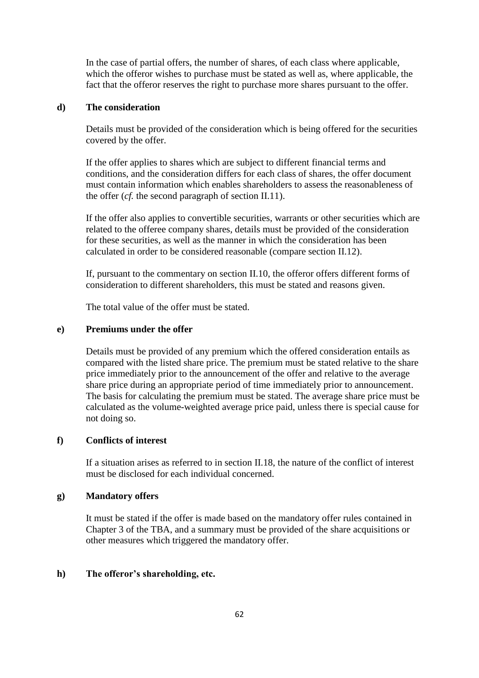In the case of partial offers, the number of shares, of each class where applicable, which the offeror wishes to purchase must be stated as well as, where applicable, the fact that the offeror reserves the right to purchase more shares pursuant to the offer.

# **d) The consideration**

Details must be provided of the consideration which is being offered for the securities covered by the offer.

If the offer applies to shares which are subject to different financial terms and conditions, and the consideration differs for each class of shares, the offer document must contain information which enables shareholders to assess the reasonableness of the offer (*cf.* the second paragraph of section II.11).

If the offer also applies to convertible securities, warrants or other securities which are related to the offeree company shares, details must be provided of the consideration for these securities, as well as the manner in which the consideration has been calculated in order to be considered reasonable (compare section II.12).

If, pursuant to the commentary on section II.10, the offeror offers different forms of consideration to different shareholders, this must be stated and reasons given.

The total value of the offer must be stated.

# **e) Premiums under the offer**

Details must be provided of any premium which the offered consideration entails as compared with the listed share price. The premium must be stated relative to the share price immediately prior to the announcement of the offer and relative to the average share price during an appropriate period of time immediately prior to announcement. The basis for calculating the premium must be stated. The average share price must be calculated as the volume-weighted average price paid, unless there is special cause for not doing so.

# **f) Conflicts of interest**

If a situation arises as referred to in section II.18, the nature of the conflict of interest must be disclosed for each individual concerned.

### **g) Mandatory offers**

It must be stated if the offer is made based on the mandatory offer rules contained in Chapter 3 of the TBA, and a summary must be provided of the share acquisitions or other measures which triggered the mandatory offer.

# **h) The offeror's shareholding, etc.**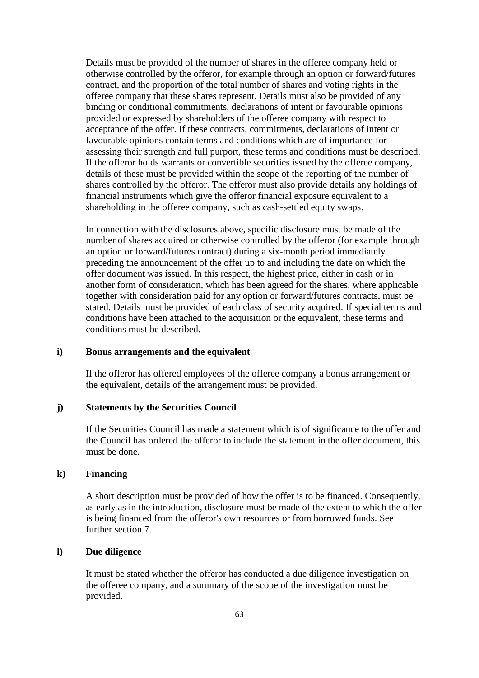Details must be provided of the number of shares in the offeree company held or otherwise controlled by the offeror, for example through an option or forward/futures contract, and the proportion of the total number of shares and voting rights in the offeree company that these shares represent. Details must also be provided of any binding or conditional commitments, declarations of intent or favourable opinions provided or expressed by shareholders of the offeree company with respect to acceptance of the offer. If these contracts, commitments, declarations of intent or favourable opinions contain terms and conditions which are of importance for assessing their strength and full purport, these terms and conditions must be described. If the offeror holds warrants or convertible securities issued by the offeree company, details of these must be provided within the scope of the reporting of the number of shares controlled by the offeror. The offeror must also provide details any holdings of financial instruments which give the offeror financial exposure equivalent to a shareholding in the offeree company, such as cash-settled equity swaps.

In connection with the disclosures above, specific disclosure must be made of the number of shares acquired or otherwise controlled by the offeror (for example through an option or forward/futures contract) during a six-month period immediately preceding the announcement of the offer up to and including the date on which the offer document was issued. In this respect, the highest price, either in cash or in another form of consideration, which has been agreed for the shares, where applicable together with consideration paid for any option or forward/futures contracts, must be stated. Details must be provided of each class of security acquired. If special terms and conditions have been attached to the acquisition or the equivalent, these terms and conditions must be described.

# **i) Bonus arrangements and the equivalent**

If the offeror has offered employees of the offeree company a bonus arrangement or the equivalent, details of the arrangement must be provided.

### **j) Statements by the Securities Council**

If the Securities Council has made a statement which is of significance to the offer and the Council has ordered the offeror to include the statement in the offer document, this must be done.

# **k) Financing**

A short description must be provided of how the offer is to be financed. Consequently, as early as in the introduction, disclosure must be made of the extent to which the offer is being financed from the offeror's own resources or from borrowed funds. See further section 7.

# **l) Due diligence**

It must be stated whether the offeror has conducted a due diligence investigation on the offeree company, and a summary of the scope of the investigation must be provided.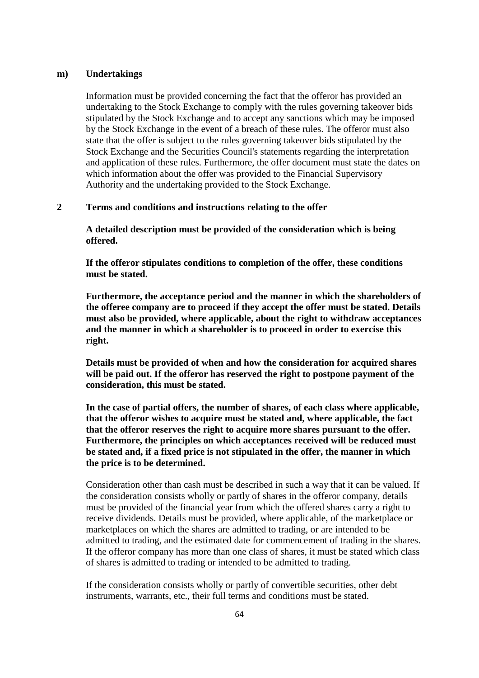### **m) Undertakings**

Information must be provided concerning the fact that the offeror has provided an undertaking to the Stock Exchange to comply with the rules governing takeover bids stipulated by the Stock Exchange and to accept any sanctions which may be imposed by the Stock Exchange in the event of a breach of these rules. The offeror must also state that the offer is subject to the rules governing takeover bids stipulated by the Stock Exchange and the Securities Council's statements regarding the interpretation and application of these rules. Furthermore, the offer document must state the dates on which information about the offer was provided to the Financial Supervisory Authority and the undertaking provided to the Stock Exchange.

# **2 Terms and conditions and instructions relating to the offer**

**A detailed description must be provided of the consideration which is being offered.**

**If the offeror stipulates conditions to completion of the offer, these conditions must be stated.**

**Furthermore, the acceptance period and the manner in which the shareholders of the offeree company are to proceed if they accept the offer must be stated. Details must also be provided, where applicable, about the right to withdraw acceptances and the manner in which a shareholder is to proceed in order to exercise this right.**

**Details must be provided of when and how the consideration for acquired shares will be paid out. If the offeror has reserved the right to postpone payment of the consideration, this must be stated.**

**In the case of partial offers, the number of shares, of each class where applicable, that the offeror wishes to acquire must be stated and, where applicable, the fact that the offeror reserves the right to acquire more shares pursuant to the offer. Furthermore, the principles on which acceptances received will be reduced must be stated and, if a fixed price is not stipulated in the offer, the manner in which the price is to be determined.**

Consideration other than cash must be described in such a way that it can be valued. If the consideration consists wholly or partly of shares in the offeror company, details must be provided of the financial year from which the offered shares carry a right to receive dividends. Details must be provided, where applicable, of the marketplace or marketplaces on which the shares are admitted to trading, or are intended to be admitted to trading, and the estimated date for commencement of trading in the shares. If the offeror company has more than one class of shares, it must be stated which class of shares is admitted to trading or intended to be admitted to trading.

If the consideration consists wholly or partly of convertible securities, other debt instruments, warrants, etc., their full terms and conditions must be stated.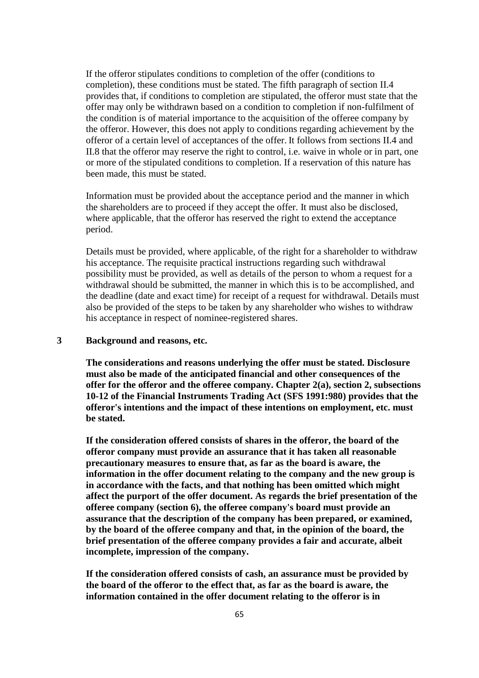If the offeror stipulates conditions to completion of the offer (conditions to completion), these conditions must be stated. The fifth paragraph of section II.4 provides that, if conditions to completion are stipulated, the offeror must state that the offer may only be withdrawn based on a condition to completion if non-fulfilment of the condition is of material importance to the acquisition of the offeree company by the offeror. However, this does not apply to conditions regarding achievement by the offeror of a certain level of acceptances of the offer. It follows from sections II.4 and II.8 that the offeror may reserve the right to control, i.e. waive in whole or in part, one or more of the stipulated conditions to completion. If a reservation of this nature has been made, this must be stated.

Information must be provided about the acceptance period and the manner in which the shareholders are to proceed if they accept the offer. It must also be disclosed, where applicable, that the offeror has reserved the right to extend the acceptance period.

Details must be provided, where applicable, of the right for a shareholder to withdraw his acceptance. The requisite practical instructions regarding such withdrawal possibility must be provided, as well as details of the person to whom a request for a withdrawal should be submitted, the manner in which this is to be accomplished, and the deadline (date and exact time) for receipt of a request for withdrawal. Details must also be provided of the steps to be taken by any shareholder who wishes to withdraw his acceptance in respect of nominee-registered shares.

# **3 Background and reasons, etc.**

**The considerations and reasons underlying the offer must be stated. Disclosure must also be made of the anticipated financial and other consequences of the offer for the offeror and the offeree company. Chapter 2(a), section 2, subsections 10-12 of the Financial Instruments Trading Act (SFS 1991:980) provides that the offeror's intentions and the impact of these intentions on employment, etc. must be stated.**

**If the consideration offered consists of shares in the offeror, the board of the offeror company must provide an assurance that it has taken all reasonable precautionary measures to ensure that, as far as the board is aware, the information in the offer document relating to the company and the new group is in accordance with the facts, and that nothing has been omitted which might affect the purport of the offer document. As regards the brief presentation of the offeree company (section 6), the offeree company's board must provide an assurance that the description of the company has been prepared, or examined, by the board of the offeree company and that, in the opinion of the board, the brief presentation of the offeree company provides a fair and accurate, albeit incomplete, impression of the company.**

**If the consideration offered consists of cash, an assurance must be provided by the board of the offeror to the effect that, as far as the board is aware, the information contained in the offer document relating to the offeror is in**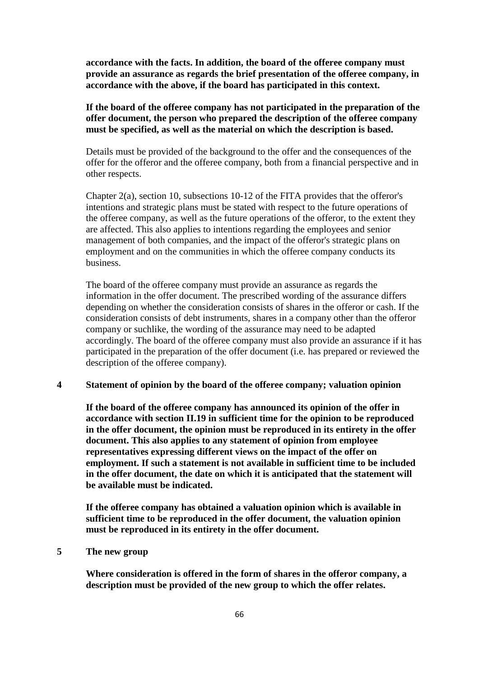**accordance with the facts. In addition, the board of the offeree company must provide an assurance as regards the brief presentation of the offeree company, in accordance with the above, if the board has participated in this context.**

**If the board of the offeree company has not participated in the preparation of the offer document, the person who prepared the description of the offeree company must be specified, as well as the material on which the description is based.**

Details must be provided of the background to the offer and the consequences of the offer for the offeror and the offeree company, both from a financial perspective and in other respects.

Chapter 2(a), section 10, subsections 10-12 of the FITA provides that the offeror's intentions and strategic plans must be stated with respect to the future operations of the offeree company, as well as the future operations of the offeror, to the extent they are affected. This also applies to intentions regarding the employees and senior management of both companies, and the impact of the offeror's strategic plans on employment and on the communities in which the offeree company conducts its business.

The board of the offeree company must provide an assurance as regards the information in the offer document. The prescribed wording of the assurance differs depending on whether the consideration consists of shares in the offeror or cash. If the consideration consists of debt instruments, shares in a company other than the offeror company or suchlike, the wording of the assurance may need to be adapted accordingly. The board of the offeree company must also provide an assurance if it has participated in the preparation of the offer document (i.e. has prepared or reviewed the description of the offeree company).

# **4 Statement of opinion by the board of the offeree company; valuation opinion**

**If the board of the offeree company has announced its opinion of the offer in accordance with section II.19 in sufficient time for the opinion to be reproduced in the offer document, the opinion must be reproduced in its entirety in the offer document. This also applies to any statement of opinion from employee representatives expressing different views on the impact of the offer on employment. If such a statement is not available in sufficient time to be included in the offer document, the date on which it is anticipated that the statement will be available must be indicated.**

**If the offeree company has obtained a valuation opinion which is available in sufficient time to be reproduced in the offer document, the valuation opinion must be reproduced in its entirety in the offer document.**

# **5 The new group**

**Where consideration is offered in the form of shares in the offeror company, a description must be provided of the new group to which the offer relates.**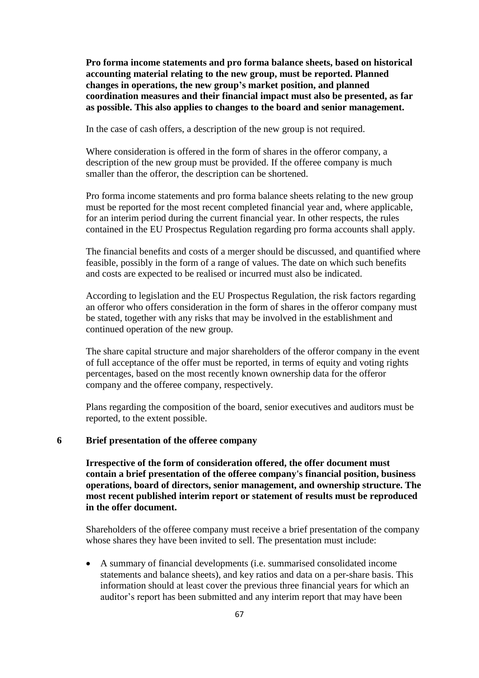**Pro forma income statements and pro forma balance sheets, based on historical accounting material relating to the new group, must be reported. Planned changes in operations, the new group's market position, and planned coordination measures and their financial impact must also be presented, as far as possible. This also applies to changes to the board and senior management.**

In the case of cash offers, a description of the new group is not required.

Where consideration is offered in the form of shares in the offeror company, a description of the new group must be provided. If the offeree company is much smaller than the offeror, the description can be shortened.

Pro forma income statements and pro forma balance sheets relating to the new group must be reported for the most recent completed financial year and, where applicable, for an interim period during the current financial year. In other respects, the rules contained in the EU Prospectus Regulation regarding pro forma accounts shall apply.

The financial benefits and costs of a merger should be discussed, and quantified where feasible, possibly in the form of a range of values. The date on which such benefits and costs are expected to be realised or incurred must also be indicated.

According to legislation and the EU Prospectus Regulation, the risk factors regarding an offeror who offers consideration in the form of shares in the offeror company must be stated, together with any risks that may be involved in the establishment and continued operation of the new group.

The share capital structure and major shareholders of the offeror company in the event of full acceptance of the offer must be reported, in terms of equity and voting rights percentages, based on the most recently known ownership data for the offeror company and the offeree company, respectively.

Plans regarding the composition of the board, senior executives and auditors must be reported, to the extent possible.

# **6 Brief presentation of the offeree company**

**Irrespective of the form of consideration offered, the offer document must contain a brief presentation of the offeree company's financial position, business operations, board of directors, senior management, and ownership structure. The most recent published interim report or statement of results must be reproduced in the offer document.**

Shareholders of the offeree company must receive a brief presentation of the company whose shares they have been invited to sell. The presentation must include:

 A summary of financial developments (i.e. summarised consolidated income statements and balance sheets), and key ratios and data on a per-share basis. This information should at least cover the previous three financial years for which an auditor's report has been submitted and any interim report that may have been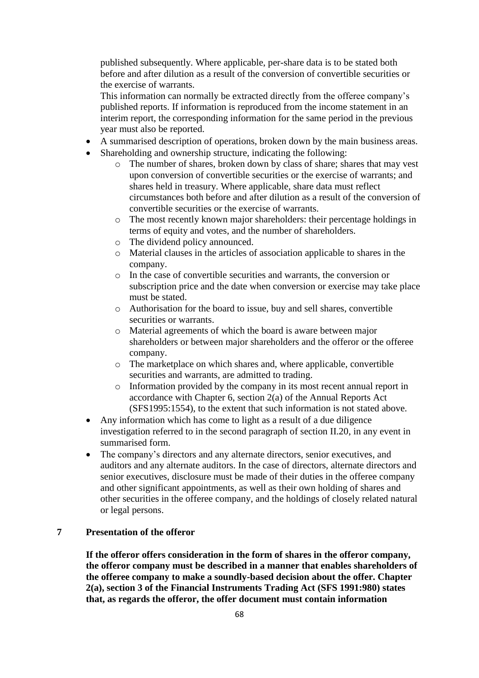published subsequently. Where applicable, per-share data is to be stated both before and after dilution as a result of the conversion of convertible securities or the exercise of warrants.

This information can normally be extracted directly from the offeree company's published reports. If information is reproduced from the income statement in an interim report, the corresponding information for the same period in the previous year must also be reported.

- A summarised description of operations, broken down by the main business areas.
- Shareholding and ownership structure, indicating the following:
	- o The number of shares, broken down by class of share; shares that may vest upon conversion of convertible securities or the exercise of warrants; and shares held in treasury. Where applicable, share data must reflect circumstances both before and after dilution as a result of the conversion of convertible securities or the exercise of warrants.
	- o The most recently known major shareholders: their percentage holdings in terms of equity and votes, and the number of shareholders.
	- o The dividend policy announced.
	- o Material clauses in the articles of association applicable to shares in the company.
	- o In the case of convertible securities and warrants, the conversion or subscription price and the date when conversion or exercise may take place must be stated.
	- o Authorisation for the board to issue, buy and sell shares, convertible securities or warrants.
	- o Material agreements of which the board is aware between major shareholders or between major shareholders and the offeror or the offeree company.
	- o The marketplace on which shares and, where applicable, convertible securities and warrants, are admitted to trading.
	- o Information provided by the company in its most recent annual report in accordance with Chapter 6, section 2(a) of the Annual Reports Act (SFS1995:1554), to the extent that such information is not stated above.
- Any information which has come to light as a result of a due diligence investigation referred to in the second paragraph of section II.20, in any event in summarised form.
- The company's directors and any alternate directors, senior executives, and auditors and any alternate auditors. In the case of directors, alternate directors and senior executives, disclosure must be made of their duties in the offeree company and other significant appointments, as well as their own holding of shares and other securities in the offeree company, and the holdings of closely related natural or legal persons.

### **7 Presentation of the offeror**

**If the offeror offers consideration in the form of shares in the offeror company, the offeror company must be described in a manner that enables shareholders of the offeree company to make a soundly-based decision about the offer. Chapter 2(a), section 3 of the Financial Instruments Trading Act (SFS 1991:980) states that, as regards the offeror, the offer document must contain information**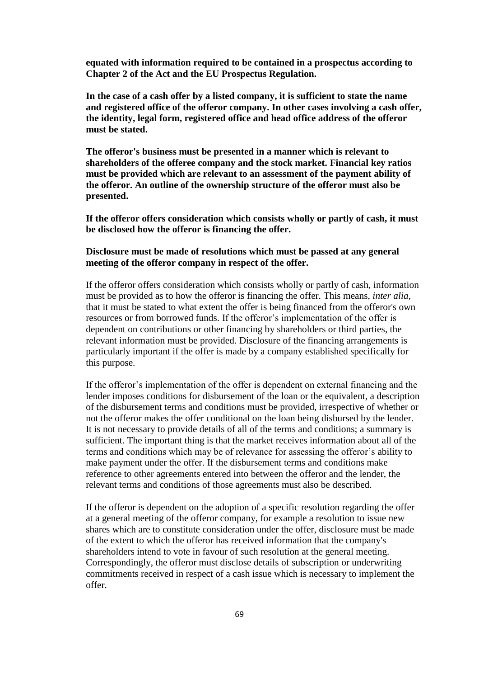**equated with information required to be contained in a prospectus according to Chapter 2 of the Act and the EU Prospectus Regulation.**

**In the case of a cash offer by a listed company, it is sufficient to state the name and registered office of the offeror company. In other cases involving a cash offer, the identity, legal form, registered office and head office address of the offeror must be stated.**

**The offeror's business must be presented in a manner which is relevant to shareholders of the offeree company and the stock market. Financial key ratios must be provided which are relevant to an assessment of the payment ability of the offeror. An outline of the ownership structure of the offeror must also be presented.**

**If the offeror offers consideration which consists wholly or partly of cash, it must be disclosed how the offeror is financing the offer.**

# **Disclosure must be made of resolutions which must be passed at any general meeting of the offeror company in respect of the offer.**

If the offeror offers consideration which consists wholly or partly of cash, information must be provided as to how the offeror is financing the offer. This means, *inter alia*, that it must be stated to what extent the offer is being financed from the offeror's own resources or from borrowed funds. If the offeror's implementation of the offer is dependent on contributions or other financing by shareholders or third parties, the relevant information must be provided. Disclosure of the financing arrangements is particularly important if the offer is made by a company established specifically for this purpose.

If the offeror's implementation of the offer is dependent on external financing and the lender imposes conditions for disbursement of the loan or the equivalent, a description of the disbursement terms and conditions must be provided, irrespective of whether or not the offeror makes the offer conditional on the loan being disbursed by the lender. It is not necessary to provide details of all of the terms and conditions; a summary is sufficient. The important thing is that the market receives information about all of the terms and conditions which may be of relevance for assessing the offeror's ability to make payment under the offer. If the disbursement terms and conditions make reference to other agreements entered into between the offeror and the lender, the relevant terms and conditions of those agreements must also be described.

If the offeror is dependent on the adoption of a specific resolution regarding the offer at a general meeting of the offeror company, for example a resolution to issue new shares which are to constitute consideration under the offer, disclosure must be made of the extent to which the offeror has received information that the company's shareholders intend to vote in favour of such resolution at the general meeting. Correspondingly, the offeror must disclose details of subscription or underwriting commitments received in respect of a cash issue which is necessary to implement the offer.